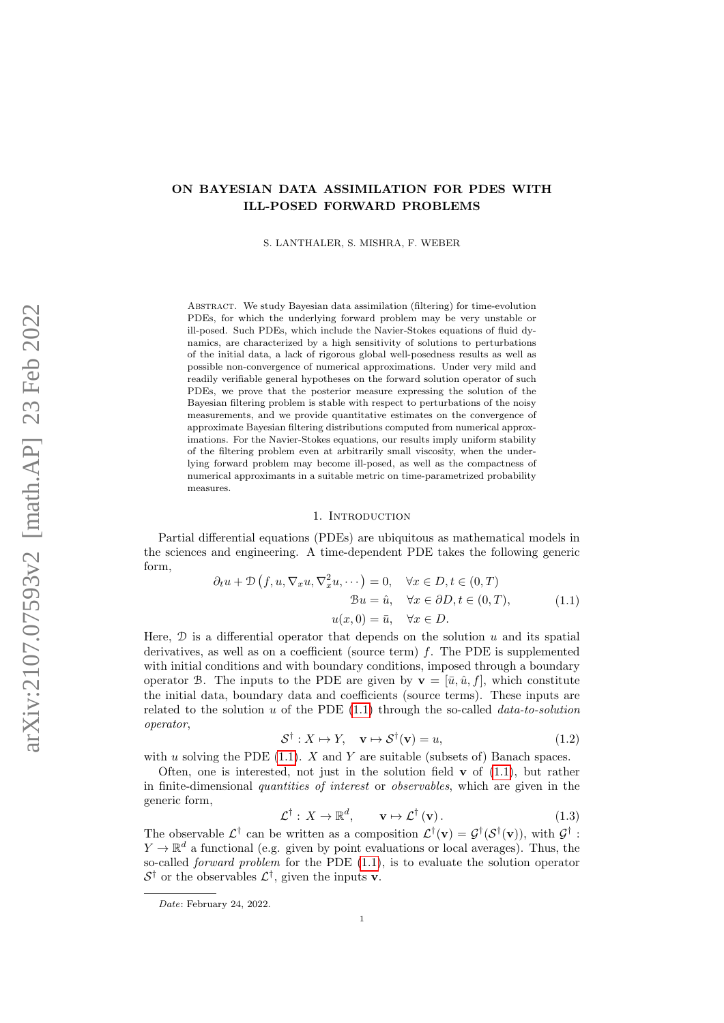# ON BAYESIAN DATA ASSIMILATION FOR PDES WITH ILL-POSED FORWARD PROBLEMS

S. LANTHALER, S. MISHRA, F. WEBER

Abstract. We study Bayesian data assimilation (filtering) for time-evolution PDEs, for which the underlying forward problem may be very unstable or ill-posed. Such PDEs, which include the Navier-Stokes equations of fluid dynamics, are characterized by a high sensitivity of solutions to perturbations of the initial data, a lack of rigorous global well-posedness results as well as possible non-convergence of numerical approximations. Under very mild and readily verifiable general hypotheses on the forward solution operator of such PDEs, we prove that the posterior measure expressing the solution of the Bayesian filtering problem is stable with respect to perturbations of the noisy measurements, and we provide quantitative estimates on the convergence of approximate Bayesian filtering distributions computed from numerical approximations. For the Navier-Stokes equations, our results imply uniform stability of the filtering problem even at arbitrarily small viscosity, when the underlying forward problem may become ill-posed, as well as the compactness of numerical approximants in a suitable metric on time-parametrized probability measures.

#### 1. INTRODUCTION

Partial differential equations (PDEs) are ubiquitous as mathematical models in the sciences and engineering. A time-dependent PDE takes the following generic form,

<span id="page-0-0"></span>
$$
\partial_t u + \mathcal{D}(f, u, \nabla_x u, \nabla_x^2 u, \cdots) = 0, \quad \forall x \in D, t \in (0, T)
$$

$$
\mathcal{B}u = \hat{u}, \quad \forall x \in \partial D, t \in (0, T),
$$

$$
u(x, 0) = \bar{u}, \quad \forall x \in D.
$$
(1.1)

Here,  $\mathcal D$  is a differential operator that depends on the solution u and its spatial derivatives, as well as on a coefficient (source term)  $f$ . The PDE is supplemented with initial conditions and with boundary conditions, imposed through a boundary operator B. The inputs to the PDE are given by  $\mathbf{v} = [\bar{u}, \hat{u}, f]$ , which constitute the initial data, boundary data and coefficients (source terms). These inputs are related to the solution  $u$  of the PDE  $(1.1)$  through the so-called *data-to-solution* operator,

$$
\mathcal{S}^{\dagger}: X \mapsto Y, \quad \mathbf{v} \mapsto \mathcal{S}^{\dagger}(\mathbf{v}) = u,\tag{1.2}
$$

with u solving the PDE  $(1,1)$ . X and Y are suitable (subsets of) Banach spaces.

Often, one is interested, not just in the solution field  $\bf{v}$  of [\(1.1\)](#page-0-0), but rather in finite-dimensional quantities of interest or observables, which are given in the generic form,

<span id="page-0-1"></span>
$$
\mathcal{L}^{\dagger}: X \to \mathbb{R}^{d}, \qquad \mathbf{v} \mapsto \mathcal{L}^{\dagger}(\mathbf{v}). \tag{1.3}
$$

The observable  $\mathcal{L}^{\dagger}$  can be written as a composition  $\mathcal{L}^{\dagger}(\mathbf{v}) = \mathcal{G}^{\dagger}(\mathcal{S}^{\dagger}(\mathbf{v}))$ , with  $\mathcal{G}^{\dagger}$ :  $Y \to \mathbb{R}^d$  a functional (e.g. given by point evaluations or local averages). Thus, the so-called *forward problem* for the PDE  $(1.1)$ , is to evaluate the solution operator  $S^{\dagger}$  or the observables  $\mathcal{L}^{\dagger}$ , given the inputs **v**.

Date: February 24, 2022.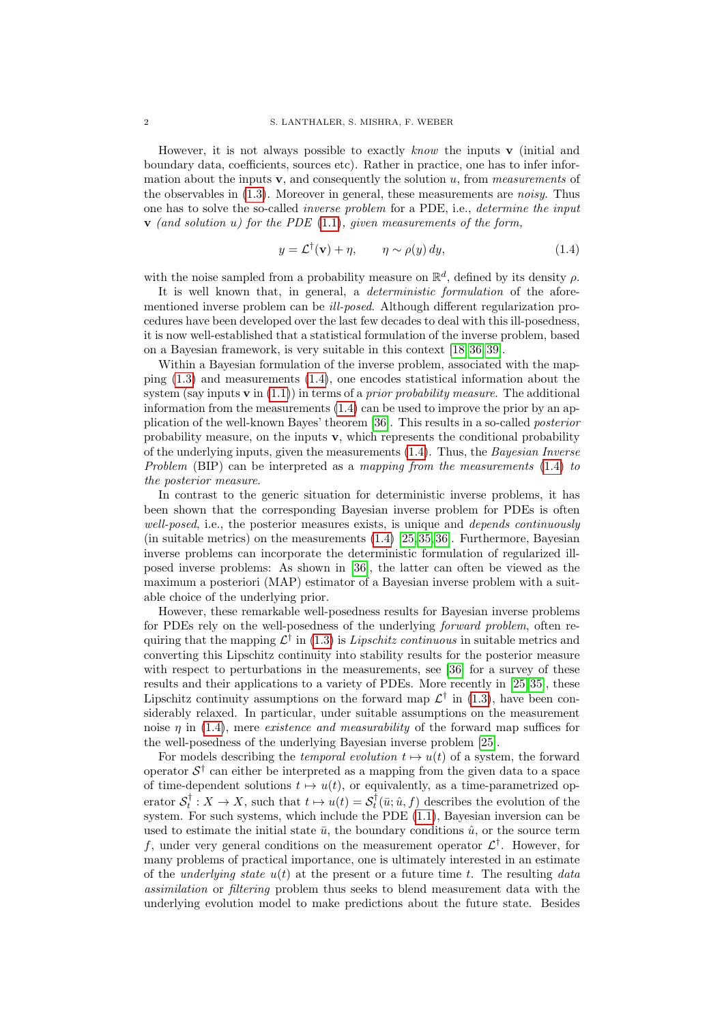However, it is not always possible to exactly know the inputs  $\bf{v}$  (initial and boundary data, coefficients, sources etc). Rather in practice, one has to infer information about the inputs  $\mathbf v$ , and consequently the solution u, from *measurements* of the observables in [\(1.3\)](#page-0-1). Moreover in general, these measurements are noisy. Thus one has to solve the so-called inverse problem for a PDE, i.e., determine the input  $\bf{v}$  (and solution u) for the PDE [\(1.1\)](#page-0-0), given measurements of the form,

<span id="page-1-0"></span>
$$
y = \mathcal{L}^{\dagger}(\mathbf{v}) + \eta, \qquad \eta \sim \rho(y) \, dy,\tag{1.4}
$$

with the noise sampled from a probability measure on  $\mathbb{R}^d$ , defined by its density  $\rho$ .

It is well known that, in general, a *deterministic formulation* of the aforementioned inverse problem can be ill-posed. Although different regularization procedures have been developed over the last few decades to deal with this ill-posedness, it is now well-established that a statistical formulation of the inverse problem, based on a Bayesian framework, is very suitable in this context [\[18,](#page-36-0) [36,](#page-37-0) [39\]](#page-37-1).

Within a Bayesian formulation of the inverse problem, associated with the mapping [\(1.3\)](#page-0-1) and measurements [\(1.4\)](#page-1-0), one encodes statistical information about the system (say inputs  $\bf{v}$  in [\(1.1\)](#page-0-0)) in terms of a *prior probability measure*. The additional information from the measurements  $(1.4)$  can be used to improve the prior by an application of the well-known Bayes' theorem [\[36\]](#page-37-0). This results in a so-called posterior probability measure, on the inputs  $v$ , which represents the conditional probability of the underlying inputs, given the measurements [\(1.4\)](#page-1-0). Thus, the Bayesian Inverse Problem (BIP) can be interpreted as a mapping from the measurements [\(1.4\)](#page-1-0) to the posterior measure.

In contrast to the generic situation for deterministic inverse problems, it has been shown that the corresponding Bayesian inverse problem for PDEs is often well-posed, i.e., the posterior measures exists, is unique and depends continuously (in suitable metrics) on the measurements  $(1.4)$  [\[25,](#page-37-2) [35,](#page-37-3) [36\]](#page-37-0). Furthermore, Bayesian inverse problems can incorporate the deterministic formulation of regularized illposed inverse problems: As shown in [\[36\]](#page-37-0), the latter can often be viewed as the maximum a posteriori (MAP) estimator of a Bayesian inverse problem with a suitable choice of the underlying prior.

However, these remarkable well-posedness results for Bayesian inverse problems for PDEs rely on the well-posedness of the underlying forward problem, often requiring that the mapping  $\mathcal{L}^{\dagger}$  in [\(1.3\)](#page-0-1) is Lipschitz continuous in suitable metrics and converting this Lipschitz continuity into stability results for the posterior measure with respect to perturbations in the measurements, see [\[36\]](#page-37-0) for a survey of these results and their applications to a variety of PDEs. More recently in [\[25,](#page-37-2) [35\]](#page-37-3), these Lipschitz continuity assumptions on the forward map  $\mathcal{L}^{\dagger}$  in [\(1.3\)](#page-0-1), have been considerably relaxed. In particular, under suitable assumptions on the measurement noise  $\eta$  in [\(1.4\)](#page-1-0), mere *existence and measurability* of the forward map suffices for the well-posedness of the underlying Bayesian inverse problem [\[25\]](#page-37-2).

For models describing the *temporal evolution*  $t \mapsto u(t)$  of a system, the forward operator  $S^{\dagger}$  can either be interpreted as a mapping from the given data to a space of time-dependent solutions  $t \mapsto u(t)$ , or equivalently, as a time-parametrized operator  $S_t^{\dagger}: X \to X$ , such that  $t \mapsto u(t) = S_t^{\dagger}(\bar{u}; \hat{u}, f)$  describes the evolution of the system. For such systems, which include the PDE [\(1.1\)](#page-0-0), Bayesian inversion can be used to estimate the initial state  $\bar{u}$ , the boundary conditions  $\hat{u}$ , or the source term f, under very general conditions on the measurement operator  $\mathcal{L}^{\dagger}$ . However, for many problems of practical importance, one is ultimately interested in an estimate of the *underlying state*  $u(t)$  at the present or a future time t. The resulting data assimilation or filtering problem thus seeks to blend measurement data with the underlying evolution model to make predictions about the future state. Besides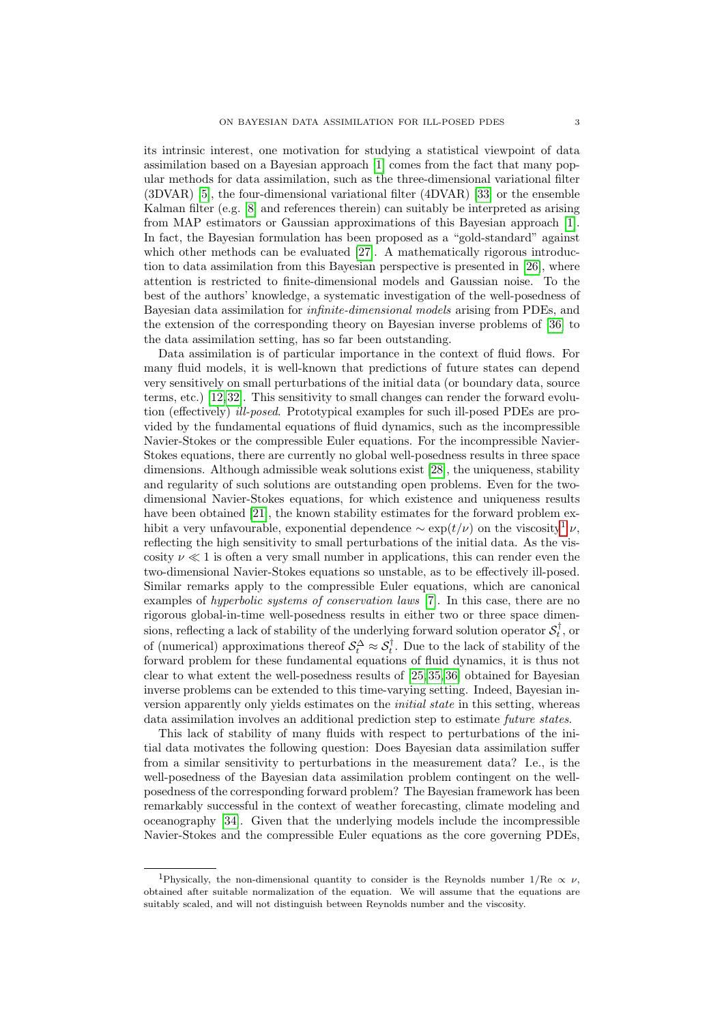its intrinsic interest, one motivation for studying a statistical viewpoint of data assimilation based on a Bayesian approach [\[1\]](#page-36-1) comes from the fact that many popular methods for data assimilation, such as the three-dimensional variational filter (3DVAR) [\[5\]](#page-36-2), the four-dimensional variational filter (4DVAR) [\[33\]](#page-37-4) or the ensemble Kalman filter (e.g. [\[8\]](#page-36-3) and references therein) can suitably be interpreted as arising from MAP estimators or Gaussian approximations of this Bayesian approach [\[1\]](#page-36-1). In fact, the Bayesian formulation has been proposed as a "gold-standard" against which other methods can be evaluated [\[27\]](#page-37-5). A mathematically rigorous introduction to data assimilation from this Bayesian perspective is presented in [\[26\]](#page-37-6), where attention is restricted to finite-dimensional models and Gaussian noise. To the best of the authors' knowledge, a systematic investigation of the well-posedness of Bayesian data assimilation for infinite-dimensional models arising from PDEs, and the extension of the corresponding theory on Bayesian inverse problems of [\[36\]](#page-37-0) to the data assimilation setting, has so far been outstanding.

Data assimilation is of particular importance in the context of fluid flows. For many fluid models, it is well-known that predictions of future states can depend very sensitively on small perturbations of the initial data (or boundary data, source terms, etc.) [\[12,](#page-36-4)[32\]](#page-37-7). This sensitivity to small changes can render the forward evolution (effectively) ill-posed. Prototypical examples for such ill-posed PDEs are provided by the fundamental equations of fluid dynamics, such as the incompressible Navier-Stokes or the compressible Euler equations. For the incompressible Navier-Stokes equations, there are currently no global well-posedness results in three space dimensions. Although admissible weak solutions exist [\[28\]](#page-37-8), the uniqueness, stability and regularity of such solutions are outstanding open problems. Even for the twodimensional Navier-Stokes equations, for which existence and uniqueness results have been obtained [\[21\]](#page-37-9), the known stability estimates for the forward problem exhibit a very unfavourable, exponential dependence  $\sim \exp(t/\nu)$  on the viscosity<sup>[1](#page-2-0)</sup>  $\nu$ , reflecting the high sensitivity to small perturbations of the initial data. As the viscosity  $\nu \ll 1$  is often a very small number in applications, this can render even the two-dimensional Navier-Stokes equations so unstable, as to be effectively ill-posed. Similar remarks apply to the compressible Euler equations, which are canonical examples of hyperbolic systems of conservation laws [\[7\]](#page-36-5). In this case, there are no rigorous global-in-time well-posedness results in either two or three space dimensions, reflecting a lack of stability of the underlying forward solution operator  $\mathcal{S}_t^{\dagger}$ , or of (numerical) approximations thereof  $\mathcal{S}_t^{\Delta} \approx \mathcal{S}_t^{\dagger}$ . Due to the lack of stability of the forward problem for these fundamental equations of fluid dynamics, it is thus not clear to what extent the well-posedness results of [\[25,](#page-37-2) [35,](#page-37-3) [36\]](#page-37-0) obtained for Bayesian inverse problems can be extended to this time-varying setting. Indeed, Bayesian inversion apparently only yields estimates on the initial state in this setting, whereas data assimilation involves an additional prediction step to estimate future states.

This lack of stability of many fluids with respect to perturbations of the initial data motivates the following question: Does Bayesian data assimilation suffer from a similar sensitivity to perturbations in the measurement data? I.e., is the well-posedness of the Bayesian data assimilation problem contingent on the wellposedness of the corresponding forward problem? The Bayesian framework has been remarkably successful in the context of weather forecasting, climate modeling and oceanography [\[34\]](#page-37-10). Given that the underlying models include the incompressible Navier-Stokes and the compressible Euler equations as the core governing PDEs,

<span id="page-2-0"></span><sup>&</sup>lt;sup>1</sup>Physically, the non-dimensional quantity to consider is the Reynolds number  $1/Re \propto \nu$ , obtained after suitable normalization of the equation. We will assume that the equations are suitably scaled, and will not distinguish between Reynolds number and the viscosity.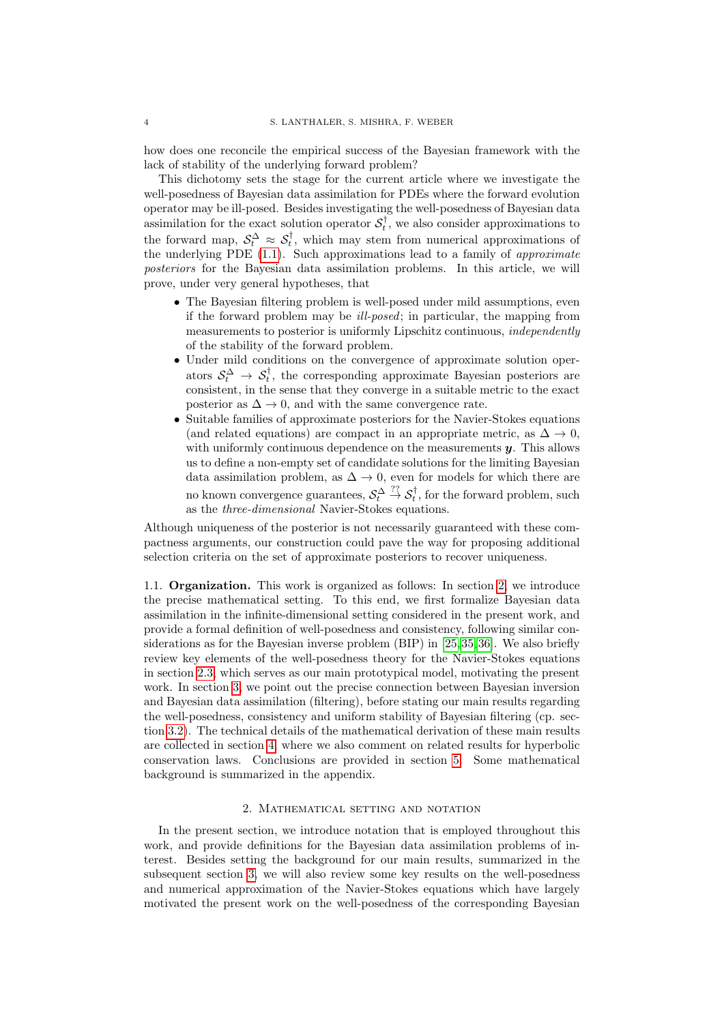how does one reconcile the empirical success of the Bayesian framework with the lack of stability of the underlying forward problem?

This dichotomy sets the stage for the current article where we investigate the well-posedness of Bayesian data assimilation for PDEs where the forward evolution operator may be ill-posed. Besides investigating the well-posedness of Bayesian data assimilation for the exact solution operator  $S_t^{\dagger}$ , we also consider approximations to the forward map,  $S_t^{\Delta} \approx S_t^{\dagger}$ , which may stem from numerical approximations of the underlying PDE [\(1.1\)](#page-0-0). Such approximations lead to a family of approximate posteriors for the Bayesian data assimilation problems. In this article, we will prove, under very general hypotheses, that

- The Bayesian filtering problem is well-posed under mild assumptions, even if the forward problem may be ill-posed; in particular, the mapping from measurements to posterior is uniformly Lipschitz continuous, independently of the stability of the forward problem.
- Under mild conditions on the convergence of approximate solution operators  $S_t^{\Delta} \rightarrow S_t^{\dagger}$ , the corresponding approximate Bayesian posteriors are consistent, in the sense that they converge in a suitable metric to the exact posterior as  $\Delta \rightarrow 0$ , and with the same convergence rate.
- Suitable families of approximate posteriors for the Navier-Stokes equations (and related equations) are compact in an appropriate metric, as  $\Delta \to 0$ , with uniformly continuous dependence on the measurements  $y$ . This allows us to define a non-empty set of candidate solutions for the limiting Bayesian data assimilation problem, as  $\Delta \rightarrow 0$ , even for models for which there are no known convergence guarantees,  $\mathcal{S}_t^{\Delta} \stackrel{??}{\rightarrow} \mathcal{S}_t^{\dagger}$ , for the forward problem, such as the *three-dimensional* Navier-Stokes equations.

Although uniqueness of the posterior is not necessarily guaranteed with these compactness arguments, our construction could pave the way for proposing additional selection criteria on the set of approximate posteriors to recover uniqueness.

1.1. Organization. This work is organized as follows: In section [2,](#page-3-0) we introduce the precise mathematical setting. To this end, we first formalize Bayesian data assimilation in the infinite-dimensional setting considered in the present work, and provide a formal definition of well-posedness and consistency, following similar considerations as for the Bayesian inverse problem (BIP) in [\[25,](#page-37-2)[35,](#page-37-3)[36\]](#page-37-0). We also briefly review key elements of the well-posedness theory for the Navier-Stokes equations in section [2.3,](#page-8-0) which serves as our main prototypical model, motivating the present work. In section [3,](#page-10-0) we point out the precise connection between Bayesian inversion and Bayesian data assimilation (filtering), before stating our main results regarding the well-posedness, consistency and uniform stability of Bayesian filtering (cp. section [3.2\)](#page-13-0). The technical details of the mathematical derivation of these main results are collected in section [4,](#page-18-0) where we also comment on related results for hyperbolic conservation laws. Conclusions are provided in section [5.](#page-33-0) Some mathematical background is summarized in the appendix.

## 2. Mathematical setting and notation

<span id="page-3-0"></span>In the present section, we introduce notation that is employed throughout this work, and provide definitions for the Bayesian data assimilation problems of interest. Besides setting the background for our main results, summarized in the subsequent section [3,](#page-10-0) we will also review some key results on the well-posedness and numerical approximation of the Navier-Stokes equations which have largely motivated the present work on the well-posedness of the corresponding Bayesian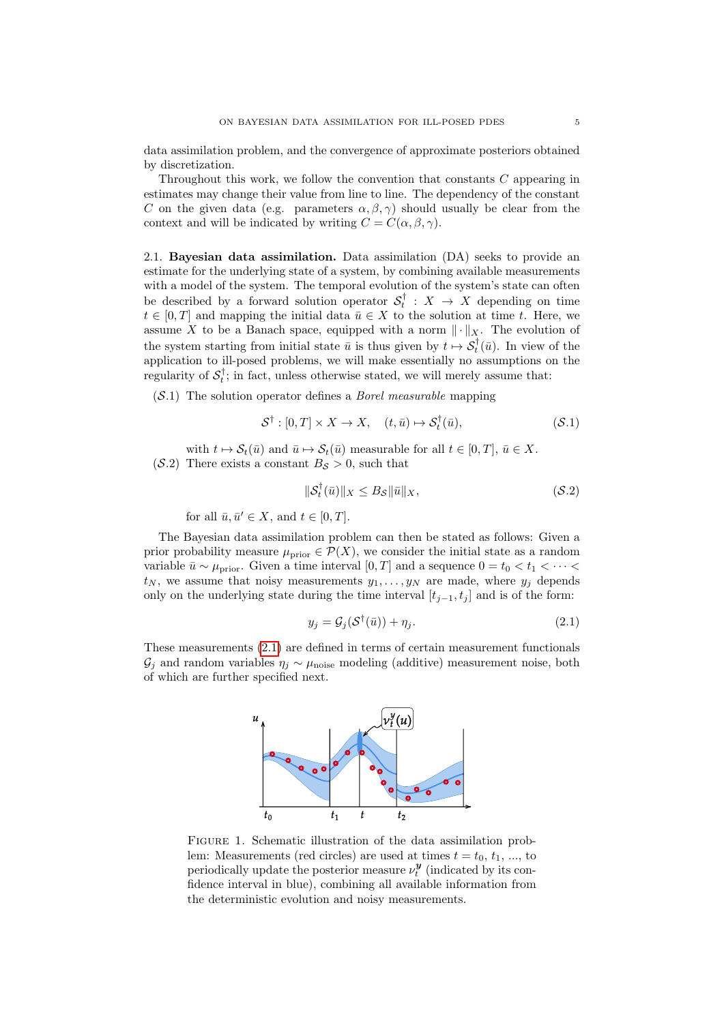data assimilation problem, and the convergence of approximate posteriors obtained by discretization.

Throughout this work, we follow the convention that constants C appearing in estimates may change their value from line to line. The dependency of the constant C on the given data (e.g. parameters  $\alpha, \beta, \gamma$ ) should usually be clear from the context and will be indicated by writing  $C = C(\alpha, \beta, \gamma)$ .

2.1. Bayesian data assimilation. Data assimilation (DA) seeks to provide an estimate for the underlying state of a system, by combining available measurements with a model of the system. The temporal evolution of the system's state can often be described by a forward solution operator  $S_t^{\dagger}$  :  $X \rightarrow X$  depending on time  $t \in [0, T]$  and mapping the initial data  $\bar{u} \in X$  to the solution at time t. Here, we assume X to be a Banach space, equipped with a norm  $\|\cdot\|_X$ . The evolution of the system starting from initial state  $\bar{u}$  is thus given by  $t \mapsto \mathcal{S}_t^{\dagger}(\bar{u})$ . In view of the application to ill-posed problems, we will make essentially no assumptions on the regularity of  $S_t^{\dagger}$ ; in fact, unless otherwise stated, we will merely assume that:

<span id="page-4-1"></span> $(S.1)$  The solution operator defines a *Borel measurable* mapping

$$
\mathcal{S}^{\dagger} : [0, T] \times X \to X, \quad (t, \bar{u}) \mapsto \mathcal{S}_t^{\dagger}(\bar{u}), \tag{S.1}
$$

<span id="page-4-2"></span>with  $t \mapsto \mathcal{S}_t(\bar{u})$  and  $\bar{u} \mapsto \mathcal{S}_t(\bar{u})$  measurable for all  $t \in [0, T]$ ,  $\bar{u} \in X$ .  $(S.2)$  There exists a constant  $B<sub>S</sub> > 0$ , such that

$$
\|\mathcal{S}_t^\dagger(\bar{u})\|_X \le B_{\mathcal{S}} \|\bar{u}\|_X,\tag{S.2}
$$

for all  $\bar{u}, \bar{u}' \in X$ , and  $t \in [0, T]$ .

The Bayesian data assimilation problem can then be stated as follows: Given a prior probability measure  $\mu_{\text{prior}} \in \mathcal{P}(X)$ , we consider the initial state as a random variable  $\bar{u} \sim \mu_{\text{prior}}$ . Given a time interval  $[0, T]$  and a sequence  $0 = t_0 < t_1 < \cdots <$  $t_N$ , we assume that noisy measurements  $y_1, \ldots, y_N$  are made, where  $y_j$  depends only on the underlying state during the time interval  $[t_{j-1}, t_j]$  and is of the form:

<span id="page-4-0"></span>
$$
y_j = \mathcal{G}_j(\mathcal{S}^\dagger(\bar{u})) + \eta_j. \tag{2.1}
$$

These measurements [\(2.1\)](#page-4-0) are defined in terms of certain measurement functionals  $\mathcal{G}_j$  and random variables  $\eta_j \sim \mu_{\text{noise}}$  modeling (additive) measurement noise, both of which are further specified next.



FIGURE 1. Schematic illustration of the data assimilation problem: Measurements (red circles) are used at times  $t = t_0, t_1, ...,$  to periodically update the posterior measure  $\nu_t^{\mathbf{y}}$  (indicated by its confidence interval in blue), combining all available information from the deterministic evolution and noisy measurements.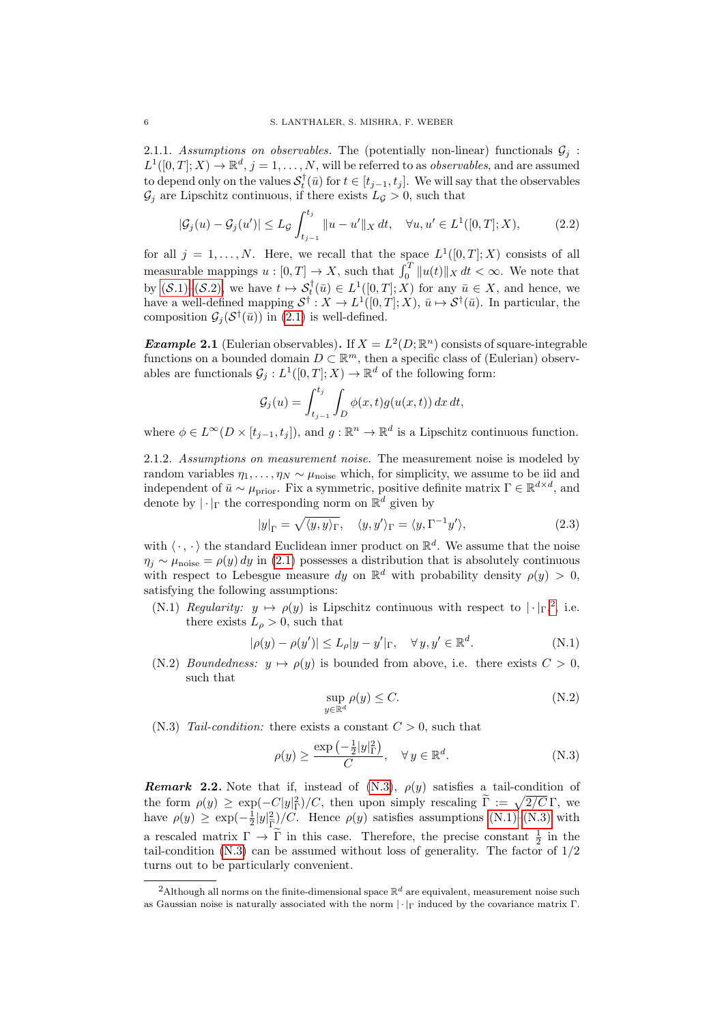2.1.1. Assumptions on observables. The (potentially non-linear) functionals  $\mathcal{G}_j$ :  $L^1([0,T];X) \to \mathbb{R}^d, j=1,\ldots,N$ , will be referred to as *observables*, and are assumed to depend only on the values  $\mathcal{S}_t^{\dagger}(\bar{u})$  for  $t \in [t_{j-1}, t_j]$ . We will say that the observables  $\mathcal{G}_i$  are Lipschitz continuous, if there exists  $L_q > 0$ , such that

$$
|\mathcal{G}_j(u) - \mathcal{G}_j(u')| \le L_{\mathcal{G}} \int_{t_{j-1}}^{t_j} \|u - u'\|_X dt, \quad \forall u, u' \in L^1([0, T]; X), \tag{2.2}
$$

for all  $j = 1, ..., N$ . Here, we recall that the space  $L^1([0,T];X)$  consists of all measurable mappings  $u : [0, T] \to X$ , such that  $\int_0^T \|u(t)\|_X dt < \infty$ . We note that by  $(S.1)$ – $(S.2)$ , we have  $t \mapsto \mathcal{S}_t^{\dagger}(\bar{u}) \in L^1([0,T];X)$  for any  $\bar{u} \in X$ , and hence, we have a well-defined mapping  $S^{\dagger}: X \to L^{1}([0,T]; X), \bar{u} \mapsto S^{\dagger}(\bar{u})$ . In particular, the composition  $\mathcal{G}_j(\mathcal{S}^\dagger(\bar{u}))$  in [\(2.1\)](#page-4-0) is well-defined.

**Example 2.1** (Eulerian observables). If  $X = L^2(D; \mathbb{R}^n)$  consists of square-integrable functions on a bounded domain  $D \subset \mathbb{R}^m$ , then a specific class of (Eulerian) observables are functionals  $\mathcal{G}_j : L^1([0,T];X) \to \mathbb{R}^d$  of the following form:

<span id="page-5-5"></span>
$$
\mathcal{G}_j(u) = \int_{t_{j-1}}^{t_j} \int_D \phi(x,t) g(u(x,t)) dx dt,
$$

where  $\phi \in L^{\infty}(D \times [t_{j-1}, t_j])$ , and  $g : \mathbb{R}^n \to \mathbb{R}^d$  is a Lipschitz continuous function.

2.1.2. Assumptions on measurement noise. The measurement noise is modeled by random variables  $\eta_1, \ldots, \eta_N \sim \mu_{\text{noise}}$  which, for simplicity, we assume to be iid and independent of  $\bar{u} \sim \mu_{\text{prior}}$ . Fix a symmetric, positive definite matrix  $\Gamma \in \mathbb{R}^{d \times d}$ , and denote by  $|\cdot|_{\Gamma}$  the corresponding norm on  $\mathbb{R}^d$  given by

$$
|y|_{\Gamma} = \sqrt{\langle y, y \rangle_{\Gamma}}, \quad \langle y, y' \rangle_{\Gamma} = \langle y, \Gamma^{-1} y' \rangle, \tag{2.3}
$$

with  $\langle \cdot, \cdot \rangle$  the standard Euclidean inner product on  $\mathbb{R}^d$ . We assume that the noise  $\eta_i \sim \mu_{\text{noise}} = \rho(y) dy$  in [\(2.1\)](#page-4-0) possesses a distribution that is absolutely continuous with respect to Lebesgue measure dy on  $\mathbb{R}^d$  with probability density  $\rho(y) > 0$ , satisfying the following assumptions:

<span id="page-5-2"></span>(N.1) Regularity:  $y \mapsto \rho(y)$  is Lipschitz continuous with respect to  $|\cdot|_{\Gamma}^2$  $|\cdot|_{\Gamma}^2$ , i.e. there exists  $L_{\rho} > 0$ , such that

$$
|\rho(y) - \rho(y')| \le L_{\rho}|y - y'|_{\Gamma}, \quad \forall y, y' \in \mathbb{R}^d.
$$
 (N.1)

(N.2) *Boundedness:*  $y \mapsto \rho(y)$  is bounded from above, i.e. there exists  $C > 0$ , such that

<span id="page-5-4"></span><span id="page-5-1"></span>
$$
\sup_{y \in \mathbb{R}^d} \rho(y) \le C. \tag{N.2}
$$

<span id="page-5-3"></span> $(N.3)$  Tail-condition: there exists a constant  $C > 0$ , such that

$$
\rho(y) \ge \frac{\exp\left(-\frac{1}{2}|y|_{\Gamma}^{2}\right)}{C}, \quad \forall y \in \mathbb{R}^{d}.
$$
 (N.3)

**Remark 2.2.** Note that if, instead of  $(N.3)$ ,  $\rho(y)$  satisfies a tail-condition of the form  $\rho(y) \geq \exp(-C|y|_F^2)/C$ , then upon simply rescaling  $\tilde{\Gamma} := \sqrt{2/C} \Gamma$ , we have  $\rho(y) \ge \exp(-\frac{1}{2}|y|_{\tilde{\Gamma}}^2)$  $\frac{Z^2}{\Gamma}$ )/C. Hence  $\rho(y)$  satisfies assumptions [\(N.1\)](#page-5-2)[–\(N.3\)](#page-5-3) with a rescaled matrix  $\Gamma \to \widetilde{\Gamma}$  in this case. Therefore, the precise constant  $\frac{1}{2}$  in the tail-condition  $(N.3)$  can be assumed without loss of generality. The factor of  $1/2$ turns out to be particularly convenient.

<span id="page-5-0"></span><sup>&</sup>lt;sup>2</sup>Although all norms on the finite-dimensional space  $\mathbb{R}^d$  are equivalent, measurement noise such as Gaussian noise is naturally associated with the norm  $|\cdot|_F$  induced by the covariance matrix Γ.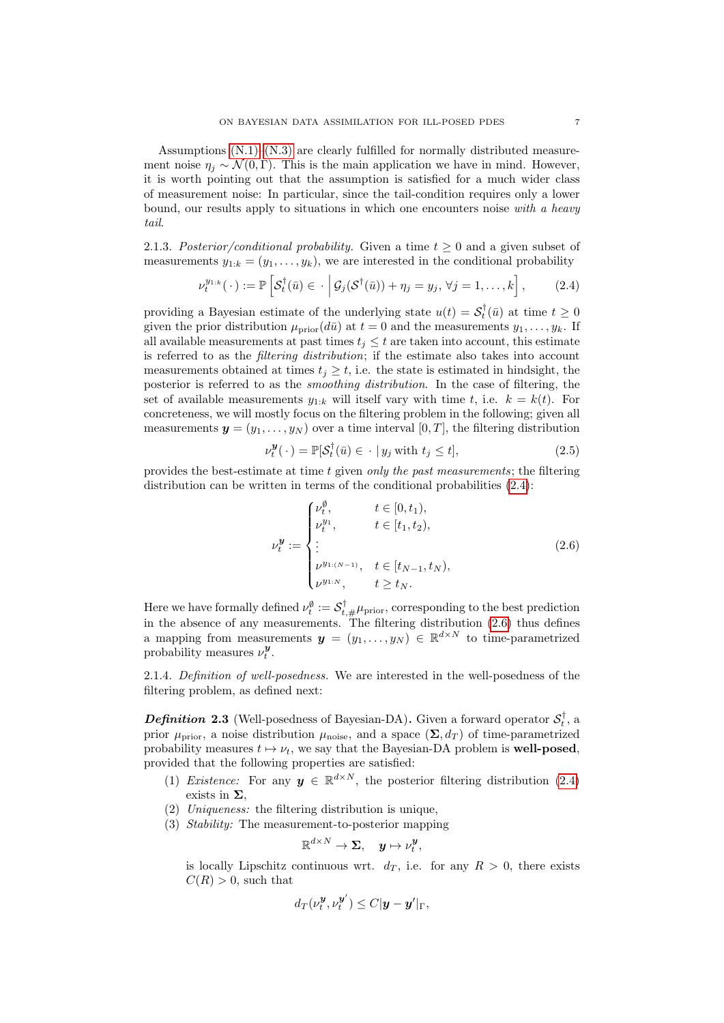Assumptions  $(N.1)$ – $(N.3)$  are clearly fulfilled for normally distributed measurement noise  $\eta_i \sim \mathcal{N}(0, \Gamma)$ . This is the main application we have in mind. However, it is worth pointing out that the assumption is satisfied for a much wider class of measurement noise: In particular, since the tail-condition requires only a lower bound, our results apply to situations in which one encounters noise with a heavy tail.

2.1.3. Posterior/conditional probability. Given a time  $t \geq 0$  and a given subset of measurements  $y_{1:k} = (y_1, \ldots, y_k)$ , we are interested in the conditional probability

$$
\nu_t^{y_{1:k}}(\cdot) := \mathbb{P}\left[\mathcal{S}_t^{\dagger}(\bar{u}) \in \cdot \middle| \mathcal{G}_j(\mathcal{S}^{\dagger}(\bar{u})) + \eta_j = y_j, \forall j = 1,\dots,k\right],\tag{2.4}
$$

providing a Bayesian estimate of the underlying state  $u(t) = \mathcal{S}_t^{\dagger}(\bar{u})$  at time  $t \geq 0$ given the prior distribution  $\mu_{\text{prior}}(d\bar{u})$  at  $t = 0$  and the measurements  $y_1, \ldots, y_k$ . If all available measurements at past times  $t_i \leq t$  are taken into account, this estimate is referred to as the filtering distribution; if the estimate also takes into account measurements obtained at times  $t_i \geq t$ , i.e. the state is estimated in hindsight, the posterior is referred to as the smoothing distribution. In the case of filtering, the set of available measurements  $y_{1:k}$  will itself vary with time t, i.e.  $k = k(t)$ . For concreteness, we will mostly focus on the filtering problem in the following; given all measurements  $y = (y_1, \ldots, y_N)$  over a time interval  $[0, T]$ , the filtering distribution

<span id="page-6-2"></span><span id="page-6-0"></span>
$$
\nu_t^{\mathbf{y}}(\cdot) = \mathbb{P}[\mathcal{S}_t^{\dagger}(\bar{u}) \in \cdot \mid y_j \text{ with } t_j \le t],\tag{2.5}
$$

provides the best-estimate at time t given only the past measurements; the filtering distribution can be written in terms of the conditional probabilities  $(2.4)$ :

<span id="page-6-1"></span>
$$
\nu_t^{\mathbf{y}} := \begin{cases} \nu_t^{\emptyset}, & t \in [0, t_1), \\ \nu_t^{y_1}, & t \in [t_1, t_2), \\ \vdots \\ \nu^{y_{1:(N-1)}}, & t \in [t_{N-1}, t_N), \\ \nu^{y_{1:N}}, & t \ge t_N. \end{cases}
$$
(2.6)

Here we have formally defined  $\nu_t^{\emptyset} := \mathcal{S}_{t,\#}^{\dagger} \mu_{\text{prior}}$ , corresponding to the best prediction in the absence of any measurements. The filtering distribution [\(2.6\)](#page-6-1) thus defines a mapping from measurements  $y = (y_1, \ldots, y_N) \in \mathbb{R}^{d \times N}$  to time-parametrized probability measures  $\nu_t^{\boldsymbol{y}}$ .

2.1.4. Definition of well-posedness. We are interested in the well-posedness of the filtering problem, as defined next:

<span id="page-6-3"></span>**Definition 2.3** (Well-posedness of Bayesian-DA). Given a forward operator  $\mathcal{S}_t^{\dagger}$ , a prior  $\mu_{\text{prior}}$ , a noise distribution  $\mu_{\text{noise}}$ , and a space  $(\Sigma, d_T)$  of time-parametrized probability measures  $t \mapsto \nu_t$ , we say that the Bayesian-DA problem is **well-posed**, provided that the following properties are satisfied:

- (1) Existence: For any  $y \in \mathbb{R}^{d \times N}$ , the posterior filtering distribution [\(2.4\)](#page-6-0) exists in  $\Sigma$ .
- (2) Uniqueness: the filtering distribution is unique,
- (3) Stability: The measurement-to-posterior mapping

$$
\mathbb{R}^{d\times N}\to\Sigma,\quad \boldsymbol{y}\mapsto \nu_{t}^{\boldsymbol{y}},
$$

is locally Lipschitz continuous wrt.  $d_T$ , i.e. for any  $R > 0$ , there exists  $C(R) > 0$ , such that

$$
d_T(\nu_t^{\boldsymbol{y}}, \nu_t^{\boldsymbol{y}^\prime}) \leq C |\boldsymbol{y} - \boldsymbol{y}^\prime|_{\Gamma},
$$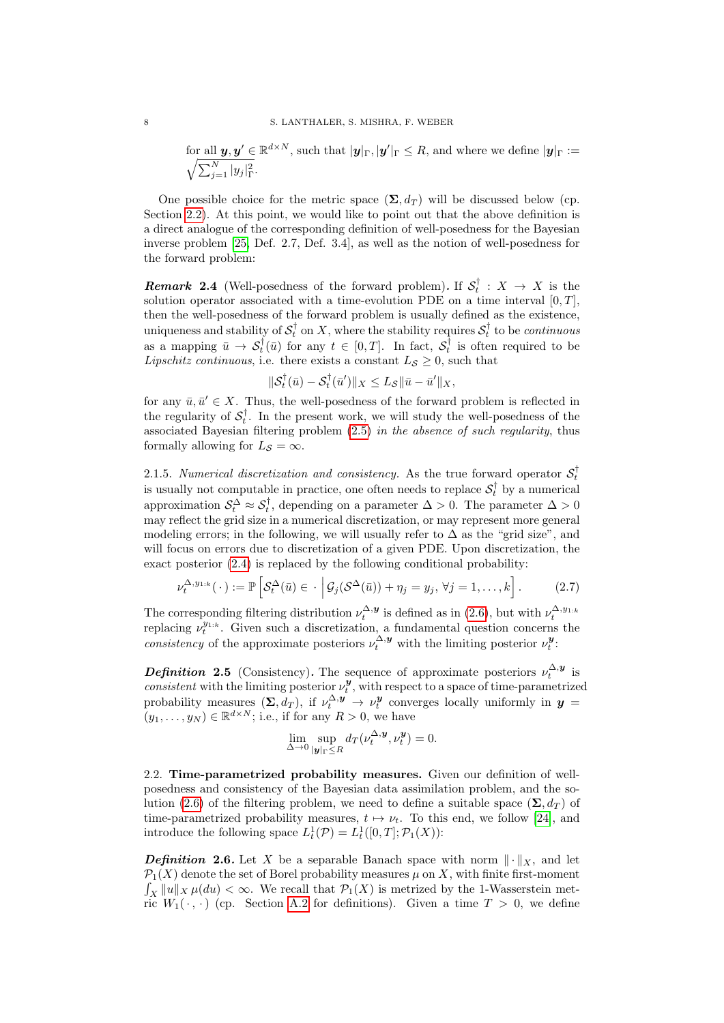for all  $y, y' \in \mathbb{R}^{d \times N}$ , such that  $|y|_{\Gamma}, |y'|_{\Gamma} \leq R$ , and where we define  $|y|_{\Gamma} :=$  $\sqrt{\sum_{j=1}^N |y_j|^2_{\Gamma}}$ .

One possible choice for the metric space  $(\Sigma, d_T)$  will be discussed below (cp. Section [2.2\)](#page-7-0). At this point, we would like to point out that the above definition is a direct analogue of the corresponding definition of well-posedness for the Bayesian inverse problem [\[25,](#page-37-2) Def. 2.7, Def. 3.4], as well as the notion of well-posedness for the forward problem:

**Remark 2.4** (Well-posedness of the forward problem). If  $S_t^{\dagger}$  :  $X \rightarrow X$  is the solution operator associated with a time-evolution PDE on a time interval  $[0, T]$ . then the well-posedness of the forward problem is usually defined as the existence, uniqueness and stability of  $\mathcal{S}_t^{\dagger}$  on X, where the stability requires  $\mathcal{S}_t^{\dagger}$  to be *continuous* as a mapping  $\bar{u} \to \mathcal{S}_t^{\dagger}(\bar{u})$  for any  $t \in [0, T]$ . In fact,  $\mathcal{S}_t^{\dagger}$  is often required to be Lipschitz continuous, i.e. there exists a constant  $L_{\mathcal{S}} \geq 0$ , such that

$$
\|\mathcal{S}_t^{\dagger}(\bar{u}) - \mathcal{S}_t^{\dagger}(\bar{u}')\|_X \leq L_{\mathcal{S}} \|\bar{u} - \bar{u}'\|_X,
$$

for any  $\bar{u}, \bar{u}' \in X$ . Thus, the well-posedness of the forward problem is reflected in the regularity of  $S_t^{\dagger}$ . In the present work, we will study the well-posedness of the associated Bayesian filtering problem [\(2.5\)](#page-6-2) in the absence of such regularity, thus formally allowing for  $L_{\mathcal{S}} = \infty$ .

2.1.5. Numerical discretization and consistency. As the true forward operator  $S_t^{\dagger}$ is usually not computable in practice, one often needs to replace  $\mathcal{S}_t^{\dagger}$  by a numerical approximation  $S_t^{\Delta} \approx S_t^{\dagger}$ , depending on a parameter  $\Delta > 0$ . The parameter  $\Delta > 0$ may reflect the grid size in a numerical discretization, or may represent more general modeling errors; in the following, we will usually refer to  $\Delta$  as the "grid size", and will focus on errors due to discretization of a given PDE. Upon discretization, the exact posterior [\(2.4\)](#page-6-0) is replaced by the following conditional probability:

$$
\nu_t^{\Delta, y_{1:k}}(\cdot) := \mathbb{P}\left[\mathcal{S}_t^{\Delta}(\bar{u}) \in \cdot \, \Big| \, \mathcal{G}_j(\mathcal{S}^{\Delta}(\bar{u})) + \eta_j = y_j, \, \forall j = 1, \dots, k\right].\tag{2.7}
$$

The corresponding filtering distribution  $\nu_t^{\Delta, \mathbf{y}}$  is defined as in [\(2.6\)](#page-6-1), but with  $\nu_t^{\Delta, y_{1:k}}$ <br>replacing  $\nu_t^{y_{1:k}}$ . Given such a discretization, a fundamental question concerns the consistency of the approximate posteriors  $\nu_t^{\Delta, y}$  with the limiting posterior  $\nu_t^{\mathbf{y}}$ .

<span id="page-7-1"></span>**Definition 2.5** (Consistency). The sequence of approximate posteriors  $\nu_t^{\Delta, y}$  is consistent with the limiting posterior  $\nu_t^y$ , with respect to a space of time-parametrized t probability measures  $(\Sigma, d_T)$ , if  $\nu_t^{\Delta, y} \to \nu_t^y$  converges locally uniformly in  $y =$  $(y_1, \ldots, y_N) \in \mathbb{R}^{d \times N}$ ; i.e., if for any  $R > 0$ , we have

<span id="page-7-2"></span>
$$
\lim_{\Delta \to 0} \sup_{\|\mathbf{y}\|_{\Gamma} \le R} d_T(\nu_t^{\Delta, \mathbf{y}}, \nu_t^{\mathbf{y}}) = 0.
$$

<span id="page-7-0"></span>2.2. Time-parametrized probability measures. Given our definition of wellposedness and consistency of the Bayesian data assimilation problem, and the so-lution [\(2.6\)](#page-6-1) of the filtering problem, we need to define a suitable space  $(\Sigma, d_T)$  of time-parametrized probability measures,  $t \mapsto \nu_t$ . To this end, we follow [\[24\]](#page-37-11), and introduce the following space  $L_t^1(\mathcal{P}) = L_t^1([0,T]; \mathcal{P}_1(X))$ :

**Definition 2.6.** Let X be a separable Banach space with norm  $\|\cdot\|_X$ , and let  $\mathcal{P}_1(X)$  denote the set of Borel probability measures  $\mu$  on X, with finite first-moment  $\int_X ||u||_X \mu(du) < \infty$ . We recall that  $\mathcal{P}_1(X)$  is metrized by the 1-Wasserstein metric  $W_1(\cdot, \cdot)$  (cp. Section [A.2](#page-34-0) for definitions). Given a time  $T > 0$ , we define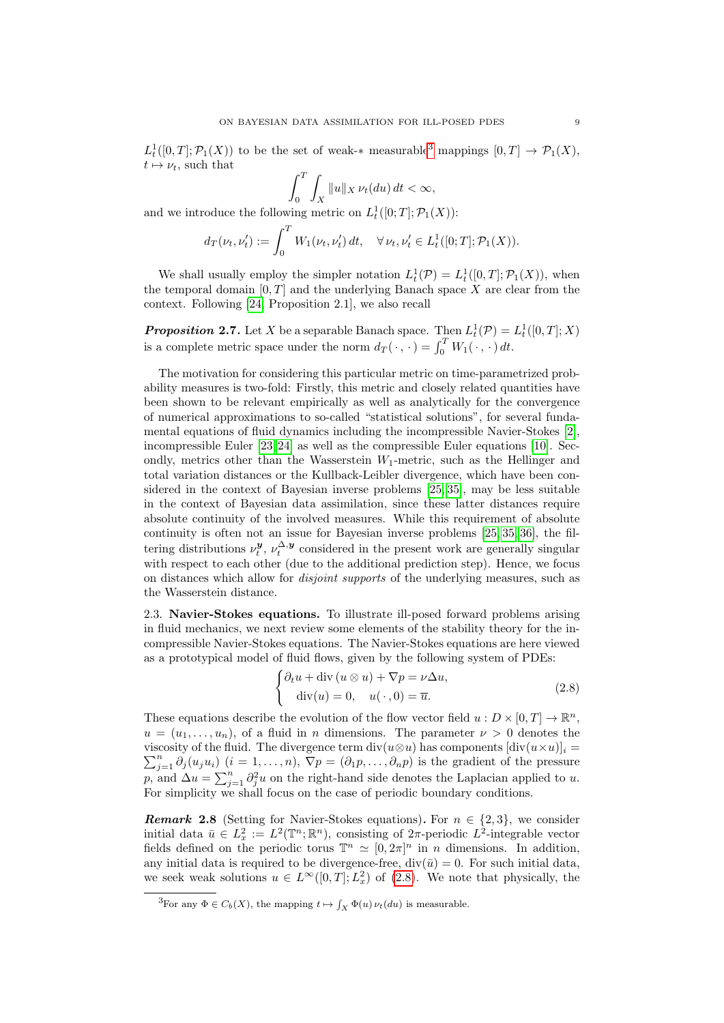$L_t^1([0,T]; \mathcal{P}_1(X))$  to be the set of weak-\* measurable<sup>[3](#page-8-1)</sup> mappings  $[0,T] \to \mathcal{P}_1(X)$ ,  $t \mapsto \nu_t$ , such that

$$
\int_0^T \int_X \|u\|_X \, \nu_t(du) \, dt < \infty,
$$

and we introduce the following metric on  $L_t^1([0;T]; \mathcal{P}_1(X))$ :

$$
d_T(\nu_t, \nu'_t) := \int_0^T W_1(\nu_t, \nu'_t) dt, \quad \forall \nu_t, \nu'_t \in L^1_t([0;T]; \mathcal{P}_1(X)).
$$

We shall usually employ the simpler notation  $L_t^1(\mathcal{P}) = L_t^1([0,T]; \mathcal{P}_1(X))$ , when the temporal domain  $[0, T]$  and the underlying Banach space X are clear from the context. Following [\[24,](#page-37-11) Proposition 2.1], we also recall

**Proposition 2.7.** Let X be a separable Banach space. Then  $L_t^1(\mathcal{P}) = L_t^1([0, T]; X)$ is a complete metric space under the norm  $d_T(\cdot, \cdot) = \int_0^T W_1(\cdot, \cdot) dt$ .

The motivation for considering this particular metric on time-parametrized probability measures is two-fold: Firstly, this metric and closely related quantities have been shown to be relevant empirically as well as analytically for the convergence of numerical approximations to so-called "statistical solutions", for several fundamental equations of fluid dynamics including the incompressible Navier-Stokes [\[2\]](#page-36-6), incompressible Euler [\[23,](#page-37-12) [24\]](#page-37-11) as well as the compressible Euler equations [\[10\]](#page-36-7). Secondly, metrics other than the Wasserstein  $W_1$ -metric, such as the Hellinger and total variation distances or the Kullback-Leibler divergence, which have been considered in the context of Bayesian inverse problems [\[25,](#page-37-2) [35\]](#page-37-3), may be less suitable in the context of Bayesian data assimilation, since these latter distances require absolute continuity of the involved measures. While this requirement of absolute continuity is often not an issue for Bayesian inverse problems [\[25,](#page-37-2) [35,](#page-37-3) [36\]](#page-37-0), the filtering distributions  $\nu_t^{\mathbf{y}}, \nu_t^{\Delta, \mathbf{y}}$  considered in the present work are generally singular with respect to each other (due to the additional prediction step). Hence, we focus on distances which allow for disjoint supports of the underlying measures, such as the Wasserstein distance.

<span id="page-8-0"></span>2.3. Navier-Stokes equations. To illustrate ill-posed forward problems arising in fluid mechanics, we next review some elements of the stability theory for the incompressible Navier-Stokes equations. The Navier-Stokes equations are here viewed as a prototypical model of fluid flows, given by the following system of PDEs:

<span id="page-8-2"></span>
$$
\begin{cases} \partial_t u + \text{div}\left(u \otimes u\right) + \nabla p = \nu \Delta u, \\ \text{div}(u) = 0, \quad u(\cdot, 0) = \overline{u}. \end{cases}
$$
 (2.8)

These equations describe the evolution of the flow vector field  $u : D \times [0, T] \to \mathbb{R}^n$ ,  $u = (u_1, \ldots, u_n)$ , of a fluid in n dimensions. The parameter  $\nu > 0$  denotes the viscosity of the fluid. The divergence term  $\mathrm{div}(u\otimes u)$  has components  $[\mathrm{div}(u\times u)]_i =$  $\sum_{j=1}^n \partial_j(u_ju_i)$   $(i = 1, \ldots, n)$ ,  $\nabla p = (\partial_1 p, \ldots, \partial_n p)$  is the gradient of the pressure p, and  $\Delta u = \sum_{j=1}^n \partial_j^2 u$  on the right-hand side denotes the Laplacian applied to u. For simplicity we shall focus on the case of periodic boundary conditions.

**Remark 2.8** (Setting for Navier-Stokes equations). For  $n \in \{2,3\}$ , we consider initial data  $\bar{u} \in L_x^2 := L^2(\mathbb{T}^n;\mathbb{R}^n)$ , consisting of  $2\pi$ -periodic  $L^2$ -integrable vector fields defined on the periodic torus  $\mathbb{T}^n \simeq [0, 2\pi]^n$  in *n* dimensions. In addition, any initial data is required to be divergence-free,  $div(\bar{u}) = 0$ . For such initial data, we seek weak solutions  $u \in L^{\infty}([0,T]; L_x^2)$  of  $(2.8)$ . We note that physically, the

<span id="page-8-1"></span><sup>&</sup>lt;sup>3</sup>For any  $\Phi \in C_b(X)$ , the mapping  $t \mapsto \int_X \Phi(u) \nu_t(du)$  is measurable.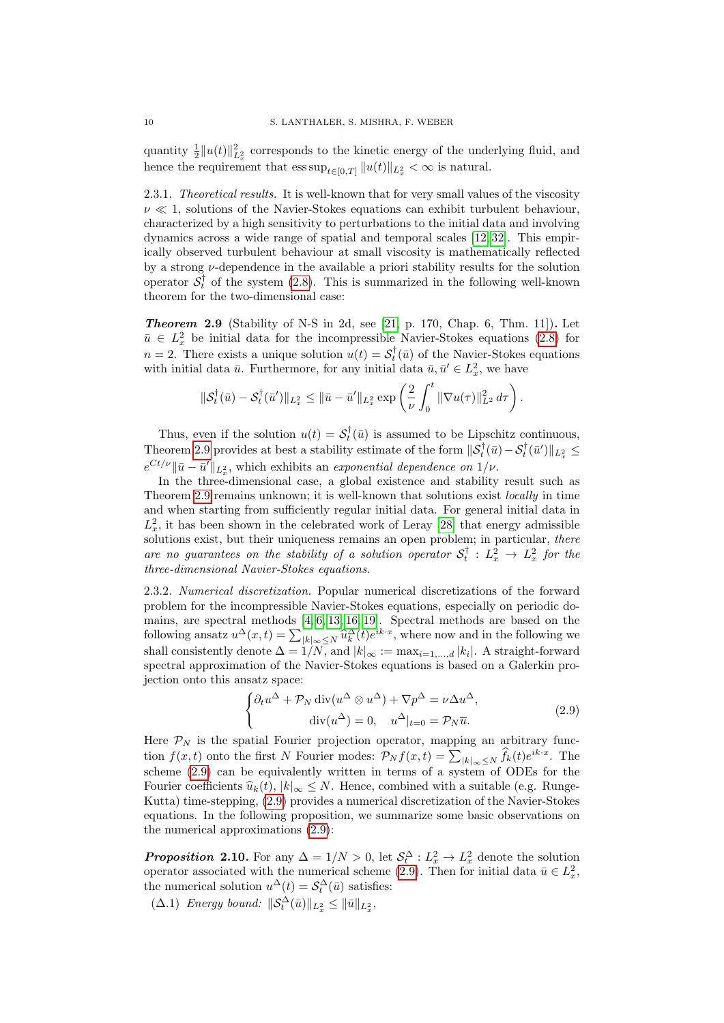quantity  $\frac{1}{2}||u(t)||_{L_x^2}^2$  corresponds to the kinetic energy of the underlying fluid, and hence the requirement that  $\text{ess sup}_{t\in[0,T]}\|u(t)\|_{L^2_x} < \infty$  is natural.

<span id="page-9-5"></span>2.3.1. Theoretical results. It is well-known that for very small values of the viscosity  $\nu \ll 1$ , solutions of the Navier-Stokes equations can exhibit turbulent behaviour, characterized by a high sensitivity to perturbations to the initial data and involving dynamics across a wide range of spatial and temporal scales [\[12,](#page-36-4) [32\]](#page-37-7). This empirically observed turbulent behaviour at small viscosity is mathematically reflected by a strong  $\nu$ -dependence in the available a priori stability results for the solution operator  $S_t^{\dagger}$  of the system [\(2.8\)](#page-8-2). This is summarized in the following well-known theorem for the two-dimensional case:

<span id="page-9-0"></span>**Theorem 2.9** (Stability of N-S in 2d, see  $[21, p. 170, Chap. 6, Thm. 11]$ ). Let  $\bar{u} \in L_x^2$  be initial data for the incompressible Navier-Stokes equations [\(2.8\)](#page-8-2) for  $n=2$ . There exists a unique solution  $u(t) = \mathcal{S}_t^{\dagger}(\bar{u})$  of the Navier-Stokes equations with initial data  $\bar{u}$ . Furthermore, for any initial data  $\bar{u}, \bar{u}' \in L_x^2$ , we have

$$
\|\mathcal{S}_t^{\dagger}(\bar{u}) - \mathcal{S}_t^{\dagger}(\bar{u}')\|_{L_x^2} \le \|\bar{u} - \bar{u}'\|_{L_x^2} \exp\left(\frac{2}{\nu} \int_0^t \|\nabla u(\tau)\|_{L^2}^2 d\tau\right).
$$

Thus, even if the solution  $u(t) = S_t^{\dagger}(\bar{u})$  is assumed to be Lipschitz continuous, Theorem [2.9](#page-9-0) provides at best a stability estimate of the form  $\|\mathcal{S}_t^{\dagger}(\bar{u}) - \mathcal{S}_t^{\dagger}(\bar{u}')\|_{L^2_x} \leq$  $e^{Ct/\nu}$  || $\bar{u} - \bar{u}'$ || $_{L_x^2}$ , which exhibits an exponential dependence on  $1/\nu$ .

In the three-dimensional case, a global existence and stability result such as Theorem [2.9](#page-9-0) remains unknown; it is well-known that solutions exist locally in time and when starting from sufficiently regular initial data. For general initial data in  $L_x^2$ , it has been shown in the celebrated work of Leray [\[28\]](#page-37-8) that energy admissible solutions exist, but their uniqueness remains an open problem; in particular, there are no guarantees on the stability of a solution operator  $S_t^{\dagger}$  :  $L_x^2 \rightarrow L_x^2$  for the three-dimensional Navier-Stokes equations.

<span id="page-9-3"></span>2.3.2. Numerical discretization. Popular numerical discretizations of the forward problem for the incompressible Navier-Stokes equations, especially on periodic domains, are spectral methods [\[4,](#page-36-8) [6,](#page-36-9) [13,](#page-36-10) [16,](#page-36-11) [19\]](#page-37-13). Spectral methods are based on the following ansatz  $u^{\Delta}(x,t) = \sum_{|k| \infty \leq N} \hat{u}_k^{\Delta}(t) e^{ik \cdot x}$ , where now and in the following we<br>clall consistently denote  $\Delta = \frac{1}{N} \sum_{k} \hat{u}_k^{\Delta}(t) e^{ik \cdot x}$ , where now and in the following we shall consistently denote  $\Delta = 1/N$ , and  $|k|_{\infty} := \max_{i=1,\dots,d} |k_i|$ . A straight-forward spectral approximation of the Navier-Stokes equations is based on a Galerkin projection onto this ansatz space:

<span id="page-9-1"></span>
$$
\begin{cases} \partial_t u^{\Delta} + \mathcal{P}_N \operatorname{div}(u^{\Delta} \otimes u^{\Delta}) + \nabla p^{\Delta} = \nu \Delta u^{\Delta}, \\ \operatorname{div}(u^{\Delta}) = 0, \quad u^{\Delta}|_{t=0} = \mathcal{P}_N \overline{u}. \end{cases}
$$
(2.9)

Here  $P_N$  is the spatial Fourier projection operator, mapping an arbitrary function  $f(x,t)$  onto the first N Fourier modes:  $\mathcal{P}_N f(x,t) = \sum_{|k|_{\infty} \leq N} \hat{f}_k(t) e^{ik \cdot x}$ . The scheme [\(2.9\)](#page-9-1) can be equivalently written in terms of a system of ODEs for the Fourier coefficients  $\hat{u}_k(t), |k|_{\infty} \leq N$ . Hence, combined with a suitable (e.g. Runge-Kutta) time-stepping, [\(2.9\)](#page-9-1) provides a numerical discretization of the Navier-Stokes equations. In the following proposition, we summarize some basic observations on the numerical approximations [\(2.9\)](#page-9-1):

<span id="page-9-2"></span>**Proposition 2.10.** For any  $\Delta = 1/N > 0$ , let  $\mathcal{S}_t^{\Delta}: L_x^2 \to L_x^2$  denote the solution operator associated with the numerical scheme [\(2.9\)](#page-9-1). Then for initial data  $\bar{u} \in L_x^2$ , the numerical solution  $u^{\Delta}(t) = \mathcal{S}_t^{\Delta}(\bar{u})$  satisfies:

<span id="page-9-4"></span> $(\Delta.1)$  Energy bound:  $\|\mathcal{S}_t^{\Delta}(\bar{u})\|_{L_x^2} \leq \|\bar{u}\|_{L_x^2}$ ,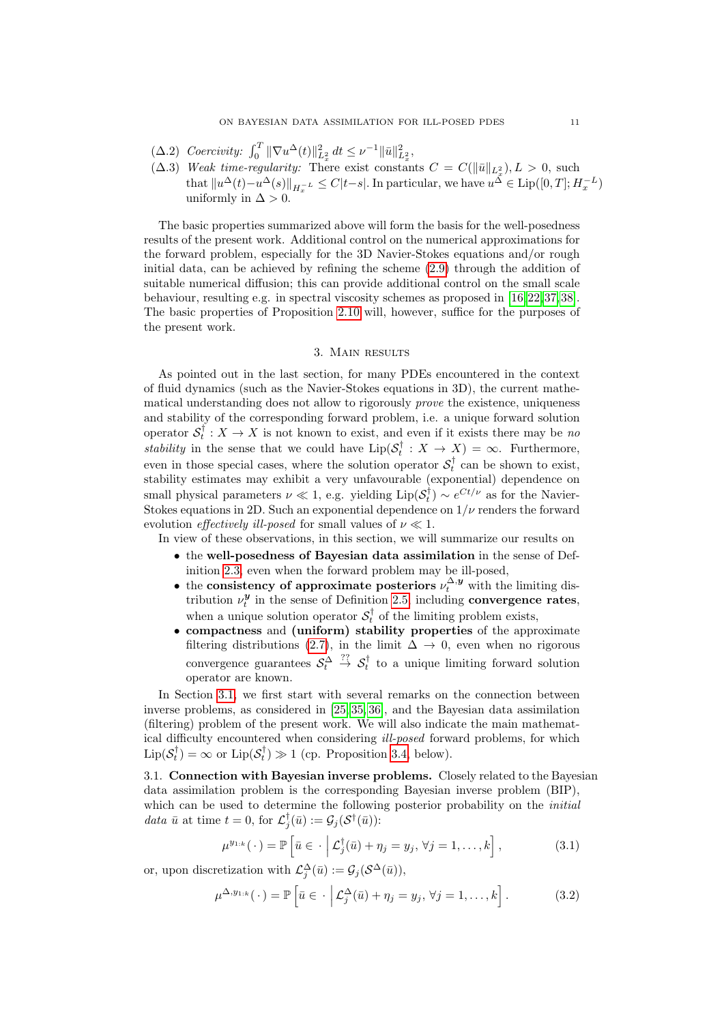- <span id="page-10-5"></span>( $\Delta.2$ ) Coercivity:  $\int_0^T \|\nabla u^{\Delta}(t)\|_{L_x^2}^2 dt \leq \nu^{-1} \|\bar{u}\|_{L_x^2}^2$ ,
- <span id="page-10-4"></span> $(\Delta.3)$  Weak time-regularity: There exist constants  $C = C(\|\bar{u}\|_{L_x^2}), L > 0$ , such that  $||u^{\Delta}(t)-u^{\Delta}(s)||_{H_x^{-L}} \leq C|t-s|$ . In particular, we have  $u^{\Delta} \in \text{Lip}([0,T]; H_x^{-L})$ uniformly in  $\Delta > 0$ .

The basic properties summarized above will form the basis for the well-posedness results of the present work. Additional control on the numerical approximations for the forward problem, especially for the 3D Navier-Stokes equations and/or rough initial data, can be achieved by refining the scheme [\(2.9\)](#page-9-1) through the addition of suitable numerical diffusion; this can provide additional control on the small scale behaviour, resulting e.g. in spectral viscosity schemes as proposed in [\[16,](#page-36-11)[22,](#page-37-14)[37,](#page-37-15)[38\]](#page-37-16). The basic properties of Proposition [2.10](#page-9-2) will, however, suffice for the purposes of the present work.

### 3. Main results

<span id="page-10-0"></span>As pointed out in the last section, for many PDEs encountered in the context of fluid dynamics (such as the Navier-Stokes equations in 3D), the current mathematical understanding does not allow to rigorously prove the existence, uniqueness and stability of the corresponding forward problem, i.e. a unique forward solution operator  $S_t^{\dagger}: X \to X$  is not known to exist, and even if it exists there may be no stability in the sense that we could have  $\text{Lip}(\mathcal{S}_t^{\dagger}: X \to X) = \infty$ . Furthermore, even in those special cases, where the solution operator  $S_t^{\dagger}$  can be shown to exist, stability estimates may exhibit a very unfavourable (exponential) dependence on small physical parameters  $\nu \ll 1$ , e.g. yielding  $\text{Lip}(\mathcal{S}_t^{\dagger}) \sim e^{Ct/\nu}$  as for the Navier-Stokes equations in 2D. Such an exponential dependence on  $1/\nu$  renders the forward evolution *effectively ill-posed* for small values of  $\nu \ll 1$ .

In view of these observations, in this section, we will summarize our results on

- the well-posedness of Bayesian data assimilation in the sense of Definition [2.3,](#page-6-3) even when the forward problem may be ill-posed,
- the consistency of approximate posteriors  $\nu_t^{\Delta, y}$  with the limiting distribution  $\nu_t^{\mathbf{y}}$  in the sense of Definition [2.5,](#page-7-1) including **convergence rates**, when a unique solution operator  $S_t^{\dagger}$  of the limiting problem exists,
- compactness and (uniform) stability properties of the approximate filtering distributions [\(2.7\)](#page-7-2), in the limit  $\Delta \rightarrow 0$ , even when no rigorous convergence guarantees  $S_t^{\Delta} \stackrel{??}{\rightarrow} S_t^{\dagger}$  to a unique limiting forward solution operator are known.

In Section [3.1,](#page-10-1) we first start with several remarks on the connection between inverse problems, as considered in [\[25,](#page-37-2) [35,](#page-37-3) [36\]](#page-37-0), and the Bayesian data assimilation (filtering) problem of the present work. We will also indicate the main mathematical difficulty encountered when considering ill-posed forward problems, for which  $\text{Lip}(\mathcal{S}_t^{\dagger}) = \infty$  or  $\text{Lip}(\mathcal{S}_t^{\dagger}) \gg 1$  (cp. Proposition [3.4,](#page-12-0) below).

<span id="page-10-1"></span>3.1. Connection with Bayesian inverse problems. Closely related to the Bayesian data assimilation problem is the corresponding Bayesian inverse problem (BIP), which can be used to determine the following posterior probability on the *initial* data  $\bar{u}$  at time  $t = 0$ , for  $\mathcal{L}^{\dagger}_j(\bar{u}) := \mathcal{G}_j(\mathcal{S}^{\dagger}(\bar{u}))$ :

<span id="page-10-3"></span><span id="page-10-2"></span>
$$
\mu^{y_{1:k}}(\cdot) = \mathbb{P}\left[\bar{u} \in \cdot \middle| \mathcal{L}_j^{\dagger}(\bar{u}) + \eta_j = y_j, \forall j = 1, \dots, k\right],\tag{3.1}
$$

or, upon discretization with  $\mathcal{L}^{\Delta}_{j}(\bar{u}) := \mathcal{G}_{j}(\mathcal{S}^{\Delta}(\bar{u})),$ 

$$
\mu^{\Delta, y_{1:k}}(\cdot) = \mathbb{P}\left[\bar{u} \in \cdot \middle| \mathcal{L}_j^{\Delta}(\bar{u}) + \eta_j = y_j, \forall j = 1, \dots, k\right].
$$
 (3.2)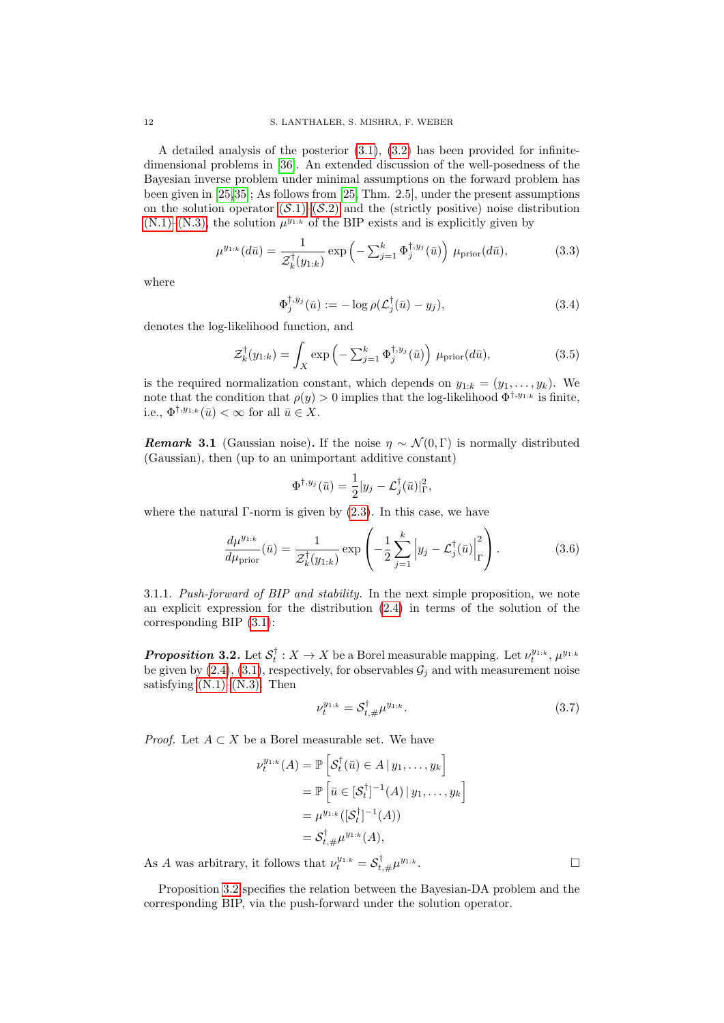A detailed analysis of the posterior [\(3.1\)](#page-10-2), [\(3.2\)](#page-10-3) has been provided for infinitedimensional problems in [\[36\]](#page-37-0). An extended discussion of the well-posedness of the Bayesian inverse problem under minimal assumptions on the forward problem has been given in [\[25,](#page-37-2)[35\]](#page-37-3); As follows from [\[25,](#page-37-2) Thm. 2.5], under the present assumptions on the solution operator  $(S.1)$ – $(S.2)$  $(S.2)$  and the (strictly positive) noise distribution  $(N.1)$ – $(N.3)$ , the solution  $\mu^{y_{1:k}}$  of the BIP exists and is explicitly given by

$$
\mu^{y_{1:k}}(d\bar{u}) = \frac{1}{\mathcal{Z}_k^{\dagger}(y_{1:k})} \exp\left(-\sum_{j=1}^k \Phi_j^{\dagger, y_j}(\bar{u})\right) \mu_{\text{prior}}(d\bar{u}),\tag{3.3}
$$

where

<span id="page-11-3"></span><span id="page-11-1"></span>
$$
\Phi_j^{\dagger, y_j}(\bar{u}) := -\log \rho(\mathcal{L}_j^{\dagger}(\bar{u}) - y_j), \tag{3.4}
$$

denotes the log-likelihood function, and

$$
\mathcal{Z}_k^{\dagger}(y_{1:k}) = \int_X \exp\left(-\sum_{j=1}^k \Phi_j^{\dagger, y_j}(\bar{u})\right) \mu_{\text{prior}}(d\bar{u}),\tag{3.5}
$$

is the required normalization constant, which depends on  $y_{1:k} = (y_1, \ldots, y_k)$ . We note that the condition that  $\rho(y) > 0$  implies that the log-likelihood  $\Phi^{\dagger,y_1,k}$  is finite, i.e.,  $\Phi^{\dagger, y_{1:k}}(\bar{u}) < \infty$  for all  $\bar{u} \in X$ .

**Remark 3.1** (Gaussian noise). If the noise  $\eta \sim \mathcal{N}(0, \Gamma)$  is normally distributed (Gaussian), then (up to an unimportant additive constant)

$$
\Phi^{\dagger,y_j}(\bar{u})=\frac{1}{2}|y_j-\mathcal{L}_j^{\dagger}(\bar{u})|_{\Gamma}^2,
$$

where the natural  $\Gamma$ -norm is given by  $(2.3)$ . In this case, we have

$$
\frac{d\mu^{y_{1:k}}}{d\mu_{\text{prior}}}(\bar{u}) = \frac{1}{\mathcal{Z}_k^{\dagger}(y_{1:k})} \exp\left(-\frac{1}{2}\sum_{j=1}^k \left|y_j - \mathcal{L}_j^{\dagger}(\bar{u})\right|_{\Gamma}^2\right). \tag{3.6}
$$

3.1.1. Push-forward of BIP and stability. In the next simple proposition, we note an explicit expression for the distribution [\(2.4\)](#page-6-0) in terms of the solution of the corresponding BIP [\(3.1\)](#page-10-2):

<span id="page-11-0"></span>**Proposition 3.2.** Let  $S_t^{\dagger}: X \to X$  be a Borel measurable mapping. Let  $\nu_t^{y_{1:k}}, \mu^{y_{1:k}}$ be given by  $(2.4)$ ,  $(3.1)$ , respectively, for observables  $\mathcal{G}_j$  and with measurement noise satisfying  $(N.1)$ – $(N.3)$ . Then

<span id="page-11-2"></span>
$$
\nu_t^{y_{1:k}} = \mathcal{S}_{t,\#}^\dagger \mu^{y_{1:k}}.\tag{3.7}
$$

*Proof.* Let  $A \subset X$  be a Borel measurable set. We have

$$
\nu_t^{y_{1:k}}(A) = \mathbb{P}\left[\mathcal{S}_t^{\dagger}(\bar{u}) \in A \,|\, y_1, \dots, y_k\right]
$$
  
=  $\mathbb{P}\left[\bar{u} \in [\mathcal{S}_t^{\dagger}]^{-1}(A) \,|\, y_1, \dots, y_k\right]$   
=  $\mu^{y_{1:k}}([S_t^{\dagger}]^{-1}(A))$   
=  $\mathcal{S}_{t,\#}^{\dagger} \mu^{y_{1:k}}(A),$ 

As A was arbitrary, it follows that  $\nu_t^{y_{1:k}} = \mathcal{S}_{t,\#}^{\dagger} \mu^{y_{1:k}}$ .

Proposition [3.2](#page-11-0) specifies the relation between the Bayesian-DA problem and the corresponding BIP, via the push-forward under the solution operator.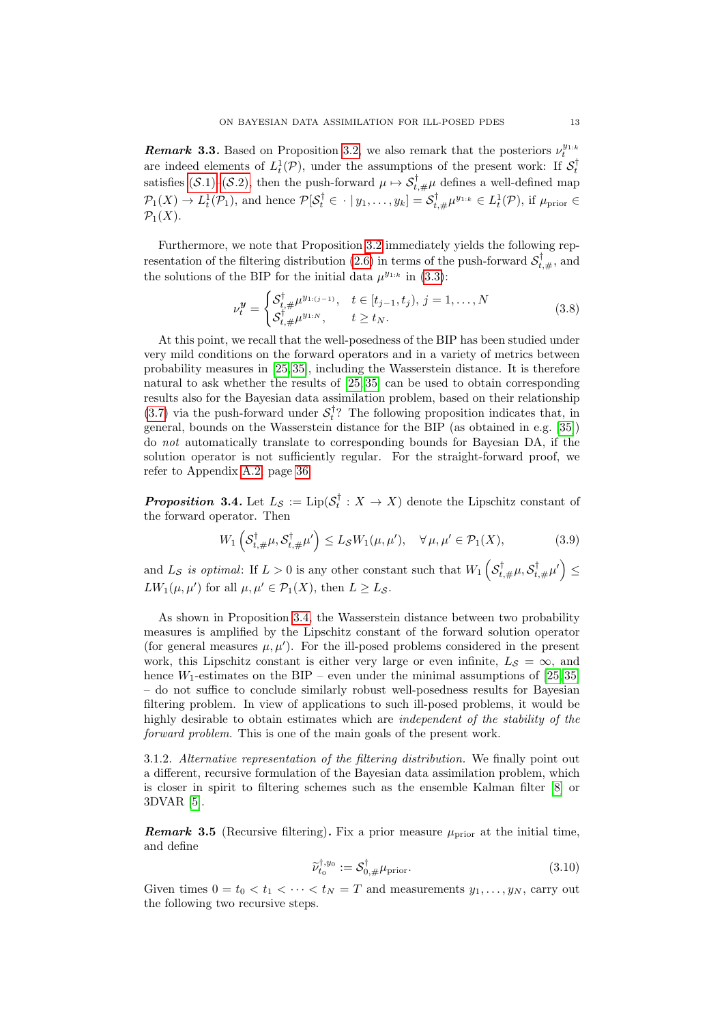**Remark 3.3.** Based on Proposition [3.2,](#page-11-0) we also remark that the posteriors  $\nu_t^{y_1,k}$ are indeed elements of  $L_t^1(\mathcal{P})$ , under the assumptions of the present work: If  $\mathcal{S}_t^{\dagger}$ satisfies  $(S.1)$ – $(S.2)$ , then the push-forward  $\mu \mapsto S_{t,\#}^{\dagger} \mu$  defines a well-defined map  $\mathcal{P}_1(X) \to L_t^1(\mathcal{P}_1)$ , and hence  $\mathcal{P}[\mathcal{S}_t^{\dagger} \in \cdot \mid y_1, \ldots, y_k] = \mathcal{S}_{t,\#}^{\dagger} \mu^{y_{1:k}} \in L_t^1(\mathcal{P})$ , if  $\mu_{\text{prior}} \in$  $\mathcal{P}_1(X)$ .

Furthermore, we note that Proposition [3.2](#page-11-0) immediately yields the following rep-resentation of the filtering distribution [\(2.6\)](#page-6-1) in terms of the push-forward  $\mathcal{S}_{t,\#}^{\dagger}$ , and the solutions of the BIP for the initial data  $\mu^{y_{1:k}}$  in [\(3.3\)](#page-11-1):

<span id="page-12-2"></span>
$$
\nu_t^{\mathbf{y}} = \begin{cases} \mathcal{S}_{t, \#}^{\dagger} \mu^{y_{1:(j-1)}}, & t \in [t_{j-1}, t_j), j = 1, \dots, N \\ \mathcal{S}_{t, \#}^{\dagger} \mu^{y_{1:N}}, & t \ge t_N. \end{cases}
$$
(3.8)

At this point, we recall that the well-posedness of the BIP has been studied under very mild conditions on the forward operators and in a variety of metrics between probability measures in [\[25,](#page-37-2) [35\]](#page-37-3), including the Wasserstein distance. It is therefore natural to ask whether the results of [\[25,](#page-37-2) [35\]](#page-37-3) can be used to obtain corresponding results also for the Bayesian data assimilation problem, based on their relationship [\(3.7\)](#page-11-2) via the push-forward under  $S_t^{\dagger}$ ? The following proposition indicates that, in general, bounds on the Wasserstein distance for the BIP (as obtained in e.g. [\[35\]](#page-37-3)) do not automatically translate to corresponding bounds for Bayesian DA, if the solution operator is not sufficiently regular. For the straight-forward proof, we refer to Appendix [A.2,](#page-34-0) page [36.](#page-35-0)

<span id="page-12-0"></span>**Proposition 3.4.** Let  $L_{\mathcal{S}} := \text{Lip}(\mathcal{S}_t^{\dagger} : X \to X)$  denote the Lipschitz constant of the forward operator. Then

$$
W_1\left(\mathcal{S}_{t,\#}^{\dagger}\mu,\mathcal{S}_{t,\#}^{\dagger}\mu'\right) \le L_{\mathcal{S}}W_1(\mu,\mu'), \quad \forall \mu,\mu' \in \mathcal{P}_1(X),\tag{3.9}
$$

and  $L_S$  is optimal: If  $L > 0$  is any other constant such that  $W_1\left(S^{\dagger}_{t,\#}\mu, S^{\dagger}_{t,\#}\mu'\right) \leq$  $LW_1(\mu, \mu')$  for all  $\mu, \mu' \in \mathcal{P}_1(X)$ , then  $L \geq L_{\mathcal{S}}$ .

As shown in Proposition [3.4,](#page-12-0) the Wasserstein distance between two probability measures is amplified by the Lipschitz constant of the forward solution operator (for general measures  $\mu, \mu'$ ). For the ill-posed problems considered in the present work, this Lipschitz constant is either very large or even infinite,  $L_S = \infty$ , and hence  $W_1$ -estimates on the BIP – even under the minimal assumptions of [\[25,](#page-37-2) [35\]](#page-37-3) – do not suffice to conclude similarly robust well-posedness results for Bayesian filtering problem. In view of applications to such ill-posed problems, it would be highly desirable to obtain estimates which are *independent of the stability of the* forward problem. This is one of the main goals of the present work.

3.1.2. Alternative representation of the filtering distribution. We finally point out a different, recursive formulation of the Bayesian data assimilation problem, which is closer in spirit to filtering schemes such as the ensemble Kalman filter [\[8\]](#page-36-3) or 3DVAR [\[5\]](#page-36-2).

<span id="page-12-1"></span>**Remark 3.5** (Recursive filtering). Fix a prior measure  $\mu_{\text{prior}}$  at the initial time. and define

$$
\widetilde{\nu}_{t_0}^{\dagger, y_0} := \mathcal{S}_{0, \#}^{\dagger} \mu_{\text{prior}}.
$$
\n(3.10)

Given times  $0 = t_0 < t_1 < \cdots < t_N = T$  and measurements  $y_1, \ldots, y_N$ , carry out the following two recursive steps.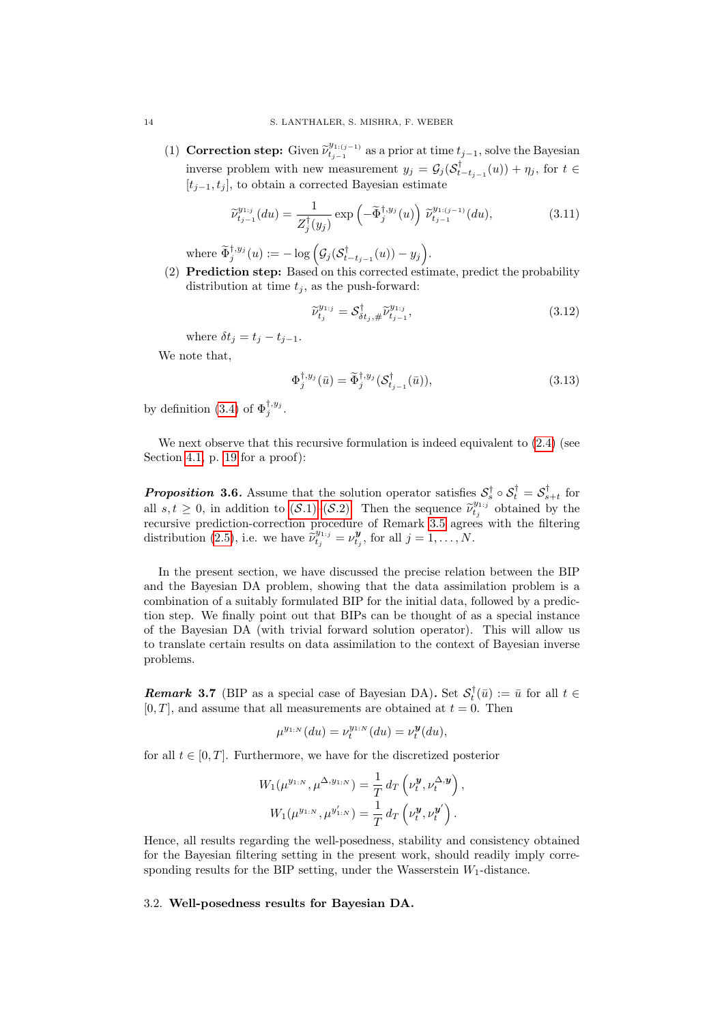(1) Correction step: Given  $\tilde{\nu}_{t_{j-1}}^{y_{1:(j-1)}}$  $t_{j-1}^{g_{1:(j-1)}}$  as a prior at time  $t_{j-1}$ , solve the Bayesian inverse problem with new measurement  $y_j = \mathcal{G}_j(\mathcal{S}_{t-t_{j-1}}^{\dagger}(u)) + \eta_j$ , for  $t \in$  $[t_{i-1}, t_i]$ , to obtain a corrected Bayesian estimate

$$
\widetilde{\nu}_{t_{j-1}}^{y_{1,j}}(du) = \frac{1}{Z_j^{\dagger}(y_j)} \exp\left(-\widetilde{\Phi}_j^{\dagger, y_j}(u)\right) \widetilde{\nu}_{t_{j-1}}^{y_{1:(j-1)}}(du),\tag{3.11}
$$

where  $\widetilde{\Phi}_{j}^{\dagger,y_{j}}(u) := -\log \Big( \mathcal{G}_{j}(\mathcal{S}_{t-t_{j-1}}^{\dagger}(u)) - y_{j} \Big).$ 

(2) Prediction step: Based on this corrected estimate, predict the probability distribution at time  $t_i$ , as the push-forward:

<span id="page-13-4"></span><span id="page-13-3"></span>
$$
\widetilde{\nu}_{t_j}^{y_{1:j}} = \mathcal{S}_{\delta t_j, \#}^{\dagger} \widetilde{\nu}_{t_{j-1}}^{y_{1:j}},\tag{3.12}
$$

where  $\delta t_j = t_j - t_{j-1}$ .

We note that,

$$
\Phi_j^{\dagger, y_j}(\bar{u}) = \widetilde{\Phi}_j^{\dagger, y_j}(\mathcal{S}_{t_{j-1}}^{\dagger}(\bar{u})),\tag{3.13}
$$

by definition [\(3.4\)](#page-11-3) of  $\Phi_j^{\dagger, y_j}$ .

We next observe that this recursive formulation is indeed equivalent to  $(2.4)$  (see Section [4.1,](#page-18-1) p. [19](#page-18-1) for a proof):

<span id="page-13-2"></span>**Proposition 3.6.** Assume that the solution operator satisfies  $S_s^{\dagger} \circ S_t^{\dagger} = S_{s+t}^{\dagger}$  for all  $s, t \geq 0$ , in addition to  $(S.1)$ – $(S.2)$ . Then the sequence  $\tilde{\nu}_{t,j}^{y_{1,j}}$  obtained by the requestion proceedure of Benevit 3.5 across with the filtering recursive prediction-correction procedure of Remark [3.5](#page-12-1) agrees with the filtering distribution [\(2.5\)](#page-6-2), i.e. we have  $\hat{\tilde{\nu}}_{t_j}^{y_{1:j}} = \nu_{t_j}^{\mathbf{y}},$  for all  $j = 1, ..., N$ .

In the present section, we have discussed the precise relation between the BIP and the Bayesian DA problem, showing that the data assimilation problem is a combination of a suitably formulated BIP for the initial data, followed by a prediction step. We finally point out that BIPs can be thought of as a special instance of the Bayesian DA (with trivial forward solution operator). This will allow us to translate certain results on data assimilation to the context of Bayesian inverse problems.

<span id="page-13-1"></span>**Remark 3.7** (BIP as a special case of Bayesian DA). Set  $\mathcal{S}_t^{\dagger}(\bar{u}) := \bar{u}$  for all  $t \in$  $[0, T]$ , and assume that all measurements are obtained at  $t = 0$ . Then

$$
\mu^{y_{1:N}}(du) = \nu_t^{y_{1:N}}(du) = \nu_t^{\mathbf{y}}(du),
$$

for all  $t \in [0, T]$ . Furthermore, we have for the discretized posterior

$$
W_1(\mu^{y_{1:N}}, \mu^{\Delta, y_{1:N}}) = \frac{1}{T} d_T \left( \nu_t^{\mathbf{y}}, \nu_t^{\Delta, \mathbf{y}} \right),
$$
  

$$
W_1(\mu^{y_{1:N}}, \mu^{y'_{1:N}}) = \frac{1}{T} d_T \left( \nu_t^{\mathbf{y}}, \nu_t^{\mathbf{y}'} \right).
$$

Hence, all results regarding the well-posedness, stability and consistency obtained for the Bayesian filtering setting in the present work, should readily imply corresponding results for the BIP setting, under the Wasserstein  $W_1$ -distance.

## <span id="page-13-0"></span>3.2. Well-posedness results for Bayesian DA.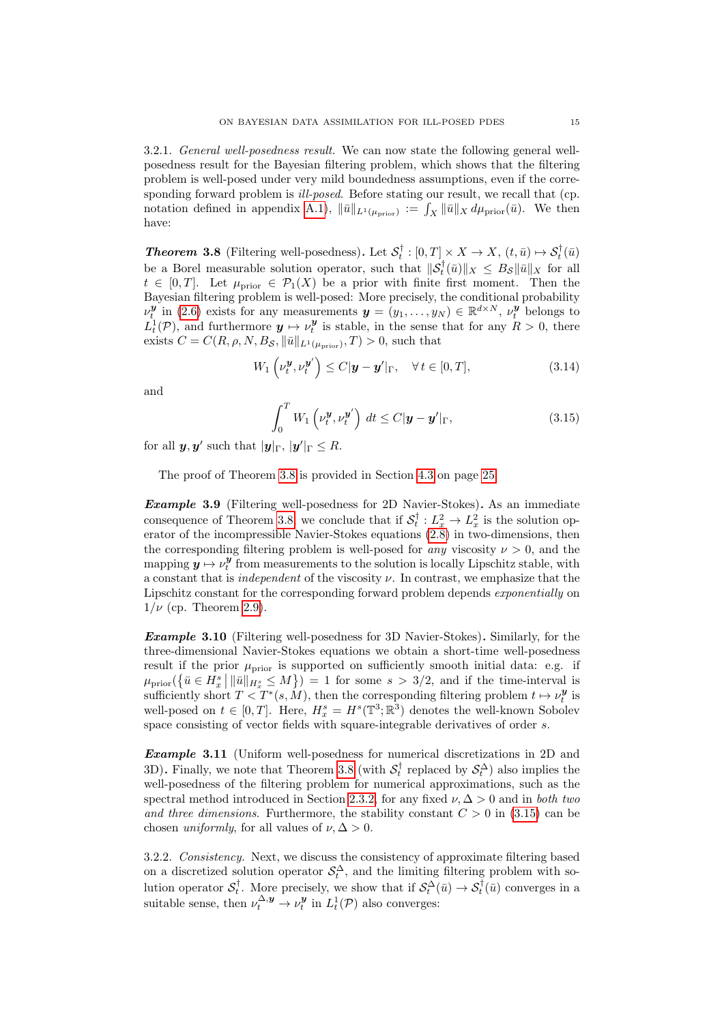3.2.1. General well-posedness result. We can now state the following general wellposedness result for the Bayesian filtering problem, which shows that the filtering problem is well-posed under very mild boundedness assumptions, even if the corresponding forward problem is *ill-posed*. Before stating our result, we recall that (cp. notation defined in appendix [A.1\)](#page-34-1),  $\|\bar{u}\|_{L^1(\mu_{\text{prior}})} := \int_X \|\bar{u}\|_X d\mu_{\text{prior}}(\bar{u})$ . We then have:

<span id="page-14-0"></span>**Theorem 3.8** (Filtering well-posedness). Let  $S_t^{\dagger} : [0, T] \times X \to X$ ,  $(t, \bar{u}) \mapsto S_t^{\dagger}(\bar{u})$ be a Borel measurable solution operator, such that  $\|\mathcal{S}_t^{\dagger}(\bar{u})\|_X \leq B_{\mathcal{S}} \|\bar{u}\|_X$  for all  $t \in [0, T]$ . Let  $\mu_{\text{prior}} \in \mathcal{P}_1(X)$  be a prior with finite first moment. Then the Bayesian filtering problem is well-posed: More precisely, the conditional probability  $\nu_t^{\bm{y}}$  in [\(2.6\)](#page-6-1) exists for any measurements  $\bm{y} = (y_1, \ldots, y_N) \in \mathbb{R}^{d \times N}, \nu_t^{\bm{y}}$  belongs to  $L_t^1(\mathcal{P})$ , and furthermore  $y \mapsto \nu_t^y$  is stable, in the sense that for any  $R > 0$ , there exists  $C = C(R, \rho, N, B_{\mathcal{S}}, ||\bar{u}||_{L^1(\mu_{\text{prior}})}, T) > 0$ , such that

$$
W_1\left(\nu_t^{\mathbf{y}}, \nu_t^{\mathbf{y}'}\right) \le C|\mathbf{y} - \mathbf{y}'|_{\Gamma}, \quad \forall \, t \in [0, T], \tag{3.14}
$$

and

<span id="page-14-1"></span>
$$
\int_0^T W_1 \left( \nu_t^{\boldsymbol{y}}, \nu_t^{\boldsymbol{y}'} \right) dt \le C |\boldsymbol{y} - \boldsymbol{y}'|_{\Gamma}, \tag{3.15}
$$

for all  $y, y'$  such that  $|y|_{\Gamma}$ ,  $|y'|_{\Gamma} \leq R$ .

The proof of Theorem [3.8](#page-14-0) is provided in Section [4.3](#page-23-0) on page [25.](#page-23-0)

**Example 3.9** (Filtering well-posedness for 2D Navier-Stokes). As an immediate consequence of Theorem [3.8,](#page-14-0) we conclude that if  $S_t^{\dagger}: L_x^2 \to L_x^2$  is the solution operator of the incompressible Navier-Stokes equations [\(2.8\)](#page-8-2) in two-dimensions, then the corresponding filtering problem is well-posed for *any* viscosity  $\nu > 0$ , and the mapping  $y \mapsto \nu_t^y$  from measurements to the solution is locally Lipschitz stable, with a constant that is *independent* of the viscosity  $\nu$ . In contrast, we emphasize that the Lipschitz constant for the corresponding forward problem depends exponentially on  $1/\nu$  (cp. Theorem [2.9\)](#page-9-0).

**Example 3.10** (Filtering well-posedness for 3D Navier-Stokes). Similarly, for the three-dimensional Navier-Stokes equations we obtain a short-time well-posedness result if the prior  $\mu_{\text{prior}}$  is supported on sufficiently smooth initial data: e.g. if  $\mu_{\text{prior}}(\{\bar{u} \in H_x^s \mid \|\bar{u}\|_{H_x^s} \leq M\}) = 1$  for some  $s > 3/2$ , and if the time-interval is sufficiently short  $T < T^*(s, M)$ , then the corresponding filtering problem  $t \mapsto \nu_t^{\mathbf{y}}$  is well-posed on  $t \in [0, T]$ . Here,  $H_x^s = H^s(\mathbb{T}^3; \mathbb{R}^3)$  denotes the well-known Sobolev space consisting of vector fields with square-integrable derivatives of order s.

Example 3.11 (Uniform well-posedness for numerical discretizations in 2D and 3D). Finally, we note that Theorem [3.8](#page-14-0) (with  $S_t^{\dagger}$  replaced by  $S_t^{\Delta}$ ) also implies the well-posedness of the filtering problem for numerical approximations, such as the spectral method introduced in Section [2.3.2,](#page-9-3) for any fixed  $\nu, \Delta > 0$  and in both two and three dimensions. Furthermore, the stability constant  $C > 0$  in [\(3.15\)](#page-14-1) can be chosen *uniformly*, for all values of  $\nu$ ,  $\Delta > 0$ .

<span id="page-14-2"></span>3.2.2. Consistency. Next, we discuss the consistency of approximate filtering based on a discretized solution operator  $\mathcal{S}_t^{\Delta}$ , and the limiting filtering problem with solution operator  $S_t^{\dagger}$ . More precisely, we show that if  $S_t^{\Delta}(\bar{u}) \to S_t^{\dagger}(\bar{u})$  converges in a suitable sense, then  $\nu_t^{\Delta, y} \to \nu_t^y$  in  $L_t^1(\mathcal{P})$  also converges: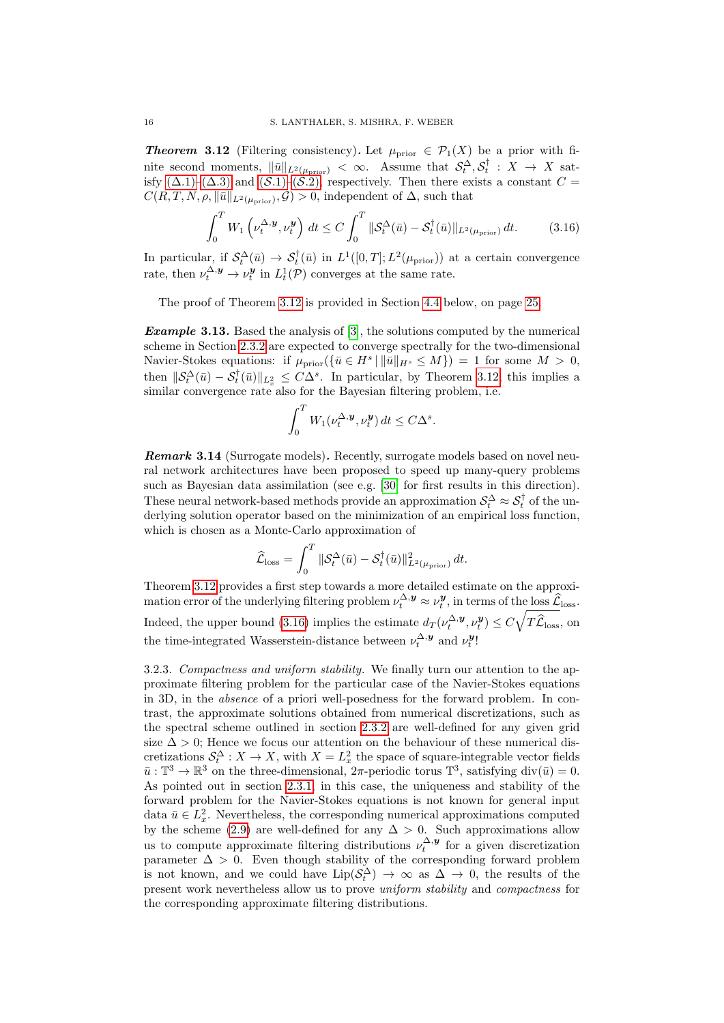**Theorem 3.12** (Filtering consistency). Let  $\mu_{\text{prior}} \in \mathcal{P}_1(X)$  be a prior with finite second moments,  $\|\bar{u}\|_{L^2(\mu_{\text{prior}})} < \infty$ . Assume that  $\mathcal{S}_t^{\Delta}, \mathcal{S}_t^{\dagger} : X \to X$  satisfy  $(\Delta.1)-(\Delta.3)$  and  $(\mathcal{S}.1)-(\mathcal{S}.2)$ , respectively. Then there exists a constant  $C=$  $C(R, T, N, \rho, \|\bar{u}\|_{L^2(\mu_{\text{prior}})}, \mathcal{G}) > 0$ , independent of  $\Delta$ , such that

$$
\int_0^T W_1\left(\nu_t^{\Delta,\mathbf{y}},\nu_t^{\mathbf{y}}\right) dt \le C \int_0^T \|\mathcal{S}_t^{\Delta}(\bar{u}) - \mathcal{S}_t^{\dagger}(\bar{u})\|_{L^2(\mu_{\text{prior}})} dt. \tag{3.16}
$$

In particular, if  $S_t^{\Delta}(\bar{u}) \to S_t^{\dagger}(\bar{u})$  in  $L^1([0,T];L^2(\mu_{\text{prior}}))$  at a certain convergence rate, then  $\nu_t^{\Delta, \mathbf{y}} \to \nu_t^{\mathbf{y}}$  in  $L_t^1(\mathcal{P})$  converges at the same rate.

The proof of Theorem [3.12](#page-14-2) is provided in Section [4.4](#page-24-0) below, on page [25.](#page-24-0)

**Example 3.13.** Based the analysis of [\[3\]](#page-36-12), the solutions computed by the numerical scheme in Section [2.3.2](#page-9-3) are expected to converge spectrally for the two-dimensional Navier-Stokes equations: if  $\mu_{\text{prior}}(\{\bar{u} \in H^s \mid \|\bar{u}\|_{H^s} \leq M\}) = 1$  for some  $M > 0$ , then  $\|\mathcal{S}_t^{\Delta}(\bar{u}) - \mathcal{S}_t^{\dagger}(\bar{u})\|_{L_x^2} \leq C\Delta^s$ . In particular, by Theorem [3.12,](#page-14-2) this implies a similar convergence rate also for the Bayesian filtering problem, i.e.

<span id="page-15-0"></span>
$$
\int_0^T W_1(\nu_t^{\Delta, \mathbf{y}}, \nu_t^{\mathbf{y}}) dt \le C\Delta^s.
$$

<span id="page-15-1"></span>**Remark 3.14** (Surrogate models). Recently, surrogate models based on novel neural network architectures have been proposed to speed up many-query problems such as Bayesian data assimilation (see e.g. [\[30\]](#page-37-17) for first results in this direction). These neural network-based methods provide an approximation  $S_t^{\Delta} \approx S_t^{\dagger}$  of the underlying solution operator based on the minimization of an empirical loss function, which is chosen as a Monte-Carlo approximation of

$$
\widehat{\mathcal{L}}_{\mathrm{loss}} = \int_0^T \|\mathcal{S}_t^{\Delta}(\bar{u}) - \mathcal{S}_t^{\dagger}(\bar{u})\|_{L^2(\mu_{\mathrm{prior}})}^2 dt.
$$

Theorem [3.12](#page-14-2) provides a first step towards a more detailed estimate on the approximation error of the underlying filtering problem  $\nu_t^{\Delta, \mathbf{y}} \approx \nu_t^{\mathbf{y}}$ , in terms of the loss  $\widehat{\mathcal{L}}_{\text{loss}}$ . Indeed, the upper bound [\(3.16\)](#page-15-0) implies the estimate  $d_T(\nu_t^{\Delta, \mathbf{y}}, \nu_t^{\mathbf{y}}) \leq C \sqrt{T \hat{\mathcal{L}}_{\text{loss}}},$  on the time-integrated Wasserstein-distance between  $\nu_t^{\Delta, \mathbf{y}}$  and  $\nu_t^{\mathbf{y}}$ !

3.2.3. Compactness and uniform stability. We finally turn our attention to the approximate filtering problem for the particular case of the Navier-Stokes equations in 3D, in the absence of a priori well-posedness for the forward problem. In contrast, the approximate solutions obtained from numerical discretizations, such as the spectral scheme outlined in section [2.3.2](#page-9-3) are well-defined for any given grid size  $\Delta > 0$ ; Hence we focus our attention on the behaviour of these numerical discretizations  $S_t^{\Delta}: X \to X$ , with  $X = L_x^2$  the space of square-integrable vector fields  $\bar{u}: \mathbb{T}^3 \to \mathbb{R}^3$  on the three-dimensional,  $2\pi$ -periodic torus  $\mathbb{T}^3$ , satisfying div $(\bar{u}) = 0$ . As pointed out in section [2.3.1,](#page-9-5) in this case, the uniqueness and stability of the forward problem for the Navier-Stokes equations is not known for general input data  $\bar{u} \in L_x^2$ . Nevertheless, the corresponding numerical approximations computed by the scheme [\(2.9\)](#page-9-1) are well-defined for any  $\Delta > 0$ . Such approximations allow us to compute approximate filtering distributions  $\nu_t^{\Delta, y}$  for a given discretization parameter  $\Delta > 0$ . Even though stability of the corresponding forward problem is not known, and we could have  $\text{Lip}(\mathcal{S}_t^{\Delta}) \to \infty$  as  $\Delta \to 0$ , the results of the present work nevertheless allow us to prove uniform stability and compactness for the corresponding approximate filtering distributions.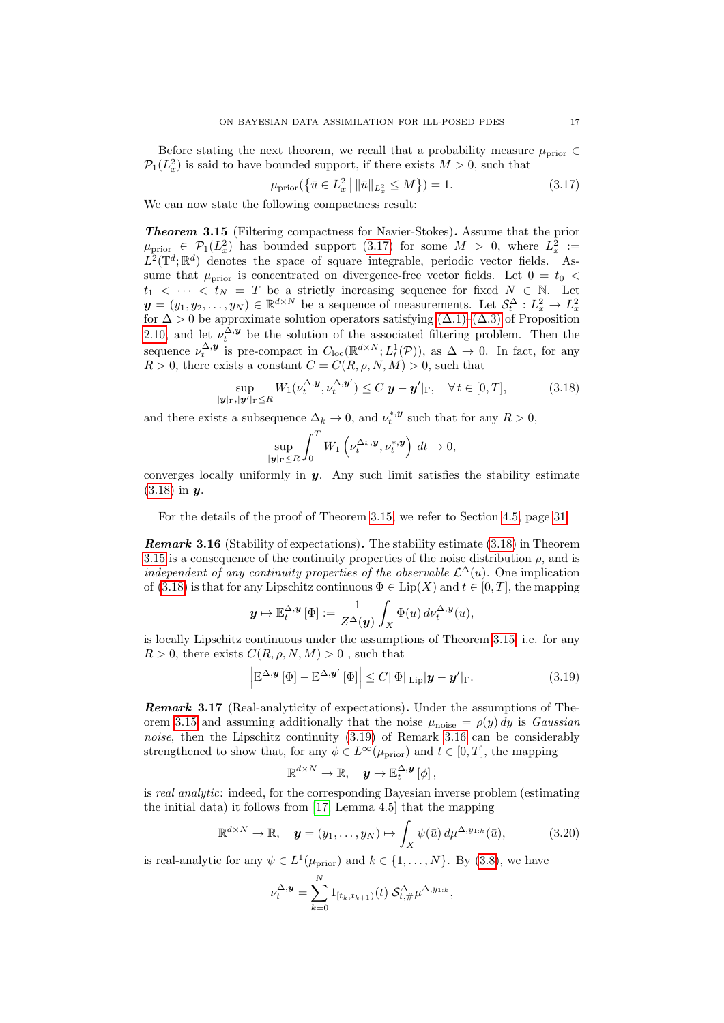Before stating the next theorem, we recall that a probability measure  $\mu_{\text{prior}} \in$  $\mathcal{P}_1(L_x^2)$  is said to have bounded support, if there exists  $M > 0$ , such that

<span id="page-16-0"></span>
$$
\mu_{\text{prior}}(\{\bar{u} \in L_x^2 \, \|\|\bar{u}\|_{L_x^2} \le M\}) = 1. \tag{3.17}
$$

<span id="page-16-2"></span>We can now state the following compactness result:

Theorem 3.15 (Filtering compactness for Navier-Stokes). Assume that the prior  $\mu_{\text{prior}} \in \mathcal{P}_1(L_x^2)$  has bounded support [\(3.17\)](#page-16-0) for some  $M > 0$ , where  $L_x^2 :=$  $L^2(\mathbb{T}^d;\mathbb{R}^d)$  denotes the space of square integrable, periodic vector fields. Assume that  $\mu_{\text{prior}}$  is concentrated on divergence-free vector fields. Let  $0 = t_0 <$  $t_1 < \cdots < t_N = T$  be a strictly increasing sequence for fixed  $N \in \mathbb{N}$ . Let  $y = (y_1, y_2, \dots, y_N) \in \mathbb{R}^{d \times N}$  be a sequence of measurements. Let  $\mathcal{S}_t^{\Delta}: L_x^2 \to L_x^2$  for  $\Delta > 0$  be approximate solution operators satisfying  $(\Delta.1)$ – $(\Delta.3)$  of Proposition [2.10,](#page-9-2) and let  $\nu_t^{\Delta, y}$  be the solution of the associated filtering problem. Then the sequence  $\nu_t^{\Delta, \mathbf{y}}$  is pre-compact in  $C_{\text{loc}}(\mathbb{R}^{d \times N}; L^1_t(\mathcal{P}))$ , as  $\Delta \to 0$ . In fact, for any  $R > 0$ , there exists a constant  $C = C(R, \rho, N, M) > 0$ , such that

$$
\sup_{|\mathbf{y}|_{\Gamma},|\mathbf{y}'|_{\Gamma}\leq R} W_1(\nu_t^{\Delta,\mathbf{y}},\nu_t^{\Delta,\mathbf{y}'}) \leq C|\mathbf{y}-\mathbf{y}'|_{\Gamma}, \quad \forall \, t \in [0,T], \tag{3.18}
$$

and there exists a subsequence  $\Delta_k \to 0$ , and  $\nu_t^{*,\mathbf{y}}$  such that for any  $R > 0$ ,

<span id="page-16-1"></span>
$$
\sup_{|\mathbf{y}|_{\Gamma} \leq R} \int_0^T W_1 \left( \nu_t^{\Delta_k, \mathbf{y}}, \nu_t^{*, \mathbf{y}} \right) dt \to 0,
$$

converges locally uniformly in  $y$ . Any such limit satisfies the stability estimate  $(3.18)$  in  $y$ .

For the details of the proof of Theorem [3.15,](#page-16-2) we refer to Section [4.5,](#page-28-0) page [31.](#page-28-0)

<span id="page-16-4"></span>**Remark 3.16** (Stability of expectations). The stability estimate  $(3.18)$  in Theorem [3.15](#page-16-2) is a consequence of the continuity properties of the noise distribution  $\rho$ , and is independent of any continuity properties of the observable  $\mathcal{L}^{\Delta}(u)$ . One implication of [\(3.18\)](#page-16-1) is that for any Lipschitz continuous  $\Phi \in \text{Lip}(X)$  and  $t \in [0, T]$ , the mapping

$$
\mathbf{y} \mapsto \mathbb{E}_t^{\Delta, \mathbf{y}} \left[ \Phi \right] := \frac{1}{Z^{\Delta}(\mathbf{y})} \int_X \Phi(u) \, d\nu_t^{\Delta, \mathbf{y}}(u),
$$

is locally Lipschitz continuous under the assumptions of Theorem [3.15,](#page-16-2) i.e. for any  $R > 0$ , there exists  $C(R, \rho, N, M) > 0$ , such that

$$
\left| \mathbb{E}^{\Delta,\mathbf{y}} \left[ \Phi \right] - \mathbb{E}^{\Delta,\mathbf{y}'} \left[ \Phi \right] \right| \leq C \|\Phi\|_{\mathrm{Lip}} |\mathbf{y} - \mathbf{y}'|_{\Gamma}. \tag{3.19}
$$

**Remark 3.17** (Real-analyticity of expectations). Under the assumptions of The-orem [3.15](#page-16-2) and assuming additionally that the noise  $\mu_{\text{noise}} = \rho(y) dy$  is Gaussian noise, then the Lipschitz continuity [\(3.19\)](#page-16-3) of Remark [3.16](#page-16-4) can be considerably strengthened to show that, for any  $\phi \in L^{\infty}(\mu_{\text{prior}})$  and  $t \in [0, T]$ , the mapping

<span id="page-16-5"></span><span id="page-16-3"></span>
$$
\mathbb{R}^{d\times N}\to\mathbb{R},\quad \boldsymbol{y}\mapsto\mathbb{E}_{t}^{\Delta,\boldsymbol{y}}\left[\phi\right],
$$

is real analytic: indeed, for the corresponding Bayesian inverse problem (estimating the initial data) it follows from [\[17,](#page-36-13) Lemma 4.5] that the mapping

$$
\mathbb{R}^{d \times N} \to \mathbb{R}, \quad \mathbf{y} = (y_1, \dots, y_N) \mapsto \int_X \psi(\bar{u}) \, d\mu^{\Delta, y_{1:k}}(\bar{u}), \tag{3.20}
$$

is real-analytic for any  $\psi \in L^1(\mu_{\text{prior}})$  and  $k \in \{1, ..., N\}$ . By [\(3.8\)](#page-12-2), we have

$$
\nu_t^{\Delta, \mathbf{y}} = \sum_{k=0}^N 1_{[t_k, t_{k+1})}(t) \mathcal{S}_{t, \#}^{\Delta} \mu^{\Delta, y_{1:k}},
$$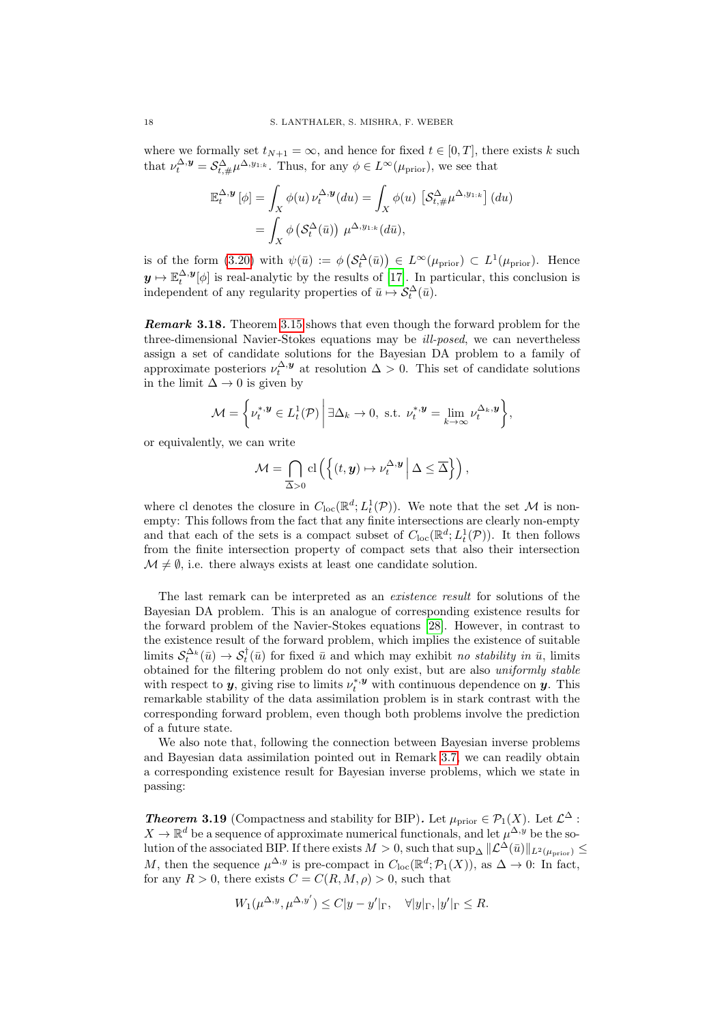where we formally set  $t_{N+1} = \infty$ , and hence for fixed  $t \in [0, T]$ , there exists k such that  $\nu_t^{\Delta, \mathbf{y}} = \mathcal{S}_{t, \#}^{\Delta} \mu^{\Delta, y_{1:k}}$ . Thus, for any  $\phi \in L^{\infty}(\mu_{\text{prior}})$ , we see that

$$
\mathbb{E}_t^{\Delta, \mathbf{y}} [\phi] = \int_X \phi(u) \, \nu_t^{\Delta, \mathbf{y}}(du) = \int_X \phi(u) \, \left[ \mathcal{S}_{t, \#}^{\Delta} \mu^{\Delta, y_{1:k}} \right](du)
$$

$$
= \int_X \phi \left( \mathcal{S}_t^{\Delta}(\bar{u}) \right) \, \mu^{\Delta, y_{1:k}}(d\bar{u}),
$$

is of the form [\(3.20\)](#page-16-5) with  $\psi(\bar{u}) := \phi\left(S_t^{\Delta}(\bar{u})\right) \in L^{\infty}(\mu_{\text{prior}}) \subset L^1(\mu_{\text{prior}}).$  Hence  $y \mapsto \mathbb{E}_t^{\Delta, y}[\phi]$  is real-analytic by the results of [\[17\]](#page-36-13). In particular, this conclusion is independent of any regularity properties of  $\bar{u} \mapsto \mathcal{S}_t^{\Delta}(\bar{u})$ .

Remark 3.18. Theorem [3.15](#page-16-2) shows that even though the forward problem for the three-dimensional Navier-Stokes equations may be ill-posed, we can nevertheless assign a set of candidate solutions for the Bayesian DA problem to a family of approximate posteriors  $\nu_t^{\Delta, y}$  at resolution  $\Delta > 0$ . This set of candidate solutions in the limit  $\Delta \rightarrow 0$  is given by

$$
\mathcal{M} = \left\{ \nu_t^{*,\mathbf{y}} \in L_t^1(\mathcal{P}) \, \middle| \, \exists \Delta_k \to 0, \text{ s.t. } \nu_t^{*,\mathbf{y}} = \lim_{k \to \infty} \nu_t^{\Delta_k, \mathbf{y}} \right\},\
$$

or equivalently, we can write

$$
\mathcal{M} = \bigcap_{\overline{\Delta} > 0} \mathrm{cl}\left( \left\{ (t, y) \mapsto \nu_t^{\Delta, y} \, \middle| \, \Delta \leq \overline{\Delta} \right\} \right),
$$

where cl denotes the closure in  $C_{\text{loc}}(\mathbb{R}^d; L^1_t(\mathcal{P}))$ . We note that the set M is nonempty: This follows from the fact that any finite intersections are clearly non-empty and that each of the sets is a compact subset of  $C_{\text{loc}}(\mathbb{R}^d; L^1_t(\mathcal{P}))$ . It then follows from the finite intersection property of compact sets that also their intersection  $\mathcal{M} \neq \emptyset$ , i.e. there always exists at least one candidate solution.

The last remark can be interpreted as an *existence result* for solutions of the Bayesian DA problem. This is an analogue of corresponding existence results for the forward problem of the Navier-Stokes equations [\[28\]](#page-37-8). However, in contrast to the existence result of the forward problem, which implies the existence of suitable limits  $S_t^{\Delta_k}(\bar{u}) \to S_t^{\dagger}(\bar{u})$  for fixed  $\bar{u}$  and which may exhibit no stability in  $\bar{u}$ , limits obtained for the filtering problem do not only exist, but are also uniformly stable with respect to **y**, giving rise to limits  $\nu_t^{*,y}$  with continuous dependence on **y**. This remarkable stability of the data assimilation problem is in stark contrast with the corresponding forward problem, even though both problems involve the prediction of a future state.

We also note that, following the connection between Bayesian inverse problems and Bayesian data assimilation pointed out in Remark [3.7,](#page-13-1) we can readily obtain a corresponding existence result for Bayesian inverse problems, which we state in passing:

**Theorem 3.19** (Compactness and stability for BIP). Let  $\mu_{\text{prior}} \in \mathcal{P}_1(X)$ . Let  $\mathcal{L}^{\Delta}$ :  $X \to \mathbb{R}^d$  be a sequence of approximate numerical functionals, and let  $\mu^{\Delta, y}$  be the solution of the associated BIP. If there exists  $M > 0$ , such that  $\sup_{\Delta} ||\mathcal{L}^{\Delta}(\bar{u})||_{L^2(\mu_{\text{prior}})} \le$ M, then the sequence  $\mu^{\Delta,y}$  is pre-compact in  $C_{\text{loc}}(\mathbb{R}^d; \mathcal{P}_1(X))$ , as  $\Delta \to 0$ : In fact, for any  $R > 0$ , there exists  $C = C(R, M, \rho) > 0$ , such that

$$
W_1(\mu^{\Delta, y}, \mu^{\Delta, y'}) \le C|y - y'|_{\Gamma}, \quad \forall |y|_{\Gamma}, |y'|_{\Gamma} \le R.
$$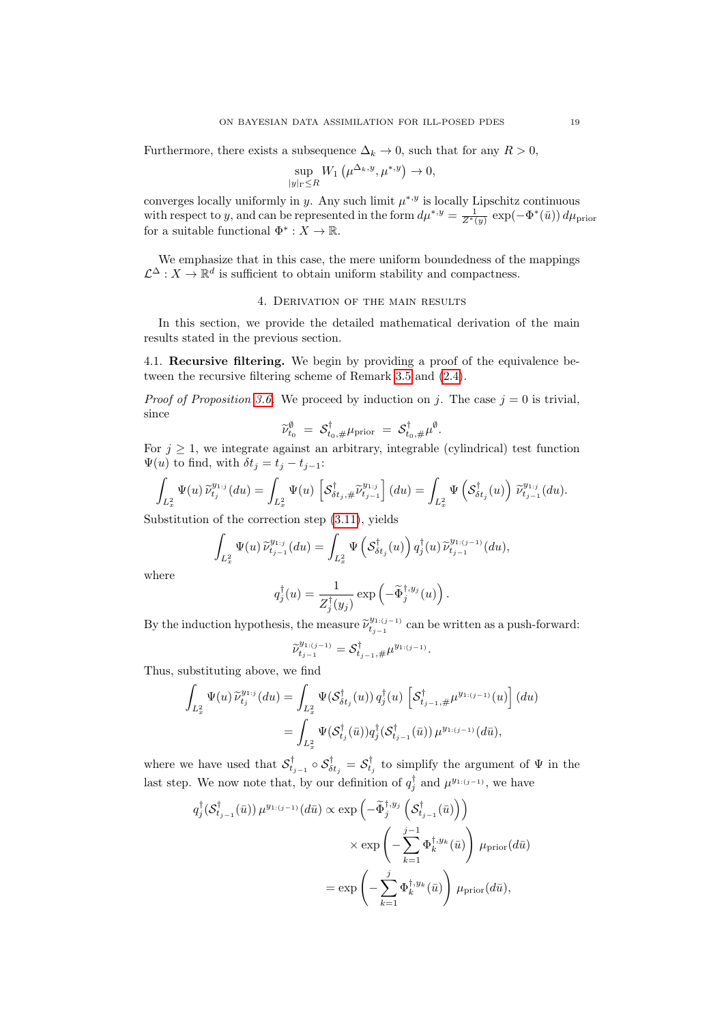Furthermore, there exists a subsequence  $\Delta_k \to 0$ , such that for any  $R > 0$ ,

$$
\sup_{|y|_{\Gamma} \le R} W_1\left(\mu^{\Delta_k, y}, \mu^{*, y}\right) \to 0,
$$

converges locally uniformly in y. Any such limit  $\mu^{*,y}$  is locally Lipschitz continuous with respect to y, and can be represented in the form  $d\mu^{*,y} = \frac{1}{Z^*(y)} \exp(-\Phi^*(\bar{u})) d\mu_{\text{prior}}$ for a suitable functional  $\Phi^* : X \to \mathbb{R}$ .

We emphasize that in this case, the mere uniform boundedness of the mappings  $\mathcal{L}^{\Delta}: X \to \mathbb{R}^d$  is sufficient to obtain uniform stability and compactness.

# 4. Derivation of the main results

<span id="page-18-0"></span>In this section, we provide the detailed mathematical derivation of the main results stated in the previous section.

<span id="page-18-1"></span>4.1. Recursive filtering. We begin by providing a proof of the equivalence between the recursive filtering scheme of Remark [3.5](#page-12-1) and [\(2.4\)](#page-6-0).

*Proof of Proposition [3.6.](#page-13-2)* We proceed by induction on j. The case  $j = 0$  is trivial, since

$$
\widetilde{\nu}_{t_0}^{\emptyset} = \mathcal{S}_{t_0, \#}^{\dagger} \mu_{\text{prior}} = \mathcal{S}_{t_0, \#}^{\dagger} \mu^{\emptyset}.
$$

For  $j \geq 1$ , we integrate against an arbitrary, integrable (cylindrical) test function  $\Psi(u)$  to find, with  $\delta t_j = t_j - t_{j-1}$ :

$$
\int_{L_x^2} \Psi(u) \widetilde{\nu}_{t_j}^{y_{1:j}}(du) = \int_{L_x^2} \Psi(u) \left[ \mathcal{S}_{\delta t_j, \#}^{\dagger} \widetilde{\nu}_{t_{j-1}}^{y_{1:j}} \right](du) = \int_{L_x^2} \Psi \left( \mathcal{S}_{\delta t_j}^{\dagger}(u) \right) \widetilde{\nu}_{t_{j-1}}^{y_{1:j}}(du).
$$

Substitution of the correction step [\(3.11\)](#page-13-3), yields

$$
\int_{L_x^2} \Psi(u) \widetilde{\nu}_{t_{j-1}}^{y_{1;j}}(du) = \int_{L_x^2} \Psi\left(\mathcal{S}_{\delta t_j}^{\dagger}(u)\right) q_j^{\dagger}(u) \widetilde{\nu}_{t_{j-1}}^{y_{1:(j-1)}}(du),
$$

where

$$
q_j^{\dagger}(u) = \frac{1}{Z_j^{\dagger}(y_j)} \exp \left(-\tilde{\Phi}_j^{\dagger,y_j}(u)\right).
$$

By the induction hypothesis, the measure  $\widetilde{\nu}_{t_{j-1}}^{y_{1:(j-1)}}$  $t_{t_{j-1}}^{(y_{1:(j-1)})}$  can be written as a push-forward:

$$
\widetilde{\nu}_{t_{j-1}}^{y_{1:(j-1)}} = \mathcal{S}_{t_{j-1},\#}^{\dagger} \mu^{y_{1:(j-1)}}.
$$

Thus, substituting above, we find

$$
\int_{L_x^2} \Psi(u) \, \widetilde{\nu}_{t_j}^{y_{1:j}}(du) = \int_{L_x^2} \Psi(\mathcal{S}_{\delta t_j}^{\dagger}(u)) \, q_j^{\dagger}(u) \, \left[ \mathcal{S}_{t_{j-1}, \#}^{\dagger} \mu^{y_{1:(j-1)}}(u) \right] (du)
$$
\n
$$
= \int_{L_x^2} \Psi(\mathcal{S}_{t_j}^{\dagger}(\bar{u})) q_j^{\dagger}(\mathcal{S}_{t_{j-1}}^{\dagger}(\bar{u})) \, \mu^{y_{1:(j-1)}}(d\bar{u}),
$$

where we have used that  $\mathcal{S}^{\dagger}_{t_{j-1}} \circ \mathcal{S}^{\dagger}_{\delta t_j} = \mathcal{S}^{\dagger}_{t_j}$  to simplify the argument of  $\Psi$  in the last step. We now note that, by our definition of  $q_j^{\dagger}$  and  $\mu^{y_{1:(j-1)}},$  we have

$$
q_j^{\dagger}(\mathcal{S}_{t_{j-1}}^{\dagger}(\bar{u})) \mu^{y_{1:(j-1)}}(d\bar{u}) \propto \exp\left(-\tilde{\Phi}_j^{\dagger,y_j}\left(\mathcal{S}_{t_{j-1}}^{\dagger}(\bar{u})\right)\right) \times \exp\left(-\sum_{k=1}^{j-1} \Phi_k^{\dagger,y_k}(\bar{u})\right) \mu_{\text{prior}}(d\bar{u}) = \exp\left(-\sum_{k=1}^{j} \Phi_k^{\dagger,y_k}(\bar{u})\right) \mu_{\text{prior}}(d\bar{u}),
$$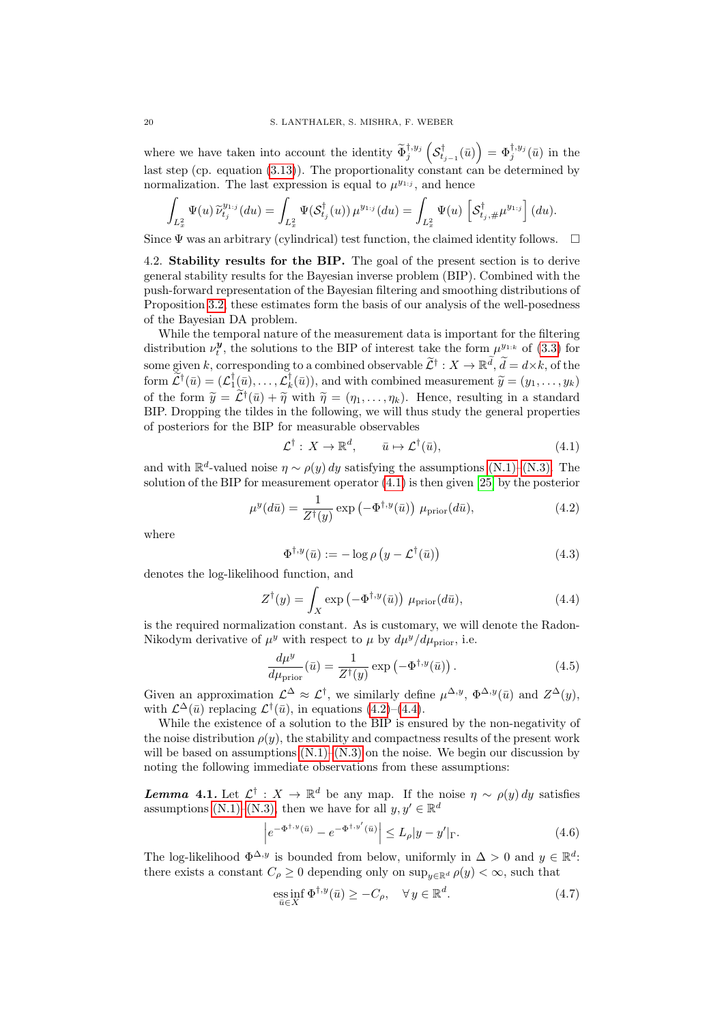where we have taken into account the identity  $\widetilde{\Phi}_j^{\dagger, y_j} \left( \mathcal{S}_{t_{j-1}}^{\dagger}(\bar{u}) \right) = \Phi_j^{\dagger, y_j}(\bar{u})$  in the last step (cp. equation  $(3.13)$ ). The proportionality constant can be determined by normalization. The last expression is equal to  $\mu^{y_{1:j}}$ , and hence

$$
\int_{L_x^2} \Psi(u) \, \widetilde{\nu}_{t_j}^{y_{1:j}}(du) = \int_{L_x^2} \Psi(\mathcal{S}_{t_j}^{\dagger}(u)) \, \mu^{y_{1:j}}(du) = \int_{L_x^2} \Psi(u) \, \left[ \mathcal{S}_{t_j, \#}^{\dagger} \mu^{y_{1:j}} \right] (du).
$$

Since  $\Psi$  was an arbitrary (cylindrical) test function, the claimed identity follows.  $\Box$ 

<span id="page-19-6"></span>4.2. Stability results for the BIP. The goal of the present section is to derive general stability results for the Bayesian inverse problem (BIP). Combined with the push-forward representation of the Bayesian filtering and smoothing distributions of Proposition [3.2,](#page-11-0) these estimates form the basis of our analysis of the well-posedness of the Bayesian DA problem.

While the temporal nature of the measurement data is important for the filtering distribution  $\nu_t^{\mathbf{y}}$ , the solutions to the BIP of interest take the form  $\mu^{y_{1:k}}$  of [\(3.3\)](#page-11-1) for some given k, corresponding to a combined observable  $\widetilde{\mathcal{L}}^{\dagger}: X \to \mathbb{R}^d$ ,  $\widetilde{d} = d \times k$ , of the form  $\widetilde{\mathcal{L}}^{\dagger}(\bar{u}) = (\mathcal{L}_{1}^{\dagger}(\bar{u}), \ldots, \mathcal{L}_{k}^{\dagger}(\bar{u})),$  and with combined measurement  $\widetilde{y} = (y_1, \ldots, y_k)$ of the form  $\widetilde{y} = \widetilde{\mathcal{L}}^{\dagger}(\bar{u}) + \widetilde{\eta}$  with  $\widetilde{\eta} = (\eta_1, \dots, \eta_k)$ . Hence, resulting in a standard<br>RIP Dropping the tildes in the following, we will thus study the general properties BIP. Dropping the tildes in the following, we will thus study the general properties of posteriors for the BIP for measurable observables

<span id="page-19-0"></span>
$$
\mathcal{L}^{\dagger}: X \to \mathbb{R}^d, \qquad \bar{u} \mapsto \mathcal{L}^{\dagger}(\bar{u}), \tag{4.1}
$$

and with  $\mathbb{R}^d$ -valued noise  $\eta \sim \rho(y) dy$  satisfying the assumptions [\(N.1\)–](#page-5-2)[\(N.3\).](#page-5-3) The solution of the BIP for measurement operator [\(4.1\)](#page-19-0) is then given [\[25\]](#page-37-2) by the posterior

$$
\mu^y(d\bar{u}) = \frac{1}{Z^{\dagger}(y)} \exp\left(-\Phi^{\dagger,y}(\bar{u})\right) \mu_{\text{prior}}(d\bar{u}),\tag{4.2}
$$

where

<span id="page-19-2"></span><span id="page-19-1"></span>
$$
\Phi^{\dagger,y}(\bar{u}) := -\log \rho \left( y - \mathcal{L}^{\dagger}(\bar{u}) \right) \tag{4.3}
$$

denotes the log-likelihood function, and

$$
Z^{\dagger}(y) = \int_{X} \exp\left(-\Phi^{\dagger,y}(\bar{u})\right) \mu_{\text{prior}}(d\bar{u}), \tag{4.4}
$$

is the required normalization constant. As is customary, we will denote the Radon-Nikodym derivative of  $\mu^y$  with respect to  $\mu$  by  $d\mu^y/d\mu_{\text{prior}}$ , i.e.

<span id="page-19-3"></span>
$$
\frac{d\mu^y}{d\mu_{\text{prior}}}(\bar{u}) = \frac{1}{Z^\dagger(y)} \exp\left(-\Phi^{\dagger,y}(\bar{u})\right). \tag{4.5}
$$

Given an approximation  $\mathcal{L}^{\Delta} \approx \mathcal{L}^{\dagger}$ , we similarly define  $\mu^{\Delta,y}$ ,  $\Phi^{\Delta,y}(\bar{u})$  and  $Z^{\Delta}(y)$ , with  $\mathcal{L}^{\Delta}(\bar{u})$  replacing  $\mathcal{L}^{\dagger}(\bar{u})$ , in equations [\(4.2\)](#page-19-1)–[\(4.4\)](#page-19-2).

While the existence of a solution to the BIP is ensured by the non-negativity of the noise distribution  $\rho(y)$ , the stability and compactness results of the present work will be based on assumptions  $(N.1)$ – $(N.3)$  on the noise. We begin our discussion by noting the following immediate observations from these assumptions:

**Lemma 4.1.** Let  $\mathcal{L}^{\dagger}: X \to \mathbb{R}^d$  be any map. If the noise  $\eta \sim \rho(y) dy$  satisfies assumptions [\(N.1\)–](#page-5-2)[\(N.3\),](#page-5-3) then we have for all  $y, y' \in \mathbb{R}^d$ 

$$
\left| e^{-\Phi^{\dagger, y}(\bar{u})} - e^{-\Phi^{\dagger, y'}(\bar{u})} \right| \le L_{\rho} |y - y'|_{\Gamma}.
$$
 (4.6)

The log-likelihood  $\Phi^{\Delta,y}$  is bounded from below, uniformly in  $\Delta > 0$  and  $y \in \mathbb{R}^d$ : there exists a constant  $C_\rho \geq 0$  depending only on  $\sup_{u \in \mathbb{R}^d} \rho(u) < \infty$ , such that

<span id="page-19-5"></span><span id="page-19-4"></span>
$$
\underset{\bar{u}\in X}{\text{ess inf}}\ \Phi^{\dagger,y}(\bar{u})\geq -C_{\rho},\quad\forall\,y\in\mathbb{R}^{d}.\tag{4.7}
$$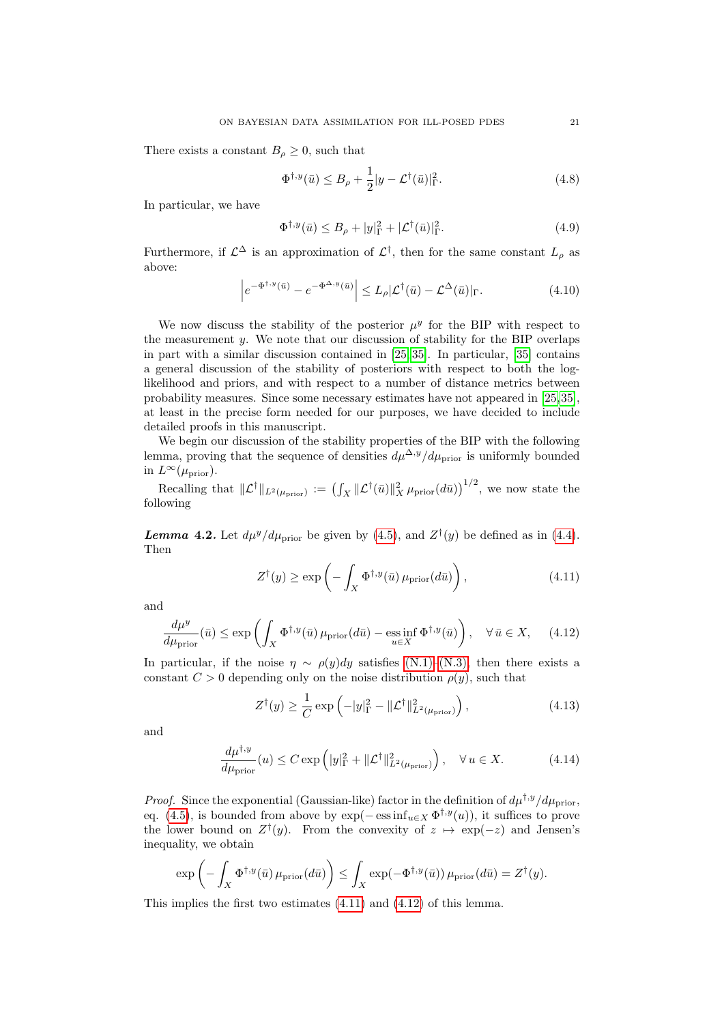There exists a constant  $B_\rho \geq 0$ , such that

$$
\Phi^{\dagger, y}(\bar{u}) \le B_{\rho} + \frac{1}{2} |y - \mathcal{L}^{\dagger}(\bar{u})|_{\Gamma}^{2}.
$$
 (4.8)

In particular, we have

<span id="page-20-2"></span>
$$
\Phi^{\dagger, y}(\bar{u}) \le B_{\rho} + |y|_{\Gamma}^2 + |\mathcal{L}^{\dagger}(\bar{u})|_{\Gamma}^2. \tag{4.9}
$$

Furthermore, if  $\mathcal{L}^{\Delta}$  is an approximation of  $\mathcal{L}^{\dagger}$ , then for the same constant  $L_{\rho}$  as above:

$$
\left| e^{-\Phi^{\dagger, y}(\bar{u})} - e^{-\Phi^{\Delta, y}(\bar{u})} \right| \le L_{\rho} |\mathcal{L}^{\dagger}(\bar{u}) - \mathcal{L}^{\Delta}(\bar{u})|_{\Gamma}.
$$
 (4.10)

We now discuss the stability of the posterior  $\mu^y$  for the BIP with respect to the measurement  $y$ . We note that our discussion of stability for the BIP overlaps in part with a similar discussion contained in [\[25,](#page-37-2) [35\]](#page-37-3). In particular, [\[35\]](#page-37-3) contains a general discussion of the stability of posteriors with respect to both the loglikelihood and priors, and with respect to a number of distance metrics between probability measures. Since some necessary estimates have not appeared in [\[25,](#page-37-2)[35\]](#page-37-3), at least in the precise form needed for our purposes, we have decided to include detailed proofs in this manuscript.

We begin our discussion of the stability properties of the BIP with the following lemma, proving that the sequence of densities  $d\mu^{\Delta,y}/d\mu_{\text{prior}}$  is uniformly bounded in  $L^{\infty}(\mu_{\text{prior}})$ .

Recalling that  $\|\mathcal{L}^{\dagger}\|_{L^2(\mu_{\text{prior}})} := (\int_X \|\mathcal{L}^{\dagger}(\bar{u})\|_X^2 \mu_{\text{prior}}(d\bar{u}))^{1/2}$ , we now state the following

<span id="page-20-5"></span>**Lemma 4.2.** Let  $d\mu^y/d\mu_{\text{prior}}$  be given by [\(4.5\)](#page-19-3), and  $Z^{\dagger}(y)$  be defined as in [\(4.4\)](#page-19-2). Then

<span id="page-20-1"></span><span id="page-20-0"></span>
$$
Z^{\dagger}(y) \ge \exp\left(-\int_{X} \Phi^{\dagger,y}(\bar{u}) \,\mu_{\text{prior}}(d\bar{u})\right),\tag{4.11}
$$

and

$$
\frac{d\mu^y}{d\mu_{\text{prior}}}(\bar{u}) \le \exp\left(\int_X \Phi^{\dagger,y}(\bar{u})\,\mu_{\text{prior}}(d\bar{u}) - \underset{u \in X}{\text{ess inf}}\,\Phi^{\dagger,y}(\bar{u})\right), \quad \forall \,\bar{u} \in X,\tag{4.12}
$$

In particular, if the noise  $\eta \sim \rho(y) dy$  satisfies [\(N.1\)](#page-5-2)[–\(N.3\),](#page-5-3) then there exists a constant  $C > 0$  depending only on the noise distribution  $\rho(y)$ , such that

<span id="page-20-4"></span><span id="page-20-3"></span>
$$
Z^{\dagger}(y) \ge \frac{1}{C} \exp\left(-|y|_{\Gamma}^2 - \|\mathcal{L}^{\dagger}\|_{L^2(\mu_{\text{prior}})}^2\right),\tag{4.13}
$$

and

$$
\frac{d\mu^{\dagger,y}}{d\mu_{\text{prior}}}(u) \le C \exp\left(|y|_{\Gamma}^2 + \|\mathcal{L}^{\dagger}\|_{L^2(\mu_{\text{prior}})}^2\right), \quad \forall u \in X. \tag{4.14}
$$

*Proof.* Since the exponential (Gaussian-like) factor in the definition of  $d\mu^{\dagger,y}/d\mu_{\text{prior}}$ , eq. [\(4.5\)](#page-19-3), is bounded from above by  $\exp(-\operatorname{ess\,inf}_{u\in X}\Phi^{\dagger,y}(u))$ , it suffices to prove the lower bound on  $Z^{\dagger}(y)$ . From the convexity of  $z \mapsto \exp(-z)$  and Jensen's inequality, we obtain

$$
\exp\left(-\int_X \Phi^{\dagger,y}(\bar{u})\,\mu_{\text{prior}}(d\bar{u})\right) \leq \int_X \exp(-\Phi^{\dagger,y}(\bar{u}))\,\mu_{\text{prior}}(d\bar{u}) = Z^{\dagger}(y).
$$

This implies the first two estimates [\(4.11\)](#page-20-0) and [\(4.12\)](#page-20-1) of this lemma.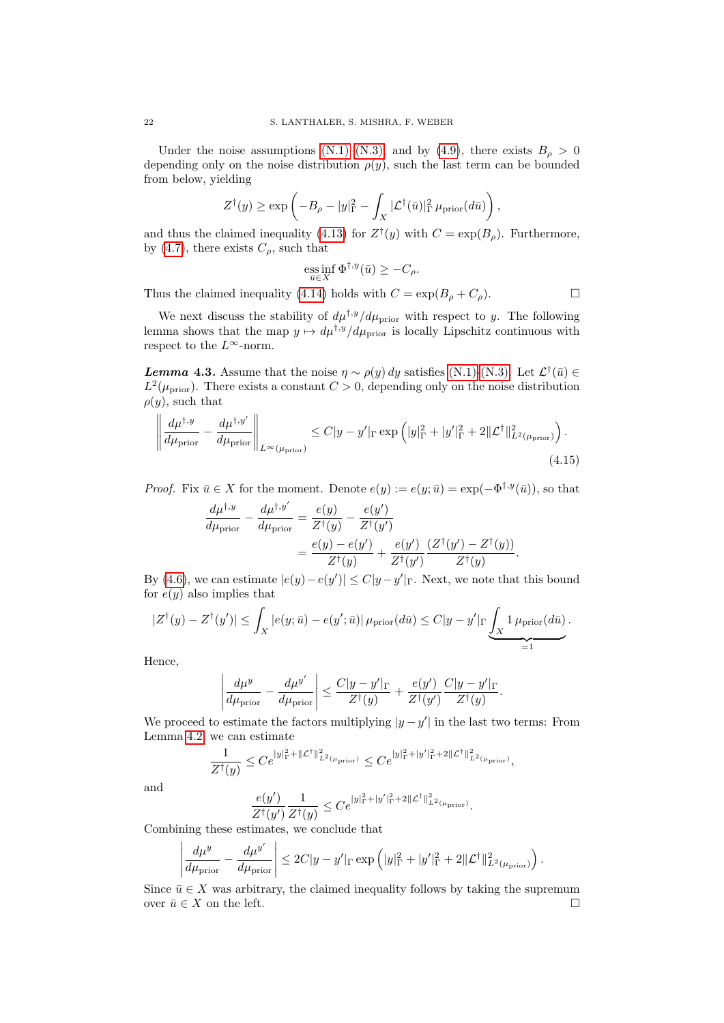Under the noise assumptions [\(N.1\)](#page-5-2)[–\(N.3\),](#page-5-3) and by [\(4.9\)](#page-20-2), there exists  $B_\rho > 0$ depending only on the noise distribution  $\rho(y)$ , such the last term can be bounded from below, yielding

$$
Z^{\dagger}(y) \ge \exp\left(-B_{\rho} - |y|_{\Gamma}^2 - \int_X |\mathcal{L}^{\dagger}(\bar{u})|_{\Gamma}^2 \mu_{\text{prior}}(d\bar{u})\right),\,
$$

and thus the claimed inequality [\(4.13\)](#page-20-3) for  $Z^{\dagger}(y)$  with  $C = \exp(B_{\rho})$ . Furthermore, by [\(4.7\)](#page-19-4), there exists  $C_{\rho}$ , such that

ess inf 
$$
\Phi^{\dagger,y}(\bar{u}) \geq -C_{\rho}
$$
.

Thus the claimed inequality [\(4.14\)](#page-20-4) holds with  $C = \exp(B_\rho + C_\rho)$ .

We next discuss the stability of  $d\mu^{\dagger,y}/d\mu_{\text{prior}}$  with respect to y. The following lemma shows that the map  $y \mapsto d\mu^{\dagger,y}/d\mu_{\text{prior}}$  is locally Lipschitz continuous with respect to the  $L^\infty\text{-norm}.$ 

<span id="page-21-0"></span>**Lemma 4.3.** Assume that the noise  $\eta \sim \rho(y) dy$  satisfies [\(N.1\)](#page-5-2)[-\(N.3\).](#page-5-3) Let  $\mathcal{L}^{\dagger}(\bar{u}) \in$  $L^2(\mu_{\text{prior}})$ . There exists a constant  $C > 0$ , depending only on the noise distribution  $\rho(y)$ , such that

$$
\left\| \frac{d\mu^{\dagger,y}}{d\mu_{\text{prior}}} - \frac{d\mu^{\dagger,y'}}{d\mu_{\text{prior}}} \right\|_{L^{\infty}(\mu_{\text{prior})}} \leq C|y-y'|_{\Gamma} \exp\left(|y|_{\Gamma}^2 + |y'|_{\Gamma}^2 + 2\|\mathcal{L}^{\dagger}\|_{L^2(\mu_{\text{prior})}}^2\right). \tag{4.15}
$$

*Proof.* Fix  $\bar{u} \in X$  for the moment. Denote  $e(y) := e(y; \bar{u}) = \exp(-\Phi^{\dagger,y}(\bar{u}))$ , so that

$$
\frac{d\mu^{\dagger,y}}{d\mu_{\text{prior}}} - \frac{d\mu^{\dagger,y'}}{d\mu_{\text{prior}}} = \frac{e(y)}{Z^{\dagger}(y)} - \frac{e(y')}{Z^{\dagger}(y')} \n= \frac{e(y) - e(y')}{Z^{\dagger}(y)} + \frac{e(y')}{Z^{\dagger}(y')} \frac{(Z^{\dagger}(y') - Z^{\dagger}(y))}{Z^{\dagger}(y)}.
$$

By [\(4.6\)](#page-19-5), we can estimate  $|e(y) - e(y')| \leq C |y - y'|$  F. Next, we note that this bound for  $e(y)$  also implies that

$$
|Z^{\dagger}(y) - Z^{\dagger}(y')| \leq \int_X |e(y; \bar{u}) - e(y'; \bar{u})| \, \mu_{\text{prior}}(d\bar{u}) \leq C|y - y'|_{\Gamma} \underbrace{\int_X 1 \, \mu_{\text{prior}}(d\bar{u})}_{=1}.
$$

Hence,

$$
\left|\frac{d\mu^{y}}{d\mu_{\text{prior}}} - \frac{d\mu^{y'}}{d\mu_{\text{prior}}}\right| \leq \frac{C|y - y'|_{\Gamma}}{Z^{\dagger}(y)} + \frac{e(y')}{Z^{\dagger}(y')} \frac{C|y - y'|_{\Gamma}}{Z^{\dagger}(y)}.
$$

We proceed to estimate the factors multiplying  $|y - y'|$  in the last two terms: From Lemma [4.2,](#page-20-5) we can estimate

$$
\frac{1}{Z^{\dagger}(y)} \leq Ce^{|y|_{\Gamma}^2 + ||\mathcal{L}^{\dagger}||_{L^2(\mu_{\text{prior}})}} \leq Ce^{|y|_{\Gamma}^2 + |y'|_{\Gamma}^2 + 2||\mathcal{L}^{\dagger}||_{L^2(\mu_{\text{prior}})}},
$$

and

 $\overline{\phantom{a}}$  $\overline{\phantom{a}}$  $\overline{\phantom{a}}$  $\overline{\phantom{a}}$  $\vert$ 

$$
\frac{e(y')}{Z^\dagger(y')}\frac{1}{Z^\dagger(y)}\leq Ce^{|y|_\Gamma^2+|y'|_\Gamma^2+2\|{\mathcal L}^\dagger\|_{L^2(\mu_{\mathrm{prior}})}^2}.
$$

Combining these estimates, we conclude that

$$
\frac{d\mu^y}{d\mu_{\text{prior}}} - \frac{d\mu^{y'}}{d\mu_{\text{prior}}} \le 2C|y - y'|_{\Gamma} \exp\left(|y|_{\Gamma}^2 + |y'|_{\Gamma}^2 + 2\|\mathcal{L}^{\dagger}\|_{L^2(\mu_{\text{prior}})}^2\right).
$$

Since  $\bar{u} \in X$  was arbitrary, the claimed inequality follows by taking the supremum over  $\bar{u} \in X$  on the left.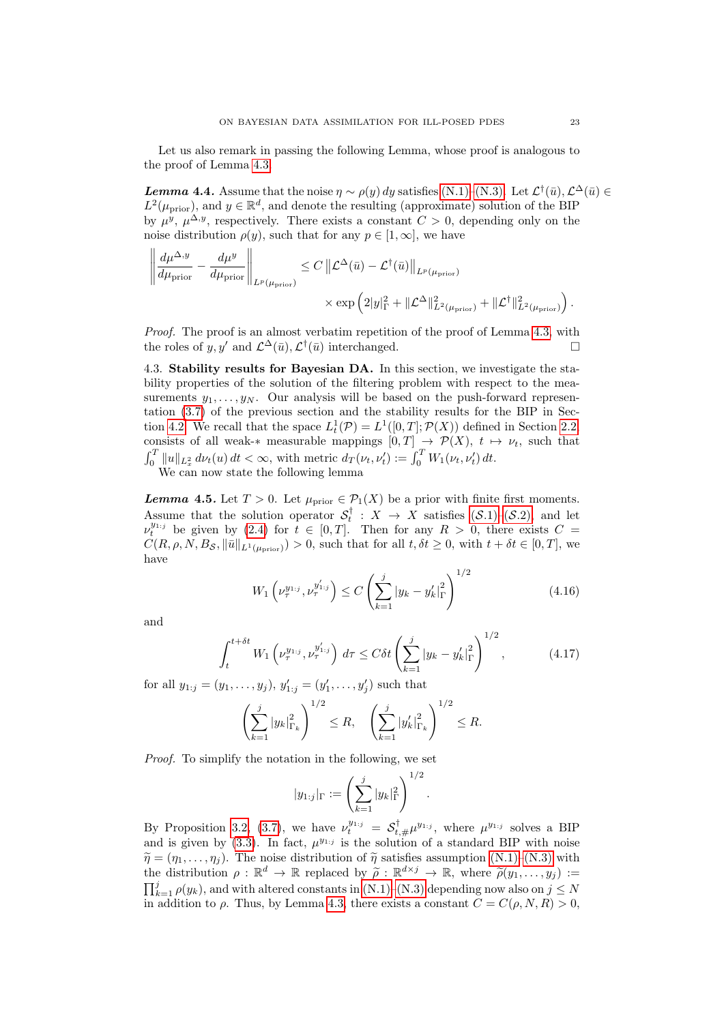Let us also remark in passing the following Lemma, whose proof is analogous to the proof of Lemma [4.3.](#page-21-0)

<span id="page-22-3"></span>**Lemma 4.4.** Assume that the noise  $\eta \sim \rho(y) dy$  satisfies [\(N.1\)–](#page-5-2)[\(N.3\).](#page-5-3) Let  $\mathcal{L}^{\dagger}(\bar{u}), \mathcal{L}^{\Delta}(\bar{u}) \in$  $L^2(\mu_{\text{prior}})$ , and  $y \in \mathbb{R}^d$ , and denote the resulting (approximate) solution of the BIP by  $\mu^{y}$ ,  $\mu^{\Delta,y}$ , respectively. There exists a constant  $C > 0$ , depending only on the noise distribution  $\rho(y)$ , such that for any  $p \in [1,\infty]$ , we have

$$
\left\| \frac{d\mu^{\Delta,y}}{d\mu_{\text{prior}}} - \frac{d\mu^y}{d\mu_{\text{prior}}} \right\|_{L^p(\mu_{\text{prior}})} \leq C \left\| \mathcal{L}^{\Delta}(\bar{u}) - \mathcal{L}^{\dagger}(\bar{u}) \right\|_{L^p(\mu_{\text{prior}})} \times \exp \left( 2|y|_{\Gamma}^2 + \|\mathcal{L}^{\Delta}\|_{L^2(\mu_{\text{prior}})}^2 + \|\mathcal{L}^{\dagger}\|_{L^2(\mu_{\text{prior}})}^2 \right).
$$

Proof. The proof is an almost verbatim repetition of the proof of Lemma [4.3,](#page-21-0) with the roles of y, y' and  $\mathcal{L}^{\Delta}(\bar{u}), \mathcal{L}^{\dagger}(\bar{u})$  interchanged.

4.3. Stability results for Bayesian DA. In this section, we investigate the stability properties of the solution of the filtering problem with respect to the measurements  $y_1, \ldots, y_N$ . Our analysis will be based on the push-forward representation [\(3.7\)](#page-11-2) of the previous section and the stability results for the BIP in Sec-tion [4.2.](#page-19-6) We recall that the space  $L_t^1(\mathcal{P}) = L^1([0,T]; \mathcal{P}(X))$  defined in Section [2.2,](#page-7-0) consists of all weak-\* measurable mappings  $[0, T] \rightarrow \mathcal{P}(X)$ ,  $t \mapsto \nu_t$ , such that  $\int_0^T \|u\|_{L^2_x} d\nu_t(u) dt < \infty$ , with metric  $d_T(\nu_t, \nu_t') := \int_0^T W_1(\nu_t, \nu_t') dt$ .

We can now state the following lemma

<span id="page-22-2"></span>**Lemma 4.5.** Let  $T > 0$ . Let  $\mu_{\text{prior}} \in \mathcal{P}_1(X)$  be a prior with finite first moments. Assume that the solution operator  $S_t^{\dagger}$  :  $X \to X$  satisfies  $(S.1)-(S.2)$ , and let  $\nu_t^{y_{1:j}}$  be given by [\(2.4\)](#page-6-0) for  $t \in [0,T]$ . Then for any  $R > 0$ , there exists  $C =$  $C(R, \rho, N, B_{\mathcal{S}}, \|\bar{u}\|_{L^1(\mu_{\text{prior}})}) > 0$ , such that for all  $t, \delta t \geq 0$ , with  $t + \delta t \in [0, T]$ , we have

<span id="page-22-0"></span>
$$
W_1\left(\nu_\tau^{y_{1:j}}, \nu_\tau^{y'_{1:j}}\right) \le C\left(\sum_{k=1}^j |y_k - y'_k|_{\Gamma}^2\right)^{1/2} \tag{4.16}
$$

and

$$
\int_{t}^{t+\delta t} W_{1}\left(\nu_{\tau}^{y_{1:j}}, \nu_{\tau}^{y'_{1:j}}\right) d\tau \le C\delta t \left(\sum_{k=1}^{j} |y_{k} - y'_{k}|_{\Gamma}^{2}\right)^{1/2}, \tag{4.17}
$$

for all  $y_{1:j} = (y_1, \ldots, y_j), y'_{1:j} = (y'_1, \ldots, y'_j)$  such that

$$
\left(\sum_{k=1}^j |y_k|_{\Gamma_k}^2\right)^{1/2} \le R, \quad \left(\sum_{k=1}^j |y'_k|_{\Gamma_k}^2\right)^{1/2} \le R.
$$

Proof. To simplify the notation in the following, we set

<span id="page-22-1"></span>
$$
|y_{1:j}|_{\Gamma} := \left(\sum_{k=1}^j |y_k|_{\Gamma}^2\right)^{1/2}.
$$

By Proposition [3.2,](#page-11-0) [\(3.7\)](#page-11-2), we have  $\nu_t^{y_{1:j}} = S_{t,\#}^{\dagger} \mu^{y_{1:j}}$ , where  $\mu^{y_{1:j}}$  solves a BIP and is given by  $(3.3)$ . In fact,  $\mu^{y_{1:j}}$  is the solution of a standard BIP with noise  $\tilde{\eta} = (\eta_1, \ldots, \eta_i)$ . The noise distribution of  $\tilde{\eta}$  satisfies assumption [\(N.1\)](#page-5-2)[–\(N.3\)](#page-5-3) with the distribution  $\rho : \mathbb{R}^d \to \mathbb{R}$  replaced by  $\tilde{\rho} : \mathbb{R}^{d \times j} \to \mathbb{R}$ , where  $\tilde{\rho}(y_1, \ldots, y_j) :=$ <br> $\overline{\mathbf{H}}^j$  and  $\mathbf{H}^j$  and with alternal constants in (N.1) (N.2) decombing properly so  $j \leq N$  $\prod_{k=1}^{j} \rho(y_k)$ , and with altered constants in [\(N.1\)](#page-5-2)[–\(N.3\)](#page-5-3) depending now also on  $j \leq N$ in addition to  $\rho$ . Thus, by Lemma [4.3,](#page-21-0) there exists a constant  $C = C(\rho, N, R) > 0$ .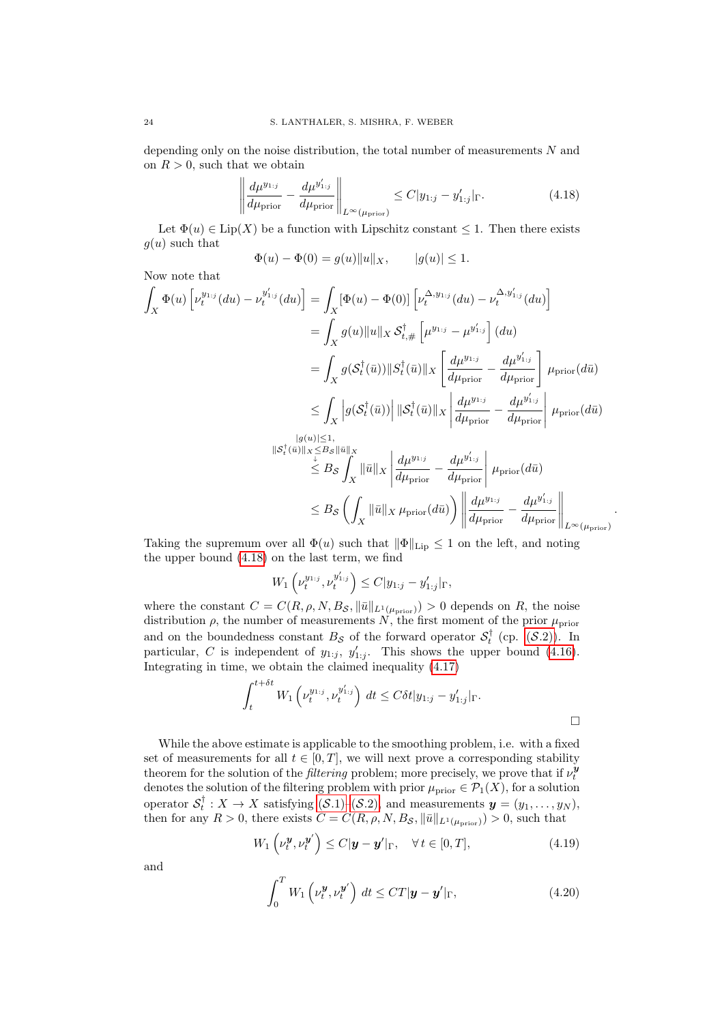depending only on the noise distribution, the total number of measurements N and on  $R > 0$ , such that we obtain

$$
\left\| \frac{d\mu^{y_{1:j}}}{d\mu_{\text{prior}}} - \frac{d\mu^{y'_{1:j}}}{d\mu_{\text{prior}}} \right\|_{L^{\infty}(\mu_{\text{prior})}} \le C|y_{1:j} - y'_{1:j}|_{\Gamma}. \tag{4.18}
$$

Let  $\Phi(u) \in \text{Lip}(X)$  be a function with Lipschitz constant  $\leq 1$ . Then there exists  $g(u)$  such that

<span id="page-23-1"></span>
$$
\Phi(u) - \Phi(0) = g(u) ||u||_X, \qquad |g(u)| \le 1.
$$

Now note that

$$
\int_{X} \Phi(u) \left[ \nu_t^{y_{1:j}}(du) - \nu_t^{y'_{1:j}}(du) \right] = \int_{X} \left[ \Phi(u) - \Phi(0) \right] \left[ \nu_t^{\Delta, y_{1:j}}(du) - \nu_t^{\Delta, y'_{1:j}}(du) \right]
$$
\n
$$
= \int_{X} g(u) \|u\|_{X} \mathcal{S}_{t, \#}^{\dagger} \left[ \mu^{y_{1:j}} - \mu^{y'_{1:j}} \right] (du)
$$
\n
$$
= \int_{X} g(\mathcal{S}_{t}^{\dagger}(\bar{u})) \| \mathcal{S}_{t}^{\dagger}(\bar{u}) \|_{X} \left[ \frac{d\mu^{y_{1:j}}}{d\mu_{\text{prior}}} - \frac{d\mu^{y'_{1:j}}}{d\mu_{\text{prior}}} \right] \mu_{\text{prior}}(d\bar{u})
$$
\n
$$
\leq \int_{X} \left| g(\mathcal{S}_{t}^{\dagger}(\bar{u})) \right| \| \mathcal{S}_{t}^{\dagger}(\bar{u}) \|_{X} \left| \frac{d\mu^{y_{1:j}}}{d\mu_{\text{prior}}} - \frac{d\mu^{y'_{1:j}}}{d\mu_{\text{prior}}} \right| \mu_{\text{prior}}(d\bar{u})
$$
\n
$$
\| \mathcal{S}_{t}^{\dagger}(\bar{u}) \|_{X} \leq B_{S} \int_{X} \| \bar{u} \|_{X} \left| \frac{d\mu^{y_{1:j}}}{d\mu_{\text{prior}}} - \frac{d\mu^{y'_{1:j}}}{d\mu_{\text{prior}}} \right| \mu_{\text{prior}}(d\bar{u})
$$
\n
$$
\leq B_{S} \left( \int_{X} \| \bar{u} \|_{X} \mu_{\text{prior}}(d\bar{u}) \right) \left\| \frac{d\mu^{y_{1:j}}}{d\mu_{\text{prior}}} - \frac{d\mu^{y'_{1:j}}}{d\mu_{\text{prior}}} \right\|_{L^{\infty}(\mu_{\text{prior}})}
$$

Taking the supremum over all  $\Phi(u)$  such that  $\|\Phi\|_{\text{Lip}} \leq 1$  on the left, and noting the upper bound [\(4.18\)](#page-23-1) on the last term, we find

$$
W_1\left(\nu_t^{y_{1;j}}, \nu_t^{y'_{1;j}}\right) \le C|y_{1:j} - y'_{1:j}|_{\Gamma},
$$

where the constant  $C = C(R, \rho, N, B_{\mathcal{S}}, ||\bar{u}||_{L^1(\mu_{\text{prior}})}) > 0$  depends on R, the noise distribution  $\rho$ , the number of measurements N, the first moment of the prior  $\mu_{\text{prior}}$ and on the boundedness constant  $B_{\mathcal{S}}$  of the forward operator  $\mathcal{S}_t^{\dagger}$  (cp.  $(\mathcal{S}.2)$ ). In particular, C is independent of  $y_{1:j}$ ,  $y'_{1:j}$ . This shows the upper bound [\(4.16\)](#page-22-0). Integrating in time, we obtain the claimed inequality [\(4.17\)](#page-22-1)

$$
\int_{t}^{t+\delta t} W_{1}\left(\nu_{t}^{y_{1:j}}, \nu_{t}^{y'_{1:j}}\right) dt \leq C \delta t |y_{1:j} - y'_{1:j}|_{\Gamma}.
$$

.

While the above estimate is applicable to the smoothing problem, i.e. with a fixed set of measurements for all  $t \in [0, T]$ , we will next prove a corresponding stability theorem for the solution of the *filtering* problem; more precisely, we prove that if  $\nu_t^{\mathbf{y}}$ denotes the solution of the filtering problem with prior  $\mu_{\text{prior}} \in \mathcal{P}_1(X)$ , for a solution operator  $S_t^{\dagger}: X \to X$  satisfying  $(S.1)$ – $(S.2)$ , and measurements  $y = (y_1, \ldots, y_N)$ , then for any  $R > 0$ , there exists  $C = C(R, \rho, N, B_{\mathcal{S}}, ||\bar{u}||_{L^1(\mu_{\text{prior}})}) > 0$ , such that

$$
W_1\left(\nu_t^{\mathbf{y}}, \nu_t^{\mathbf{y}'}\right) \le C|\mathbf{y} - \mathbf{y}'|_{\Gamma}, \quad \forall \, t \in [0, T], \tag{4.19}
$$

and

<span id="page-23-0"></span>
$$
\int_0^T W_1 \left( \nu_t^{\boldsymbol{y}}, \nu_t^{\boldsymbol{y}'} \right) dt \le C T |\boldsymbol{y} - \boldsymbol{y}'|_{\Gamma}, \tag{4.20}
$$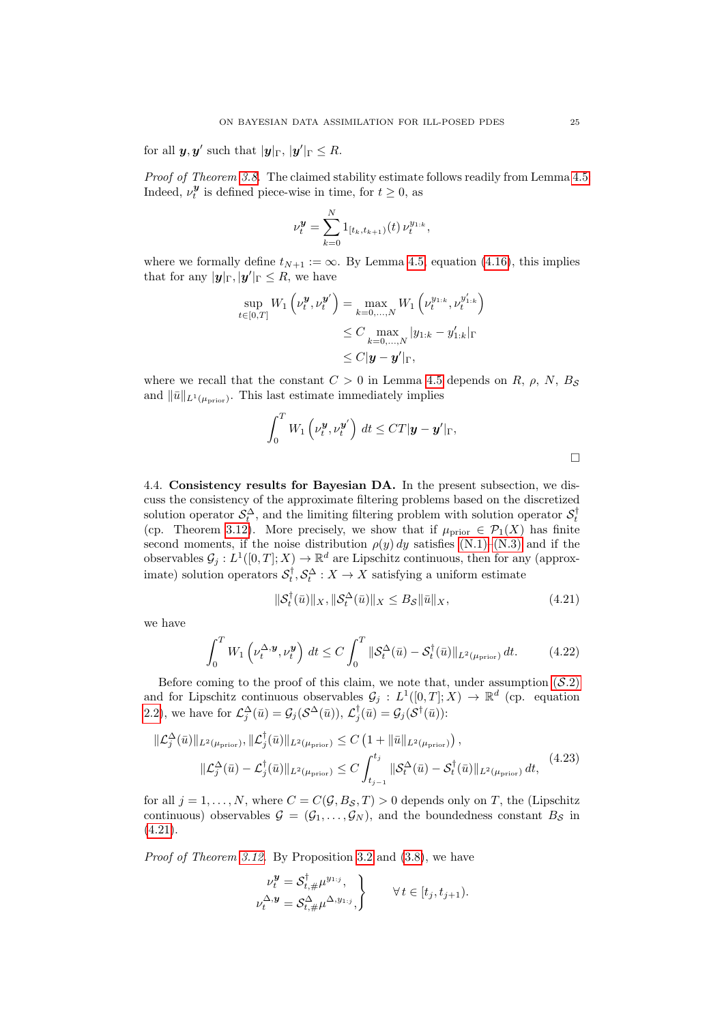for all  $y, y'$  such that  $|y|_{\Gamma}$ ,  $|y'|_{\Gamma} \leq R$ .

Proof of Theorem [3.8.](#page-14-0) The claimed stability estimate follows readily from Lemma [4.5:](#page-22-2) Indeed,  $\nu_t^{\mathbf{y}}$  is defined piece-wise in time, for  $t \geq 0$ , as

$$
\nu_t^{\mathbf{y}} = \sum_{k=0}^N 1_{[t_k, t_{k+1})}(t) \, \nu_t^{y_{1:k}},
$$

where we formally define  $t_{N+1} := \infty$ . By Lemma [4.5,](#page-22-2) equation [\(4.16\)](#page-22-0), this implies that for any  $|\mathbf{y}|_{\Gamma}, |\mathbf{y}'|_{\Gamma} \leq R$ , we have

$$
\sup_{t \in [0,T]} W_1 \left( \nu_t^{\mathbf{y}}, \nu_t^{\mathbf{y}'} \right) = \max_{k=0,...,N} W_1 \left( \nu_t^{y_{1:k}}, \nu_t^{y'_{1:k}} \right) \\
\leq C \max_{k=0,...,N} |y_{1:k} - y'_{1:k}|_{\Gamma} \\
\leq C |\mathbf{y} - \mathbf{y}'|_{\Gamma},
$$

where we recall that the constant  $C > 0$  in Lemma [4.5](#page-22-2) depends on R,  $\rho$ , N, B<sub>S</sub> and  $\|\bar{u}\|_{L^1(\mu_{\text{prior}})}$ . This last estimate immediately implies

$$
\int_0^T W_1 \left( \nu_t^{\boldsymbol{y}}, \nu_t^{\boldsymbol{y}'} \right) dt \leq C T |\boldsymbol{y} - \boldsymbol{y}'|_{\Gamma},
$$

4.4. Consistency results for Bayesian DA. In the present subsection, we discuss the consistency of the approximate filtering problems based on the discretized solution operator  $S_t^{\Delta}$ , and the limiting filtering problem with solution operator  $S_t^{\dagger}$  (cp. Theorem [3.12\)](#page-14-2). More precisely, we show that if  $\mu_{\text{prior}} \in \mathcal{P}_1(X)$  has finite second moments, if the noise distribution  $\rho(y) dy$  satisfies [\(N.1\)–](#page-5-2)[\(N.3\)](#page-5-3) and if the observables  $\mathcal{G}_j : L^1([0,T];X) \to \mathbb{R}^d$  are Lipschitz continuous, then for any (approximate) solution operators  $S_t^{\dagger}, S_t^{\Delta}: X \to X$  satisfying a uniform estimate

<span id="page-24-1"></span><span id="page-24-0"></span>
$$
\|\mathcal{S}_t^\dagger(\bar{u})\|_X, \|\mathcal{S}_t^\Delta(\bar{u})\|_X \le B_\mathcal{S} \|\bar{u}\|_X,\tag{4.21}
$$

we have

$$
\int_0^T W_1\left(\nu_t^{\Delta,\mathbf{y}}, \nu_t^{\mathbf{y}}\right) dt \le C \int_0^T \|\mathcal{S}_t^{\Delta}(\bar{u}) - \mathcal{S}_t^{\dagger}(\bar{u})\|_{L^2(\mu_{\text{prior}})} dt. \tag{4.22}
$$

Before coming to the proof of this claim, we note that, under assumption  $(S.2)$  $(S.2)$ and for Lipschitz continuous observables  $\mathcal{G}_j : L^1([0,T];X) \to \mathbb{R}^d$  (cp. equation [2.2\)](#page-5-5), we have for  $\mathcal{L}_j^{\Delta}(\bar{u}) = \mathcal{G}_j(\mathcal{S}^{\Delta}(\bar{u})), \mathcal{L}_j^{\dagger}(\bar{u}) = \mathcal{G}_j(\mathcal{S}^{\dagger}(\bar{u}))$ :

$$
\|\mathcal{L}_j^{\Delta}(\bar{u})\|_{L^2(\mu_{\text{prior}})}, \|\mathcal{L}_j^{\dagger}(\bar{u})\|_{L^2(\mu_{\text{prior}})} \le C \left(1 + \|\bar{u}\|_{L^2(\mu_{\text{prior}})}\right),
$$
  

$$
\|\mathcal{L}_j^{\Delta}(\bar{u}) - \mathcal{L}_j^{\dagger}(\bar{u})\|_{L^2(\mu_{\text{prior}})} \le C \int_{t_{j-1}}^{t_j} \|\mathcal{S}_t^{\Delta}(\bar{u}) - \mathcal{S}_t^{\dagger}(\bar{u})\|_{L^2(\mu_{\text{prior}})} dt,
$$
(4.23)

for all  $j = 1, ..., N$ , where  $C = C(G, B_{\mathcal{S}}, T) > 0$  depends only on T, the (Lipschitz continuous) observables  $\mathcal{G} = (\mathcal{G}_1, \ldots, \mathcal{G}_N)$ , and the boundedness constant  $B_{\mathcal{S}}$  in  $(4.21).$  $(4.21).$ 

Proof of Theorem [3.12.](#page-14-2) By Proposition [3.2](#page-11-0) and [\(3.8\)](#page-12-2), we have

$$
\nu_t^{\mathbf{y}} = \mathcal{S}_{t,\#}^{\dagger} \mu^{y_{1:j}},
$$
\n
$$
\nu_t^{\Delta, \mathbf{y}} = \mathcal{S}_{t,\#}^{\Delta} \mu^{\Delta, y_{1:j}},
$$
\n
$$
\forall t \in [t_j, t_{j+1}).
$$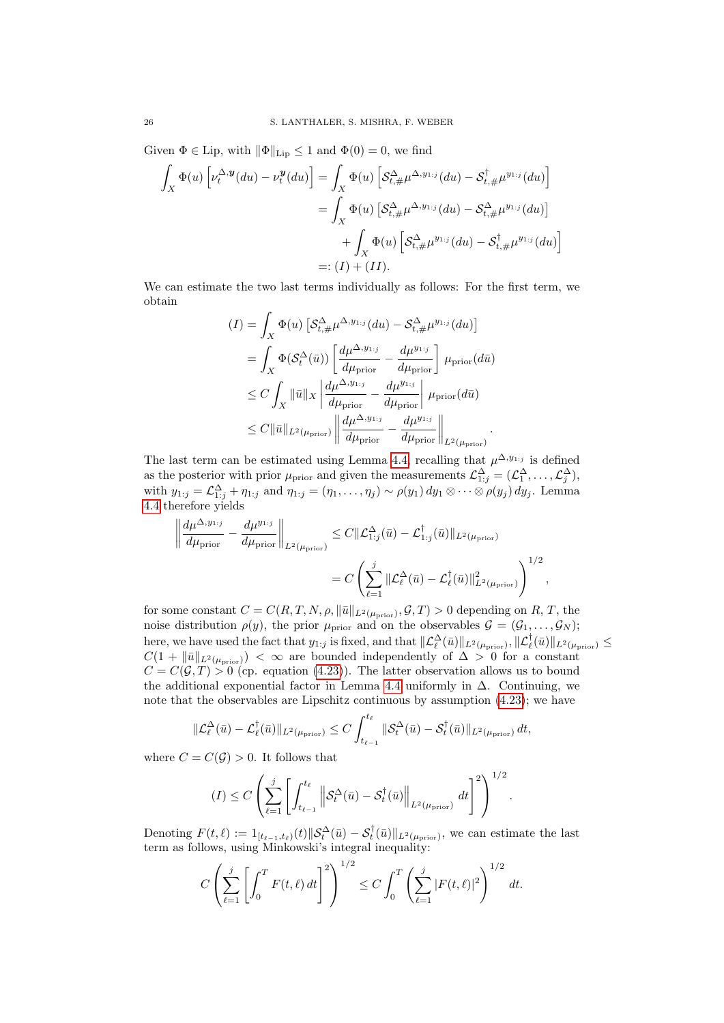Given  $\Phi \in \text{Lip}$ , with  $\|\Phi\|_{\text{Lip}} \leq 1$  and  $\Phi(0) = 0$ , we find

$$
\int_X \Phi(u) \left[ \nu_t^{\Delta, \mathbf{y}}(du) - \nu_t^{\mathbf{y}}(du) \right] = \int_X \Phi(u) \left[ \mathcal{S}_{t, \#}^{\Delta} \mu^{\Delta, y_{1:j}}(du) - \mathcal{S}_{t, \#}^{\dagger} \mu^{y_{1:j}}(du) \right]
$$
\n
$$
= \int_X \Phi(u) \left[ \mathcal{S}_{t, \#}^{\Delta} \mu^{\Delta, y_{1:j}}(du) - \mathcal{S}_{t, \#}^{\Delta} \mu^{y_{1:j}}(du) \right]
$$
\n
$$
+ \int_X \Phi(u) \left[ \mathcal{S}_{t, \#}^{\Delta} \mu^{y_{1:j}}(du) - \mathcal{S}_{t, \#}^{\dagger} \mu^{y_{1:j}}(du) \right]
$$
\n
$$
=: (I) + (II).
$$

We can estimate the two last terms individually as follows: For the first term, we obtain

$$
(I) = \int_X \Phi(u) \left[ \mathcal{S}_{t,\#}^{\Delta} \mu^{\Delta, y_{1:j}}(du) - \mathcal{S}_{t,\#}^{\Delta} \mu^{y_{1:j}}(du) \right]
$$
  
\n
$$
= \int_X \Phi(\mathcal{S}_t^{\Delta}(\bar{u})) \left[ \frac{d\mu^{\Delta, y_{1:j}}}{d\mu_{\text{prior}}} - \frac{d\mu^{y_{1:j}}}{d\mu_{\text{prior}}} \right] \mu_{\text{prior}}(d\bar{u})
$$
  
\n
$$
\leq C \int_X \|\bar{u}\|_X \left| \frac{d\mu^{\Delta, y_{1:j}}}{d\mu_{\text{prior}}} - \frac{d\mu^{y_{1:j}}}{d\mu_{\text{prior}}} \right| \mu_{\text{prior}}(d\bar{u})
$$
  
\n
$$
\leq C \|\bar{u}\|_{L^2(\mu_{\text{prior}})} \left\| \frac{d\mu^{\Delta, y_{1:j}}}{d\mu_{\text{prior}}} - \frac{d\mu^{y_{1:j}}}{d\mu_{\text{prior}}} \right\|_{L^2(\mu_{\text{prior}})}.
$$

The last term can be estimated using Lemma [4.4,](#page-22-3) recalling that  $\mu^{\Delta, y_{1:j}}$  is defined as the posterior with prior  $\mu_{\text{prior}}$  and given the measurements  $\mathcal{L}_{1:j}^{\Delta} = (\mathcal{L}_1^{\Delta}, \dots, \mathcal{L}_j^{\Delta}),$ with  $y_{1:j} = \mathcal{L}_{1:j}^{\Delta} + \eta_{1:j}$  and  $\eta_{1:j} = (\eta_1, \dots, \eta_j) \sim \rho(y_1) dy_1 \otimes \dots \otimes \rho(y_j) dy_j$ . Lemma [4.4](#page-22-3) therefore yields

$$
\left\| \frac{d\mu^{\Delta, y_{1:j}}}{d\mu_{\text{prior}}} - \frac{d\mu^{y_{1:j}}}{d\mu_{\text{prior}}} \right\|_{L^2(\mu_{\text{prior}})} \leq C \|\mathcal{L}^{\Delta}_{1:j}(\bar{u}) - \mathcal{L}^{\dagger}_{1:j}(\bar{u})\|_{L^2(\mu_{\text{prior}})} \n= C \left( \sum_{\ell=1}^j \|\mathcal{L}^{\Delta}_{\ell}(\bar{u}) - \mathcal{L}^{\dagger}_{\ell}(\bar{u})\|_{L^2(\mu_{\text{prior}})}^2 \right)^{1/2},
$$

for some constant  $C = C(R, T, N, \rho, \|\bar{u}\|_{L^2(\mu_{\text{prior}})}, \mathcal{G}, T) > 0$  depending on R, T, the noise distribution  $\rho(y)$ , the prior  $\mu_{\text{prior}}$  and on the observables  $\mathcal{G} = (\mathcal{G}_1, \ldots, \mathcal{G}_N)$ ; here, we have used the fact that  $y_{1:j}$  is fixed, and that  $\|\mathcal{L}_{\ell}^{\Delta}(\bar{u})\|_{L^2(\mu_{\text{prior}})}, \|\mathcal{L}_{\ell}^{\dagger}(\bar{u})\|_{L^2(\mu_{\text{prior}})} \leq$  $C(1 + ||\bar{u}||_{L^2(\mu_{\text{prior}})}) < \infty$  are bounded independently of  $\Delta > 0$  for a constant  $C = C(\mathcal{G}, T) > 0$  (cp. equation [\(4.23\)](#page-24-0)). The latter observation allows us to bound the additional exponential factor in Lemma [4.4](#page-22-3) uniformly in  $\Delta$ . Continuing, we note that the observables are Lipschitz continuous by assumption [\(4.23\)](#page-24-0); we have

$$
\|\mathcal{L}_{\ell}^{\Delta}(\bar{u}) - \mathcal{L}_{\ell}^{\dagger}(\bar{u})\|_{L^{2}(\mu_{\text{prior}})} \leq C \int_{t_{\ell-1}}^{t_{\ell}} \|\mathcal{S}_{t}^{\Delta}(\bar{u}) - \mathcal{S}_{t}^{\dagger}(\bar{u})\|_{L^{2}(\mu_{\text{prior}})} dt,
$$

where  $C = C(\mathcal{G}) > 0$ . It follows that

$$
(I) \leq C \left( \sum_{\ell=1}^j \left[ \int_{t_{\ell-1}}^{t_{\ell}} \left\| \mathcal{S}_t^{\Delta}(\bar{u}) - \mathcal{S}_t^{\dagger}(\bar{u}) \right\|_{L^2(\mu_{\text{prior}})} dt \right]^2 \right)^{1/2}.
$$

Denoting  $F(t,\ell) := 1_{[t_{\ell-1},t_{\ell})}(t) \|\mathcal{S}_t^{\Delta}(\bar{u}) - \mathcal{S}_t^{\dagger}(\bar{u})\|_{L^2(\mu_{\text{prior}})},$  we can estimate the last term as follows, using Minkowski's integral inequality:

$$
C\left(\sum_{\ell=1}^j \left[ \int_0^T F(t,\ell) \, dt \right]^2 \right)^{1/2} \le C \int_0^T \left( \sum_{\ell=1}^j |F(t,\ell)|^2 \right)^{1/2} \, dt.
$$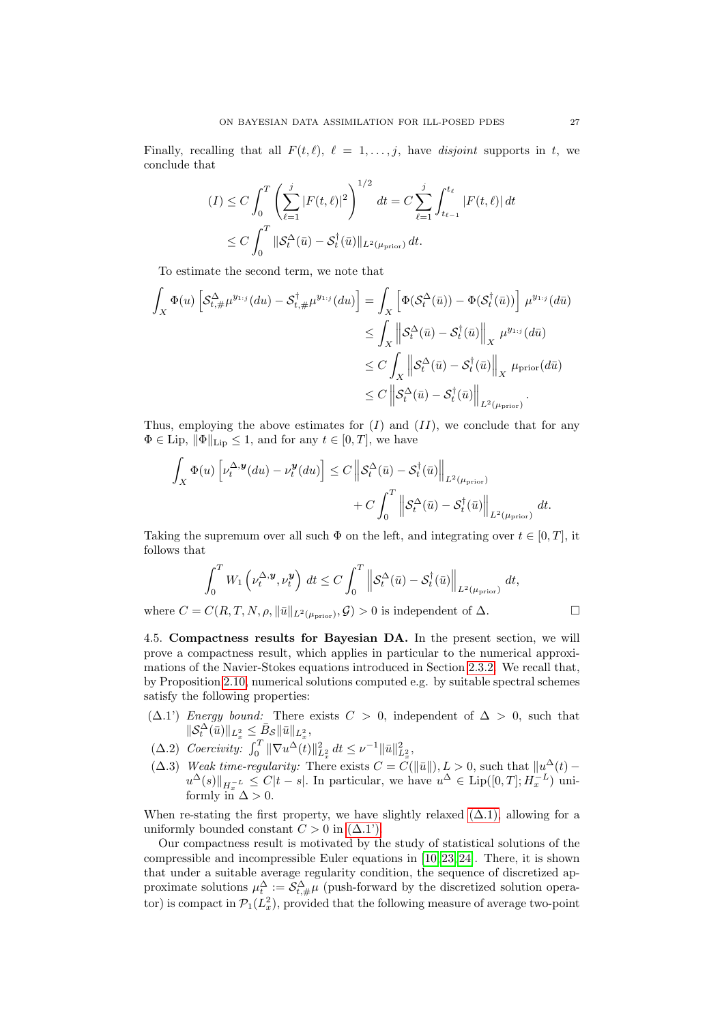Finally, recalling that all  $F(t, \ell), \ell = 1, \ldots, j$ , have disjoint supports in t, we conclude that

$$
(I) \leq C \int_0^T \left( \sum_{\ell=1}^j |F(t,\ell)|^2 \right)^{1/2} dt = C \sum_{\ell=1}^j \int_{t_{\ell-1}}^{t_\ell} |F(t,\ell)| dt
$$
  

$$
\leq C \int_0^T \|\mathcal{S}_t^{\Delta}(\bar{u}) - \mathcal{S}_t^{\dagger}(\bar{u})\|_{L^2(\mu_{\text{prior}})} dt.
$$

To estimate the second term, we note that

$$
\int_X \Phi(u) \left[ \mathcal{S}_{t,\#}^{\Delta} \mu^{y_{1:j}}(du) - \mathcal{S}_{t,\#}^{\dagger} \mu^{y_{1:j}}(du) \right] = \int_X \left[ \Phi(\mathcal{S}_t^{\Delta}(\bar{u})) - \Phi(\mathcal{S}_t^{\dagger}(\bar{u})) \right] \mu^{y_{1:j}}(d\bar{u})
$$
\n
$$
\leq \int_X \left\| \mathcal{S}_t^{\Delta}(\bar{u}) - \mathcal{S}_t^{\dagger}(\bar{u}) \right\|_X \mu^{y_{1:j}}(d\bar{u})
$$
\n
$$
\leq C \int_X \left\| \mathcal{S}_t^{\Delta}(\bar{u}) - \mathcal{S}_t^{\dagger}(\bar{u}) \right\|_X \mu_{\text{prior}}(d\bar{u})
$$
\n
$$
\leq C \left\| \mathcal{S}_t^{\Delta}(\bar{u}) - \mathcal{S}_t^{\dagger}(\bar{u}) \right\|_{L^2(\mu_{\text{prior}})}.
$$

Thus, employing the above estimates for  $(I)$  and  $(II)$ , we conclude that for any  $\Phi \in \text{Lip}, \|\Phi\|_{\text{Lip}} \leq 1$ , and for any  $t \in [0, T]$ , we have

$$
\int_{X} \Phi(u) \left[ \nu_t^{\Delta, \mathbf{y}}(du) - \nu_t^{\mathbf{y}}(du) \right] \le C \left\| \mathcal{S}_t^{\Delta}(\bar{u}) - \mathcal{S}_t^{\dagger}(\bar{u}) \right\|_{L^2(\mu_{\text{prior}})} + C \int_0^T \left\| \mathcal{S}_t^{\Delta}(\bar{u}) - \mathcal{S}_t^{\dagger}(\bar{u}) \right\|_{L^2(\mu_{\text{prior}})} dt.
$$

Taking the supremum over all such  $\Phi$  on the left, and integrating over  $t \in [0, T]$ , it follows that

$$
\int_0^T W_1 \left(\nu_t^{\Delta, \mathbf{y}}, \nu_t^{\mathbf{y}}\right) dt \le C \int_0^T \left\| \mathcal{S}_t^{\Delta}(\bar{u}) - \mathcal{S}_t^{\dagger}(\bar{u}) \right\|_{L^2(\mu_{\text{prior}})} dt,
$$
  

$$
C(P, T, N, \varepsilon, \|\bar{u}\|) \le C \sum_{i=1}^{\infty} C_i \le C \sum_{i=1}^{\infty} \varepsilon_i \text{ independent of } \Delta.
$$

where  $C = C(R, T, N, \rho, \|\bar{u}\|_{L^2(\mu_{\text{prior}})}, \mathcal{G}) > 0$  is independent of  $\Delta$ .

<span id="page-26-3"></span>4.5. Compactness results for Bayesian DA. In the present section, we will prove a compactness result, which applies in particular to the numerical approximations of the Navier-Stokes equations introduced in Section [2.3.2.](#page-9-3) We recall that, by Proposition [2.10,](#page-9-2) numerical solutions computed e.g. by suitable spectral schemes satisfy the following properties:

- <span id="page-26-0"></span> $(\Delta.1')$  Energy bound: There exists  $C > 0$ , independent of  $\Delta > 0$ , such that  $\|\mathcal{S}_t^{\Delta}(\bar{u})\|_{L^2_x} \leq \bar{B}_{\mathcal{S}} \|\bar{u}\|_{L^2_x},$
- <span id="page-26-2"></span>( $\Delta.2$ ) Coercivity:  $\int_0^T \|\nabla u^{\Delta}(t)\|_{L_x^2}^2 dt \leq \nu^{-1} \|\bar{u}\|_{L_x^2}^2$ ,
- <span id="page-26-1"></span> $(\Delta.3)$  Weak time-regularity: There exists  $C = C(||\bar{u}||), L > 0$ , such that  $||u^{\Delta}(t)$  $u^{\Delta}(s)\|_{H_x^{-L}} \leq C|t-s|$ . In particular, we have  $u^{\Delta} \in \text{Lip}([0,T]; H_x^{-L})$  uniformly in  $\Delta > 0$ .

When re-stating the first property, we have slightly relaxed  $(\Delta.1)$ , allowing for a uniformly bounded constant  $C > 0$  in  $(\Delta.1')$ .

Our compactness result is motivated by the study of statistical solutions of the compressible and incompressible Euler equations in [\[10,](#page-36-7) [23,](#page-37-12) [24\]](#page-37-11). There, it is shown that under a suitable average regularity condition, the sequence of discretized approximate solutions  $\mu_t^{\Delta} := \mathcal{S}_{t,\#}^{\Delta} \mu$  (push-forward by the discretized solution operator) is compact in  $\mathcal{P}_1(L_x^2)$ , provided that the following measure of average two-point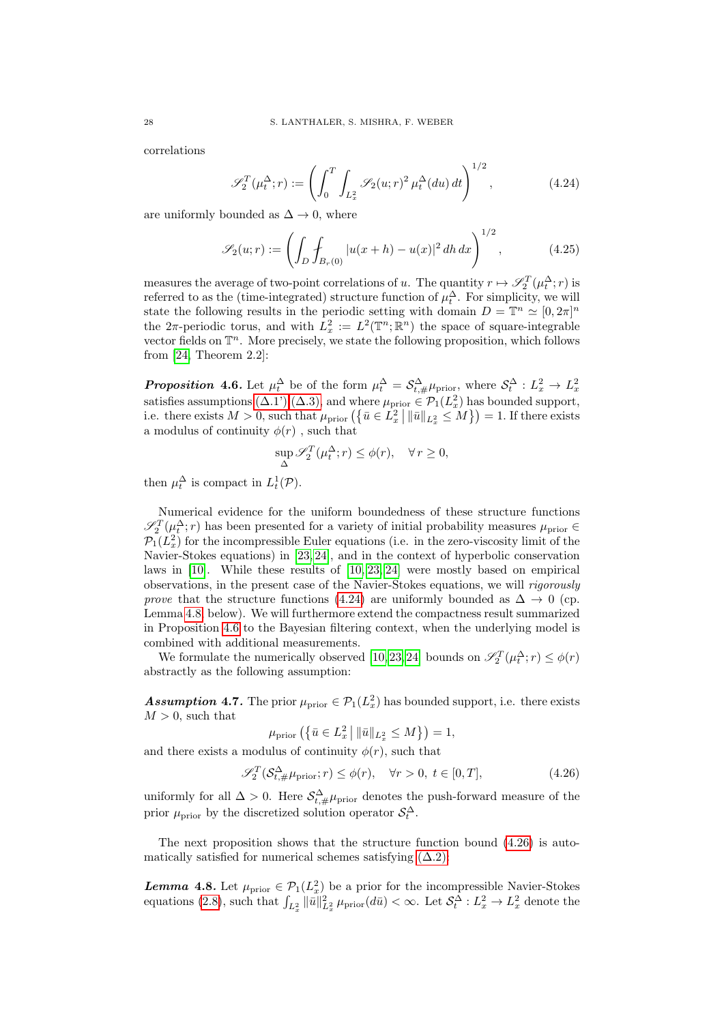correlations

<span id="page-27-0"></span>
$$
\mathscr{S}_2^T(\mu_t^{\Delta}; r) := \left( \int_0^T \int_{L_x^2} \mathscr{S}_2(u; r)^2 \, \mu_t^{\Delta}(du) \, dt \right)^{1/2}, \tag{4.24}
$$

are uniformly bounded as  $\Delta \rightarrow 0$ , where

$$
\mathcal{S}_2(u;r) := \left(\int_D \int_{B_r(0)} |u(x+h) - u(x)|^2 \, dh \, dx\right)^{1/2},\tag{4.25}
$$

measures the average of two-point correlations of u. The quantity  $r \mapsto \mathscr{S}_2^T(\mu_t^{\Delta}; r)$  is referred to as the (time-integrated) structure function of  $\mu_t^{\Delta}$ . For simplicity, we will state the following results in the periodic setting with domain  $D = \mathbb{T}^n \simeq [0, 2\pi]^n$ the  $2\pi$ -periodic torus, and with  $L_x^2 := L^2(\mathbb{T}^n;\mathbb{R}^n)$  the space of square-integrable vector fields on  $\mathbb{T}^n$ . More precisely, we state the following proposition, which follows from [\[24,](#page-37-11) Theorem 2.2]:

<span id="page-27-2"></span>**Proposition 4.6.** Let  $\mu_t^{\Delta}$  be of the form  $\mu_t^{\Delta} = \mathcal{S}_{t,\#}^{\Delta} \mu_{\text{prior}}$ , where  $\mathcal{S}_t^{\Delta} : L_x^2 \to L_x^2$ satisfies assumptions  $(\Delta.1^{\circ}), (\Delta.3)$ , and where  $\mu_{\text{prior}} \in \mathcal{P}_1(L_x^2)$  has bounded support, i.e. there exists  $M > 0$ , such that  $\mu_{\text{prior}}\left(\left\{\bar{u} \in L_x^2 \mid ||\bar{u}||_{L_x^2} \leq M\right\}\right) = 1$ . If there exists a modulus of continuity  $\phi(r)$ , such that

$$
\sup_{\Delta} \mathscr{S}_2^T(\mu_t^{\Delta}; r) \le \phi(r), \quad \forall r \ge 0,
$$

then  $\mu_t^{\Delta}$  is compact in  $L_t^1(\mathcal{P})$ .

Numerical evidence for the uniform boundedness of these structure functions  $\mathscr{S}_2^T(\mu_t^{\Delta}; r)$  has been presented for a variety of initial probability measures  $\mu_{\text{prior}} \in$  $\mathcal{P}_1(L_x^2)$  for the incompressible Euler equations (i.e. in the zero-viscosity limit of the Navier-Stokes equations) in [\[23,](#page-37-12) [24\]](#page-37-11), and in the context of hyperbolic conservation laws in [\[10\]](#page-36-7). While these results of [\[10,](#page-36-7) [23,](#page-37-12) [24\]](#page-37-11) were mostly based on empirical observations, in the present case of the Navier-Stokes equations, we will rigorously prove that the structure functions [\(4.24\)](#page-27-0) are uniformly bounded as  $\Delta \rightarrow 0$  (cp. Lemma [4.8,](#page-27-1) below). We will furthermore extend the compactness result summarized in Proposition [4.6](#page-27-2) to the Bayesian filtering context, when the underlying model is combined with additional measurements.

We formulate the numerically observed [\[10,](#page-36-7)23,24] bounds on  $\mathscr{S}_2^T(\mu_t^{\Delta}; r) \leq \phi(r)$ abstractly as the following assumption:

<span id="page-27-4"></span>**Assumption 4.7.** The prior  $\mu_{\text{prior}} \in \mathcal{P}_1(L_x^2)$  has bounded support, i.e. there exists  $M > 0$ , such that

<span id="page-27-3"></span>
$$
\mu_{\text{prior}}\left(\left\{\bar{u}\in L_x^2 \,|\, \|\bar{u}\|_{L_x^2}\leq M\right\}\right)=1,
$$

and there exists a modulus of continuity  $\phi(r)$ , such that

$$
\mathcal{S}_2^T(\mathcal{S}_{t,\#}^\Delta \mu_{\text{prior}}; r) \le \phi(r), \quad \forall r > 0, \ t \in [0, T], \tag{4.26}
$$

uniformly for all  $\Delta > 0$ . Here  $\mathcal{S}_{t,\#}^{\Delta} \mu_{\text{prior}}$  denotes the push-forward measure of the prior  $\mu_{\text{prior}}$  by the discretized solution operator  $\mathcal{S}_t^{\Delta}$ .

The next proposition shows that the structure function bound [\(4.26\)](#page-27-3) is automatically satisfied for numerical schemes satisfying  $(\Delta.2)$ :

<span id="page-27-1"></span>**Lemma 4.8.** Let  $\mu_{\text{prior}} \in \mathcal{P}_1(L_x^2)$  be a prior for the incompressible Navier-Stokes equations [\(2.8\)](#page-8-2), such that  $\int_{L_x^2} ||\bar{u}||_{L_x^2}^2 \mu_{\text{prior}}(d\bar{u}) < \infty$ . Let  $\mathcal{S}_t^{\Delta}: L_x^2 \to L_x^2$  denote the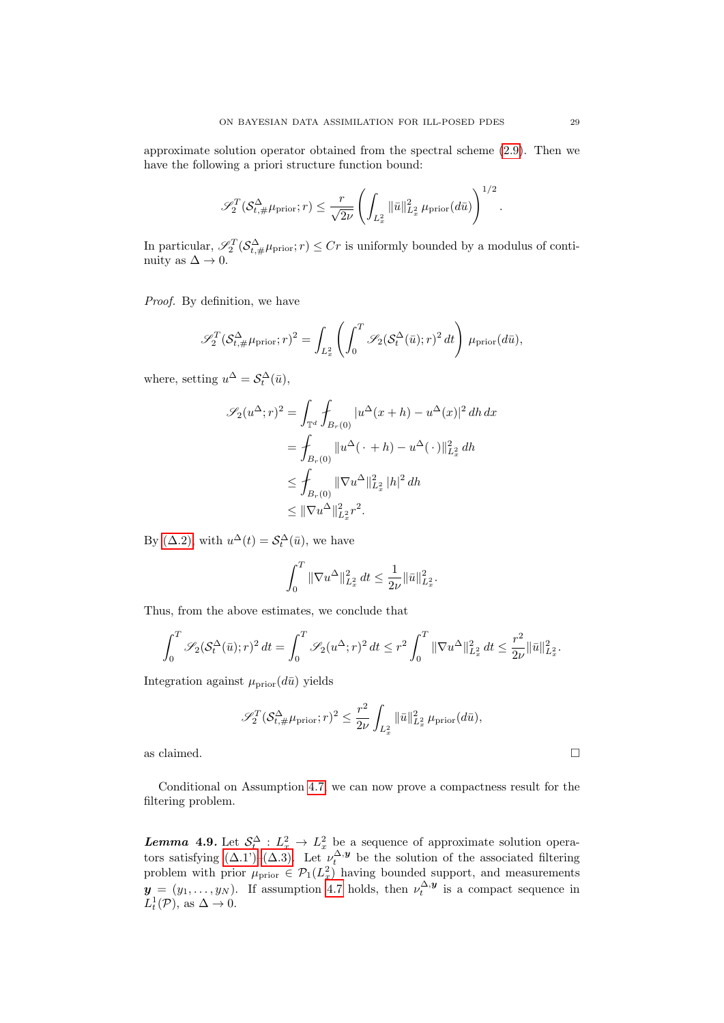approximate solution operator obtained from the spectral scheme [\(2.9\)](#page-9-1). Then we have the following a priori structure function bound:

$$
\mathscr{S}_2^T(\mathcal{S}_{t,\#}^{\Delta}\mu_{\text{prior}}; r) \leq \frac{r}{\sqrt{2\nu}} \left( \int_{L_x^2} \|\bar{u}\|_{L_x^2}^2 \mu_{\text{prior}}(d\bar{u}) \right)^{1/2}.
$$

In particular,  $\mathscr{S}_2^T(\mathcal{S}^{\Delta}_{t,\#}\mu_{\text{prior}}; r) \leq Cr$  is uniformly bounded by a modulus of continuity as  $\Delta \to 0$ .

Proof. By definition, we have

$$
\mathscr{S}_2^T(\mathcal{S}_{t,\#}^{\Delta}\mu_{\text{prior}};r)^2 = \int_{L_x^2} \left( \int_0^T \mathscr{S}_2(\mathcal{S}_t^{\Delta}(\bar{u});r)^2 dt \right) \mu_{\text{prior}}(d\bar{u}),
$$

where, setting  $u^{\Delta} = \mathcal{S}_t^{\Delta}(\bar{u}),$ 

$$
\mathscr{S}_2(u^{\Delta}; r)^2 = \int_{\mathbb{T}^d} \int_{B_r(0)} |u^{\Delta}(x+h) - u^{\Delta}(x)|^2 dh dx
$$
  
= 
$$
\int_{B_r(0)} ||u^{\Delta}(\cdot + h) - u^{\Delta}(\cdot)||_{L_x^2}^2 dh
$$
  

$$
\leq \int_{B_r(0)} ||\nabla u^{\Delta}||_{L_x^2}^2 |h|^2 dh
$$
  

$$
\leq ||\nabla u^{\Delta}||_{L_x^2}^2 r^2.
$$

By ( $\Delta$ .2), with  $u^{\Delta}(t) = \mathcal{S}_t^{\Delta}(\bar{u})$ , we have

$$
\int_0^T \|\nabla u^\Delta\|_{L_x^2}^2 dt \le \frac{1}{2\nu} \|\bar{u}\|_{L_x^2}^2.
$$

Thus, from the above estimates, we conclude that

$$
\int_0^T \mathscr{S}_2(\mathcal{S}_t^{\Delta}(\bar{u}); r)^2 dt = \int_0^T \mathscr{S}_2(u^{\Delta}; r)^2 dt \le r^2 \int_0^T \|\nabla u^{\Delta}\|_{L_x^2}^2 dt \le \frac{r^2}{2\nu} \|\bar{u}\|_{L_x^2}^2.
$$

Integration against  $\mu_{\text{prior}}(d\bar{u})$  yields

$$
\mathscr{S}_2^T (\mathcal{S}_{t,\#}^{\Delta} \mu_{\text{prior}}; r)^2 \leq \frac{r^2}{2\nu} \int_{L_x^2} ||\bar{u}||_{L_x^2}^2 \mu_{\text{prior}}(d\bar{u}),
$$

as claimed.  $\Box$ 

<span id="page-28-0"></span>Conditional on Assumption [4.7,](#page-27-4) we can now prove a compactness result for the filtering problem.

**Lemma 4.9.** Let  $S_t^{\Delta}: L_x^2 \to L_x^2$  be a sequence of approximate solution operators satisfying  $(\Delta.1')$ – $(\Delta.3)$ . Let  $\nu_t^{\Delta, y}$  be the solution of the associated filtering problem with prior  $\mu_{\text{prior}} \in \mathcal{P}_1(L_x^2)$  having bounded support, and measurements  $y = (y_1, \ldots, y_N)$ . If assumption [4.7](#page-27-4) holds, then  $\nu_t^{\Delta, y}$  is a compact sequence in  $L_t^1(\mathcal{P}), \text{ as } \Delta \to 0.$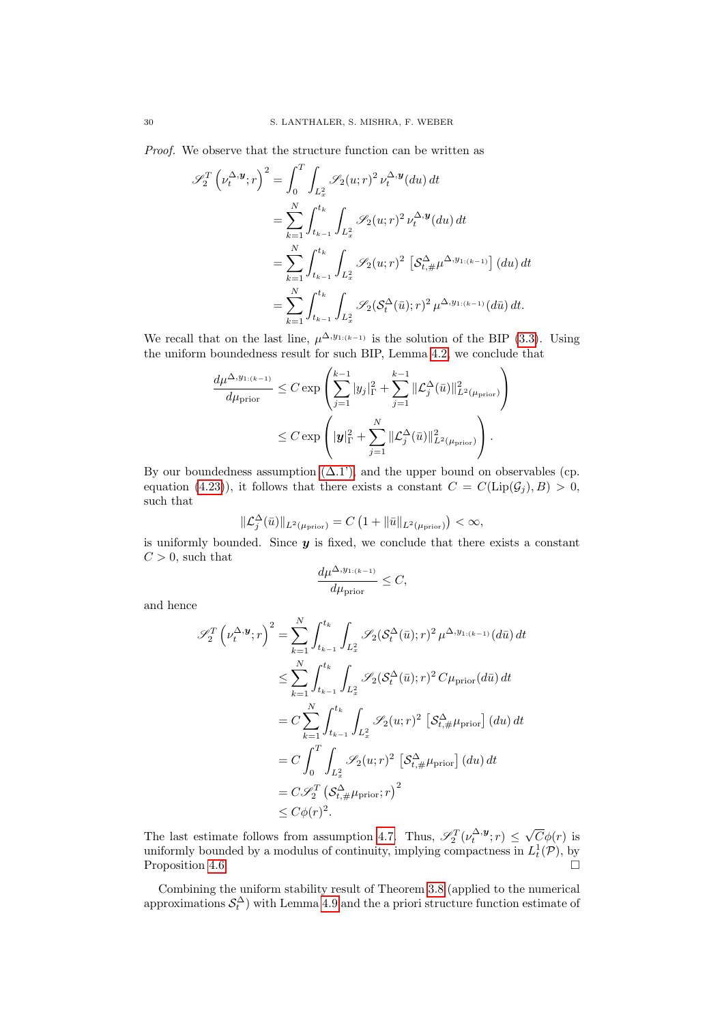Proof. We observe that the structure function can be written as

$$
\mathscr{S}_{2}^{T} \left(\nu_{t}^{\Delta,\mathbf{y}}; r\right)^{2} = \int_{0}^{T} \int_{L_{x}^{2}} \mathscr{S}_{2}(u; r)^{2} \nu_{t}^{\Delta,\mathbf{y}}(du) dt
$$
  
\n
$$
= \sum_{k=1}^{N} \int_{t_{k-1}}^{t_{k}} \int_{L_{x}^{2}} \mathscr{S}_{2}(u; r)^{2} \nu_{t}^{\Delta,\mathbf{y}}(du) dt
$$
  
\n
$$
= \sum_{k=1}^{N} \int_{t_{k-1}}^{t_{k}} \int_{L_{x}^{2}} \mathscr{S}_{2}(u; r)^{2} \left[\mathcal{S}_{t, \#}^{\Delta} \mu^{\Delta, y_{1:(k-1)}}\right](du) dt
$$
  
\n
$$
= \sum_{k=1}^{N} \int_{t_{k-1}}^{t_{k}} \int_{L_{x}^{2}} \mathscr{S}_{2}(\mathcal{S}_{t}^{\Delta}(\bar{u}); r)^{2} \mu^{\Delta, y_{1:(k-1)}}(d\bar{u}) dt.
$$

We recall that on the last line,  $\mu^{\Delta, y_{1:(k-1)}}$  is the solution of the BIP [\(3.3\)](#page-11-1). Using the uniform boundedness result for such BIP, Lemma [4.2,](#page-20-5) we conclude that

$$
\frac{d\mu^{\Delta, y_{1:(k-1)}}}{d\mu_{\text{prior}}} \leq C \exp\left(\sum_{j=1}^{k-1} |y_j|_{\Gamma}^2 + \sum_{j=1}^{k-1} \|\mathcal{L}_j^{\Delta}(\bar{u})\|_{L^2(\mu_{\text{prior}})}^2\right) \leq C \exp\left(|\mathbf{y}|_{\Gamma}^2 + \sum_{j=1}^N \|\mathcal{L}_j^{\Delta}(\bar{u})\|_{L^2(\mu_{\text{prior}})}^2\right).
$$

By our boundedness assumption  $(\Delta.1')$ , and the upper bound on observables (cp. equation [\(4.23\)](#page-24-0)), it follows that there exists a constant  $C = C(\text{Lip}(\mathcal{G}_i), B) > 0$ , such that

$$
\|\mathcal{L}_j^{\Delta}(\bar{u})\|_{L^2(\mu_{\text{prior}})} = C\left(1 + \|\bar{u}\|_{L^2(\mu_{\text{prior}})}\right) < \infty,
$$

is uniformly bounded. Since  $y$  is fixed, we conclude that there exists a constant  $C > 0$ , such that

$$
\frac{d\mu^{\Delta, y_{1:(k-1)}}}{d\mu_{\text{prior}}} \le C,
$$

and hence

$$
\mathscr{S}_{2}^{T}\left(\nu_{t}^{\Delta,\mathbf{y}}; r\right)^{2} = \sum_{k=1}^{N} \int_{t_{k-1}}^{t_{k}} \int_{L_{x}^{2}} \mathscr{S}_{2}(\mathcal{S}_{t}^{\Delta}(\bar{u}); r)^{2} \mu^{\Delta, y_{1:(k-1)}}(d\bar{u}) dt
$$
  
\n
$$
\leq \sum_{k=1}^{N} \int_{t_{k-1}}^{t_{k}} \int_{L_{x}^{2}} \mathscr{S}_{2}(\mathcal{S}_{t}^{\Delta}(\bar{u}); r)^{2} C \mu_{\text{prior}}(d\bar{u}) dt
$$
  
\n
$$
= C \sum_{k=1}^{N} \int_{t_{k-1}}^{t_{k}} \int_{L_{x}^{2}} \mathscr{S}_{2}(u; r)^{2} \left[\mathcal{S}_{t, \#}^{\Delta} \mu_{\text{prior}}\right](du) dt
$$
  
\n
$$
= C \int_{0}^{T} \int_{L_{x}^{2}} \mathscr{S}_{2}(u; r)^{2} \left[\mathcal{S}_{t, \#}^{\Delta} \mu_{\text{prior}}\right](du) dt
$$
  
\n
$$
= C \mathscr{S}_{2}^{T} \left(\mathcal{S}_{t, \#}^{\Delta} \mu_{\text{prior}}; r\right)^{2}
$$
  
\n
$$
\leq C \phi(r)^{2}.
$$

The last estimate follows from assumption [4.7.](#page-27-4) Thus,  $\mathscr{S}_2^T(\nu_t^{\Delta,\mathbf{y}};r) \leq$ √  $C\phi(r)$  is uniformly bounded by a modulus of continuity, implying compactness in  $L_t^1(\mathcal{P})$ , by Proposition [4.6.](#page-27-2)

Combining the uniform stability result of Theorem [3.8](#page-14-0) (applied to the numerical approximations  $\mathcal{S}_t^{\Delta}$  with Lemma [4.9](#page-28-0) and the a priori structure function estimate of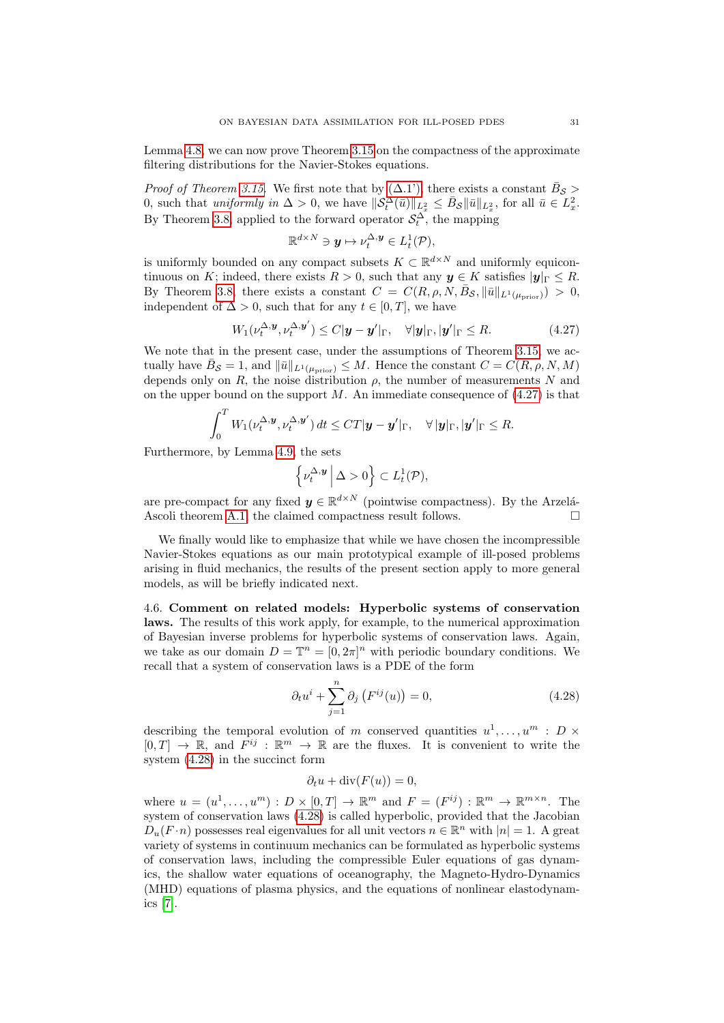Lemma [4.8,](#page-27-1) we can now prove Theorem [3.15](#page-16-2) on the compactness of the approximate filtering distributions for the Navier-Stokes equations.

*Proof of Theorem [3.15.](#page-16-2)* We first note that by  $(\Delta.1')$ , there exists a constant  $\bar{B}_{\mathcal{S}} >$ 0, such that uniformly in  $\Delta > 0$ , we have  $\|\mathcal{S}_t^{\hat{\Delta}}(\bar{u})\|_{L_x^2} \leq \bar{B}_{\mathcal{S}} \|\bar{u}\|_{L_x^2}$ , for all  $\bar{u} \in L_x^2$ . By Theorem [3.8,](#page-14-0) applied to the forward operator  $\mathcal{S}_t^{\Delta}$ , the mapping

<span id="page-30-0"></span>
$$
\mathbb{R}^{d\times N}\ni y\mapsto \nu_t^{\Delta,\boldsymbol{y}}\in L^1_t(\mathcal{P}),
$$

is uniformly bounded on any compact subsets  $K \subset \mathbb{R}^{d \times N}$  and uniformly equicontinuous on K; indeed, there exists  $R > 0$ , such that any  $y \in K$  satisfies  $|y|_{\Gamma} \leq R$ . By Theorem [3.8,](#page-14-0) there exists a constant  $C = C(R, \rho, N, \bar{B}_{\mathcal{S}}, ||\bar{u}||_{L^1(\mu_{\text{prior}})}) > 0$ , independent of  $\Delta > 0$ , such that for any  $t \in [0, T]$ , we have

$$
W_1(\nu_t^{\Delta, \mathbf{y}}, \nu_t^{\Delta, \mathbf{y}'}) \le C|\mathbf{y} - \mathbf{y}'|_{\Gamma}, \quad \forall |\mathbf{y}|_{\Gamma}, |\mathbf{y}'|_{\Gamma} \le R. \tag{4.27}
$$

We note that in the present case, under the assumptions of Theorem [3.15,](#page-16-2) we actually have  $\bar{B}_{\mathcal{S}} = 1$ , and  $||\bar{u}||_{L^1(\mu_{\text{prior}})} \leq M$ . Hence the constant  $C = C(R, \rho, N, M)$ depends only on  $R$ , the noise distribution  $\rho$ , the number of measurements  $N$  and on the upper bound on the support  $M$ . An immediate consequence of  $(4.27)$  is that

$$
\int_0^T W_1(\nu_t^{\Delta, \mathbf{y}}, \nu_t^{\Delta, \mathbf{y}'}) dt \leq C T |\mathbf{y} - \mathbf{y}'|_{\Gamma}, \quad \forall |\mathbf{y}|_{\Gamma}, |\mathbf{y}'|_{\Gamma} \leq R.
$$

Furthermore, by Lemma [4.9,](#page-28-0) the sets

$$
\left\{\nu_t^{\Delta,\mathbf{y}}\,\middle|\, \Delta>0\right\} \subset L_t^1(\mathcal{P}),
$$

are pre-compact for any fixed  $y \in \mathbb{R}^{d \times N}$  (pointwise compactness). By the Arzelá-Ascoli theorem [A.1,](#page-36-14) the claimed compactness result follows.  $\Box$ 

We finally would like to emphasize that while we have chosen the incompressible Navier-Stokes equations as our main prototypical example of ill-posed problems arising in fluid mechanics, the results of the present section apply to more general models, as will be briefly indicated next.

4.6. Comment on related models: Hyperbolic systems of conservation laws. The results of this work apply, for example, to the numerical approximation of Bayesian inverse problems for hyperbolic systems of conservation laws. Again, we take as our domain  $D = \mathbb{T}^n = [0, 2\pi]^n$  with periodic boundary conditions. We recall that a system of conservation laws is a PDE of the form

<span id="page-30-1"></span>
$$
\partial_t u^i + \sum_{j=1}^n \partial_j \left( F^{ij}(u) \right) = 0,\tag{4.28}
$$

describing the temporal evolution of m conserved quantities  $u^1, \ldots, u^m : D \times$  $[0, T] \to \mathbb{R}$ , and  $F^{ij} : \mathbb{R}^m \to \mathbb{R}$  are the fluxes. It is convenient to write the system [\(4.28\)](#page-30-1) in the succinct form

# $\partial_t u + \text{div}(F(u)) = 0,$

where  $u = (u^1, \dots, u^m) : D \times [0, T] \to \mathbb{R}^m$  and  $F = (F^{ij}) : \mathbb{R}^m \to \mathbb{R}^{m \times n}$ . The system of conservation laws [\(4.28\)](#page-30-1) is called hyperbolic, provided that the Jacobian  $D_u(F \cdot n)$  possesses real eigenvalues for all unit vectors  $n \in \mathbb{R}^n$  with  $|n| = 1$ . A great variety of systems in continuum mechanics can be formulated as hyperbolic systems of conservation laws, including the compressible Euler equations of gas dynamics, the shallow water equations of oceanography, the Magneto-Hydro-Dynamics (MHD) equations of plasma physics, and the equations of nonlinear elastodynamics [\[7\]](#page-36-5).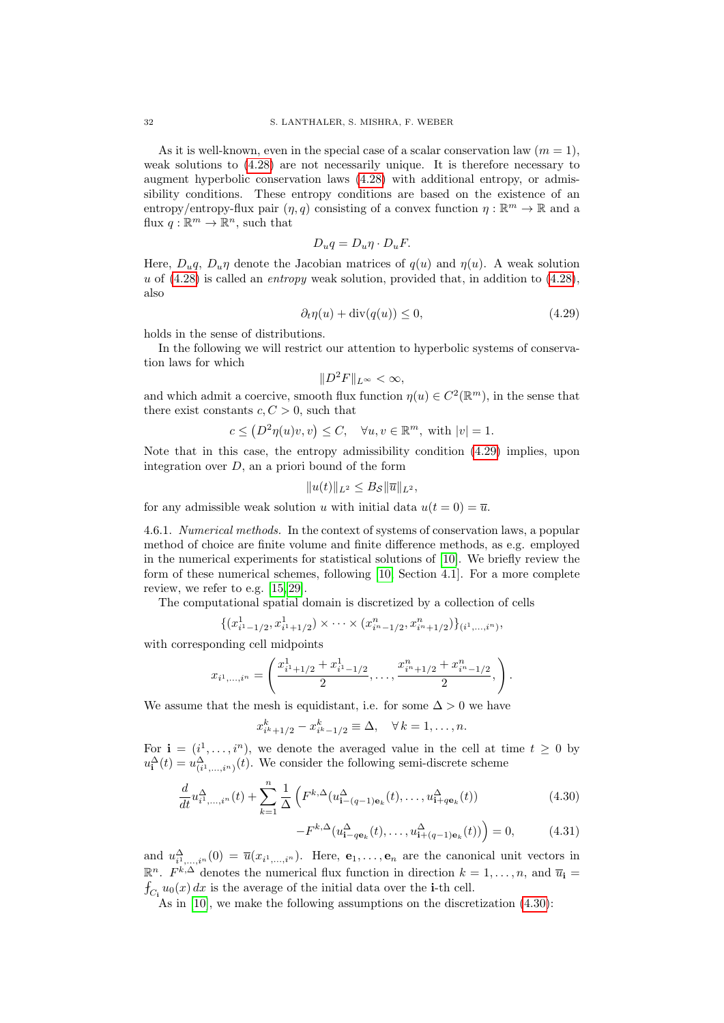As it is well-known, even in the special case of a scalar conservation law  $(m = 1)$ , weak solutions to [\(4.28\)](#page-30-1) are not necessarily unique. It is therefore necessary to augment hyperbolic conservation laws [\(4.28\)](#page-30-1) with additional entropy, or admissibility conditions. These entropy conditions are based on the existence of an entropy/entropy-flux pair  $(\eta, q)$  consisting of a convex function  $\eta : \mathbb{R}^m \to \mathbb{R}$  and a flux  $q: \mathbb{R}^m \to \mathbb{R}^n$ , such that

$$
D_u q = D_u \eta \cdot D_u F.
$$

Here,  $D_u q$ ,  $D_u \eta$  denote the Jacobian matrices of  $q(u)$  and  $\eta(u)$ . A weak solution u of  $(4.28)$  is called an *entropy* weak solution, provided that, in addition to  $(4.28)$ , also

$$
\partial_t \eta(u) + \text{div}(q(u)) \le 0,\tag{4.29}
$$

holds in the sense of distributions.

In the following we will restrict our attention to hyperbolic systems of conservation laws for which

<span id="page-31-0"></span>
$$
||D^2F||_{L^{\infty}} < \infty,
$$

and which admit a coercive, smooth flux function  $\eta(u) \in C^2(\mathbb{R}^m)$ , in the sense that there exist constants  $c, C > 0$ , such that

$$
c \le (D^2 \eta(u)v, v) \le C, \quad \forall u, v \in \mathbb{R}^m, \text{ with } |v| = 1.
$$

Note that in this case, the entropy admissibility condition [\(4.29\)](#page-31-0) implies, upon integration over  $D$ , an a priori bound of the form

$$
||u(t)||_{L^2} \leq B_{\mathcal{S}} ||\overline{u}||_{L^2},
$$

for any admissible weak solution u with initial data  $u(t = 0) = \overline{u}$ .

4.6.1. Numerical methods. In the context of systems of conservation laws, a popular method of choice are finite volume and finite difference methods, as e.g. employed in the numerical experiments for statistical solutions of [\[10\]](#page-36-7). We briefly review the form of these numerical schemes, following [\[10,](#page-36-7) Section 4.1]. For a more complete review, we refer to e.g. [\[15,](#page-36-15) [29\]](#page-37-18).

The computational spatial domain is discretized by a collection of cells

$$
\{(x_{i^1-1/2}^1, x_{i^1+1/2}^1) \times \cdots \times (x_{i^n-1/2}^n, x_{i^n+1/2}^n)\}_{(i^1,\ldots,i^n)},
$$

with corresponding cell midpoints

$$
x_{i^1,\dots,i^n} = \left(\frac{x_{i^1+1/2}^1 + x_{i^1-1/2}^1}{2}, \dots, \frac{x_{i^n+1/2}^n + x_{i^n-1/2}^n}{2}, \right).
$$

We assume that the mesh is equidistant, i.e. for some  $\Delta > 0$  we have

$$
x_{i^k+1/2}^k - x_{i^k-1/2}^k \equiv \Delta, \quad \forall \, k = 1, \ldots, n.
$$

For  $\mathbf{i} = (i^1, \ldots, i^n)$ , we denote the averaged value in the cell at time  $t \geq 0$  by  $u_{\mathbf{i}}^{\Delta}(t) = u_{(i^1,\ldots,i^n)}^{\Delta}(t)$ . We consider the following semi-discrete scheme

$$
\frac{d}{dt}u_{i^{1},...,i^{n}}^{\Delta}(t) + \sum_{k=1}^{n} \frac{1}{\Delta} \left( F^{k,\Delta}(u_{i-(q-1)\mathbf{e}_{k}}^{\Delta}(t),...,u_{i+q\mathbf{e}_{k}}^{\Delta}(t)) \right)
$$
(4.30)

<span id="page-31-1"></span>
$$
-F^{k,\Delta}(u_{\mathbf{i}-q\mathbf{e}_k}^{\Delta}(t),\ldots,u_{\mathbf{i}+(q-1)\mathbf{e}_k}^{\Delta}(t))=0,
$$
 (4.31)

and  $u_{i_1,\ldots,i_n}^{\Delta}(0) = \overline{u}(x_{i_1,\ldots,i_n}).$  Here,  $\mathbf{e}_1,\ldots,\mathbf{e}_n$  are the canonical unit vectors in  $\mathbb{R}^n$ .  $F^{k,\Delta}$  denotes the numerical flux function in direction  $k = 1, \ldots, n$ , and  $\overline{u}_i =$  $f_{C_i} u_0(x) dx$  is the average of the initial data over the i-th cell.

<span id="page-31-2"></span>As in [\[10\]](#page-36-7), we make the following assumptions on the discretization  $(4.30)$ :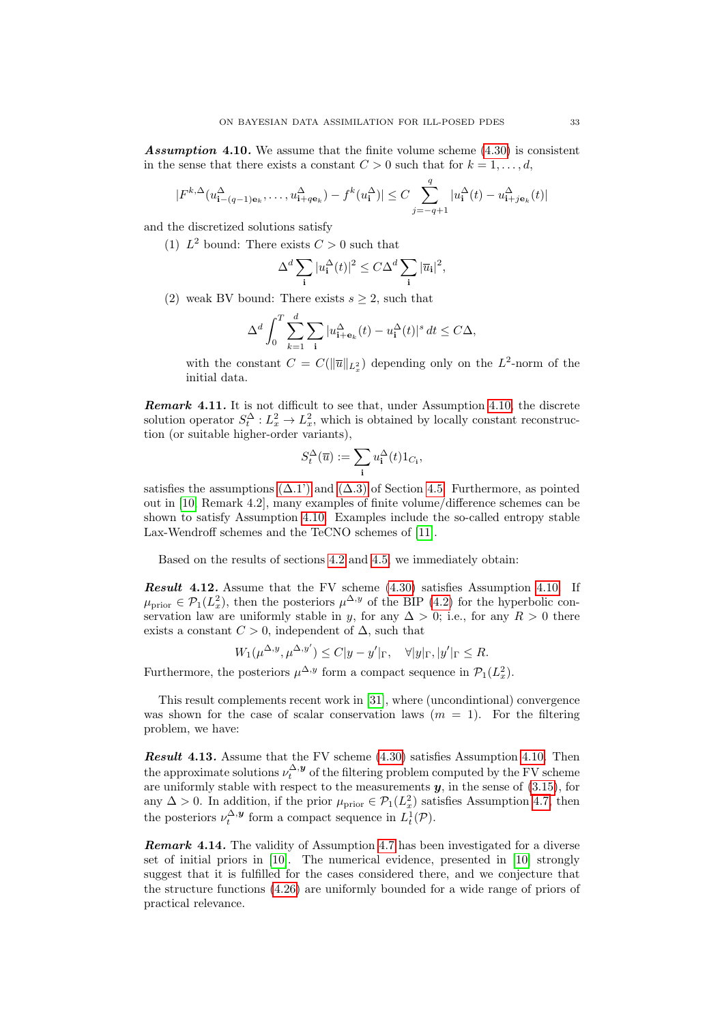**Assumption 4.10.** We assume that the finite volume scheme  $(4.30)$  is consistent in the sense that there exists a constant  $C > 0$  such that for  $k = 1, \ldots, d$ ,

$$
|F^{k,\Delta}(u_{\mathbf{i}-(q-1)\mathbf{e}_k}^{\Delta},\ldots,u_{\mathbf{i}+q\mathbf{e}_k}^{\Delta})-f^k(u_{\mathbf{i}}^{\Delta})|\leq C\sum_{j=-q+1}^q|u_{\mathbf{i}}^{\Delta}(t)-u_{\mathbf{i}+j\mathbf{e}_k}^{\Delta}(t)|
$$

and the discretized solutions satisfy

(1)  $L^2$  bound: There exists  $C > 0$  such that

$$
\Delta^d \sum_{\mathbf{i}} |u_{\mathbf{i}}^{\Delta}(t)|^2 \leq C \Delta^d \sum_{\mathbf{i}} |\overline{u}_{\mathbf{i}}|^2,
$$

(2) weak BV bound: There exists  $s \geq 2$ , such that

$$
\Delta^d \int_0^T \sum_{k=1}^d \sum_{\mathbf{i}} |u_{\mathbf{i}+\mathbf{e}_k}(\mathbf{t}) - u_{\mathbf{i}}^\Delta(\mathbf{t})|^s \, dt \le C\Delta,
$$

with the constant  $C = C(||\overline{u}||_{L_x^2})$  depending only on the  $L^2$ -norm of the initial data.

**Remark 4.11.** It is not difficult to see that, under Assumption [4.10,](#page-31-2) the discrete solution operator  $S_t^{\Delta}: L_x^2 \to L_x^2$ , which is obtained by locally constant reconstruction (or suitable higher-order variants),

$$
S_t^{\Delta}(\overline{u}):=\sum_{\bf i}u^{\Delta}_{\bf i}(t)1_{C_{\bf i}},
$$

satisfies the assumptions  $(\Delta.1')$  and  $(\Delta.3)$  of Section [4.5.](#page-26-3) Furthermore, as pointed out in [\[10,](#page-36-7) Remark 4.2], many examples of finite volume/difference schemes can be shown to satisfy Assumption [4.10.](#page-31-2) Examples include the so-called entropy stable Lax-Wendroff schemes and the TeCNO schemes of [\[11\]](#page-36-16).

Based on the results of sections [4.2](#page-19-6) and [4.5,](#page-26-3) we immediately obtain:

Result 4.12. Assume that the FV scheme  $(4.30)$  satisfies Assumption [4.10.](#page-31-2) If  $\mu_{\text{prior}} \in \mathcal{P}_1(L_x^2)$ , then the posteriors  $\mu^{\Delta, y}$  of the BIP [\(4.2\)](#page-19-1) for the hyperbolic conservation law are uniformly stable in y, for any  $\Delta > 0$ ; i.e., for any  $R > 0$  there exists a constant  $C > 0$ , independent of  $\Delta$ , such that

$$
W_1(\mu^{\Delta, y}, \mu^{\Delta, y'}) \le C|y - y'|_{\Gamma}, \quad \forall |y|_{\Gamma}, |y'|_{\Gamma} \le R.
$$

Furthermore, the posteriors  $\mu^{\Delta, y}$  form a compact sequence in  $\mathcal{P}_1(L_x^2)$ .

This result complements recent work in [\[31\]](#page-37-19), where (uncondintional) convergence was shown for the case of scalar conservation laws  $(m = 1)$ . For the filtering problem, we have:

**Result 4.13.** Assume that the FV scheme  $(4.30)$  satisfies Assumption [4.10.](#page-31-2) Then the approximate solutions  $\nu_t^{\Delta, \mathbf{y}}$  of the filtering problem computed by the FV scheme are uniformly stable with respect to the measurements  $y$ , in the sense of  $(3.15)$ , for any  $\Delta > 0$ . In addition, if the prior  $\mu_{\text{prior}} \in \mathcal{P}_1(L_x^2)$  satisfies Assumption [4.7,](#page-27-4) then the posteriors  $\nu_t^{\Delta, y}$  form a compact sequence in  $L_t^1(\mathcal{P})$ .

**Remark 4.14.** The validity of Assumption [4.7](#page-27-4) has been investigated for a diverse set of initial priors in [\[10\]](#page-36-7). The numerical evidence, presented in [\[10\]](#page-36-7) strongly suggest that it is fulfilled for the cases considered there, and we conjecture that the structure functions [\(4.26\)](#page-27-3) are uniformly bounded for a wide range of priors of practical relevance.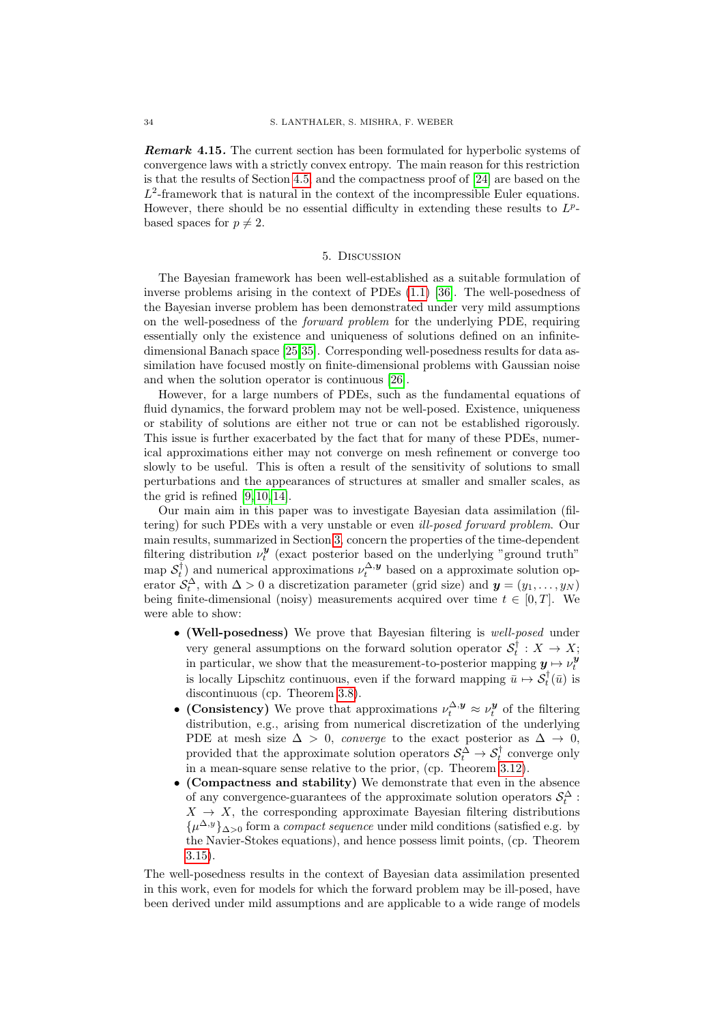**Remark 4.15.** The current section has been formulated for hyperbolic systems of convergence laws with a strictly convex entropy. The main reason for this restriction is that the results of Section [4.5,](#page-26-3) and the compactness proof of [\[24\]](#page-37-11) are based on the  $L^2$ -framework that is natural in the context of the incompressible Euler equations. However, there should be no essential difficulty in extending these results to  $L^p$ based spaces for  $p \neq 2$ .

#### 5. Discussion

<span id="page-33-0"></span>The Bayesian framework has been well-established as a suitable formulation of inverse problems arising in the context of PDEs [\(1.1\)](#page-0-0) [\[36\]](#page-37-0). The well-posedness of the Bayesian inverse problem has been demonstrated under very mild assumptions on the well-posedness of the forward problem for the underlying PDE, requiring essentially only the existence and uniqueness of solutions defined on an infinitedimensional Banach space [\[25,](#page-37-2)[35\]](#page-37-3). Corresponding well-posedness results for data assimilation have focused mostly on finite-dimensional problems with Gaussian noise and when the solution operator is continuous [\[26\]](#page-37-6).

However, for a large numbers of PDEs, such as the fundamental equations of fluid dynamics, the forward problem may not be well-posed. Existence, uniqueness or stability of solutions are either not true or can not be established rigorously. This issue is further exacerbated by the fact that for many of these PDEs, numerical approximations either may not converge on mesh refinement or converge too slowly to be useful. This is often a result of the sensitivity of solutions to small perturbations and the appearances of structures at smaller and smaller scales, as the grid is refined [\[9,](#page-36-17) [10,](#page-36-7) [14\]](#page-36-18).

Our main aim in this paper was to investigate Bayesian data assimilation (filtering) for such PDEs with a very unstable or even ill-posed forward problem. Our main results, summarized in Section [3,](#page-10-0) concern the properties of the time-dependent filtering distribution  $\nu_t^{\mathbf{y}}$  (exact posterior based on the underlying "ground truth" map  $S_t^{\dagger}$  and numerical approximations  $\nu_t^{\Delta, y}$  based on a approximate solution operator  $S_t^{\Delta}$ , with  $\Delta > 0$  a discretization parameter (grid size) and  $y = (y_1, \ldots, y_N)$ being finite-dimensional (noisy) measurements acquired over time  $t \in [0, T]$ . We were able to show:

- (Well-posedness) We prove that Bayesian filtering is well-posed under very general assumptions on the forward solution operator  $S_t^{\dagger}: X \to X;$ in particular, we show that the measurement-to-posterior mapping  $y \mapsto \nu_t^y$ is locally Lipschitz continuous, even if the forward mapping  $\bar{u} \mapsto \mathcal{S}_t^{\dagger}(\bar{u})$  is discontinuous (cp. Theorem [3.8\)](#page-14-0).
- (Consistency) We prove that approximations  $\nu_t^{\Delta, y} \approx \nu_t^y$  of the filtering distribution, e.g., arising from numerical discretization of the underlying PDE at mesh size  $\Delta > 0$ , converge to the exact posterior as  $\Delta \rightarrow 0$ . provided that the approximate solution operators  $S_t^{\overline{\Delta}} \to S_t^{\dagger}$  converge only in a mean-square sense relative to the prior, (cp. Theorem [3.12\)](#page-14-2).
- (Compactness and stability) We demonstrate that even in the absence of any convergence-guarantees of the approximate solution operators  $\mathcal{S}_t^{\Delta}$ :  $X \rightarrow X$ , the corresponding approximate Bayesian filtering distributions  $\{\mu^{\Delta,y}\}_{\Delta>0}$  form a *compact sequence* under mild conditions (satisfied e.g. by the Navier-Stokes equations), and hence possess limit points, (cp. Theorem [3.15\)](#page-16-2).

The well-posedness results in the context of Bayesian data assimilation presented in this work, even for models for which the forward problem may be ill-posed, have been derived under mild assumptions and are applicable to a wide range of models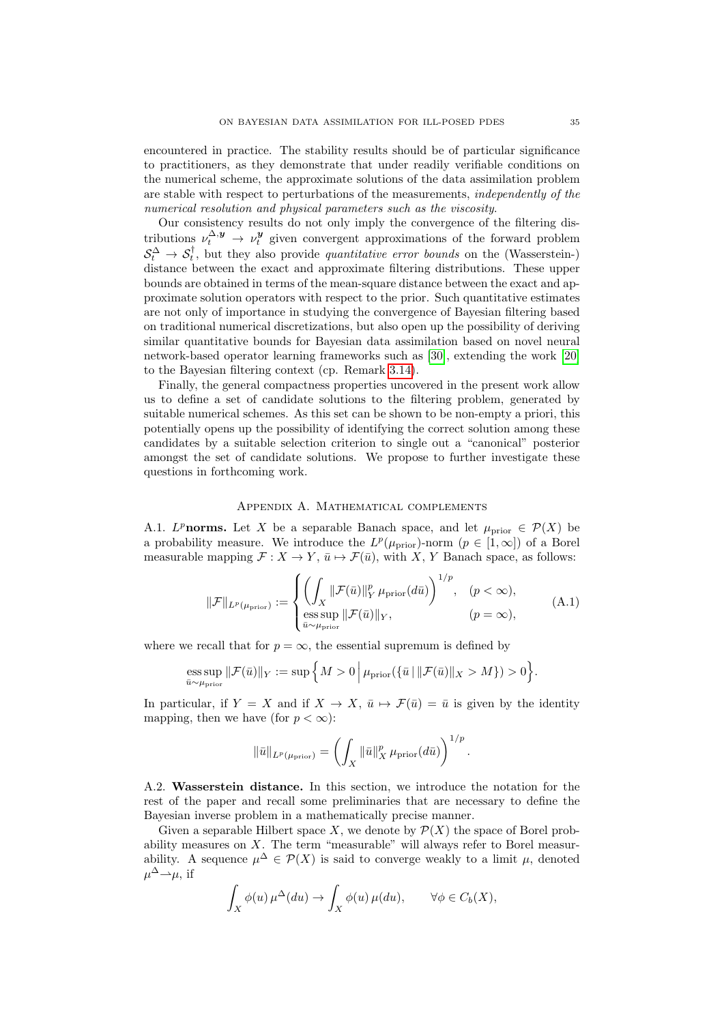encountered in practice. The stability results should be of particular significance to practitioners, as they demonstrate that under readily verifiable conditions on the numerical scheme, the approximate solutions of the data assimilation problem are stable with respect to perturbations of the measurements, independently of the numerical resolution and physical parameters such as the viscosity.

Our consistency results do not only imply the convergence of the filtering distributions  $\nu_t^{\Delta, y} \to \nu_t^y$  given convergent approximations of the forward problem  $S_t^{\Delta} \to S_t^{\dagger}$ , but they also provide *quantitative error bounds* on the (Wasserstein-) distance between the exact and approximate filtering distributions. These upper bounds are obtained in terms of the mean-square distance between the exact and approximate solution operators with respect to the prior. Such quantitative estimates are not only of importance in studying the convergence of Bayesian filtering based on traditional numerical discretizations, but also open up the possibility of deriving similar quantitative bounds for Bayesian data assimilation based on novel neural network-based operator learning frameworks such as [\[30\]](#page-37-17), extending the work [\[20\]](#page-37-20) to the Bayesian filtering context (cp. Remark [3.14\)](#page-15-1).

Finally, the general compactness properties uncovered in the present work allow us to define a set of candidate solutions to the filtering problem, generated by suitable numerical schemes. As this set can be shown to be non-empty a priori, this potentially opens up the possibility of identifying the correct solution among these candidates by a suitable selection criterion to single out a "canonical" posterior amongst the set of candidate solutions. We propose to further investigate these questions in forthcoming work.

### Appendix A. Mathematical complements

<span id="page-34-1"></span>A.1. L<sup>p</sup>norms. Let X be a separable Banach space, and let  $\mu_{\text{prior}} \in \mathcal{P}(X)$  be a probability measure. We introduce the  $L^p(\mu_{\text{prior}})$ -norm  $(p \in [1,\infty])$  of a Borel measurable mapping  $\mathcal{F}: X \to Y$ ,  $\bar{u} \mapsto \mathcal{F}(\bar{u})$ , with X, Y Banach space, as follows:

$$
\|\mathcal{F}\|_{L^p(\mu_{\text{prior}})} := \begin{cases} \left(\int_X \|\mathcal{F}(\bar{u})\|_Y^p \mu_{\text{prior}}(d\bar{u})\right)^{1/p}, & (p < \infty),\\ \underset{\bar{u} \sim \mu_{\text{prior}}}{\text{ess sup}} \|\mathcal{F}(\bar{u})\|_Y, & (p = \infty), \end{cases} (A.1)
$$

where we recall that for  $p = \infty$ , the essential supremum is defined by

$$
\operatorname*{ess\,sup}_{\bar{u}\sim \mu_{\mathrm{prior}}} \|\mathcal{F}(\bar{u})\|_{Y}:=\sup\Big\{M>0\ \Big|\ \mu_{\mathrm{prior}}(\{\bar{u}\,|\, \|\mathcal{F}(\bar{u})\|_{X}>M\})>0\Big\}.
$$

In particular, if  $Y = X$  and if  $X \to X$ ,  $\bar{u} \mapsto \mathcal{F}(\bar{u}) = \bar{u}$  is given by the identity mapping, then we have (for  $p < \infty$ ):

$$
\|\bar{u}\|_{L^p(\mu_{\text{prior}})} = \left(\int_X \|\bar{u}\|_X^p \mu_{\text{prior}}(d\bar{u})\right)^{1/p}.
$$

<span id="page-34-0"></span>A.2. Wasserstein distance. In this section, we introduce the notation for the rest of the paper and recall some preliminaries that are necessary to define the Bayesian inverse problem in a mathematically precise manner.

Given a separable Hilbert space X, we denote by  $\mathcal{P}(X)$  the space of Borel probability measures on X. The term "measurable" will always refer to Borel measurability. A sequence  $\mu^{\Delta} \in \mathcal{P}(X)$  is said to converge weakly to a limit  $\mu$ , denoted  $\mu^{\Delta} \rightarrow \mu$ , if

$$
\int_X \phi(u) \,\mu^{\Delta}(du) \to \int_X \phi(u) \,\mu(du), \qquad \forall \phi \in C_b(X),
$$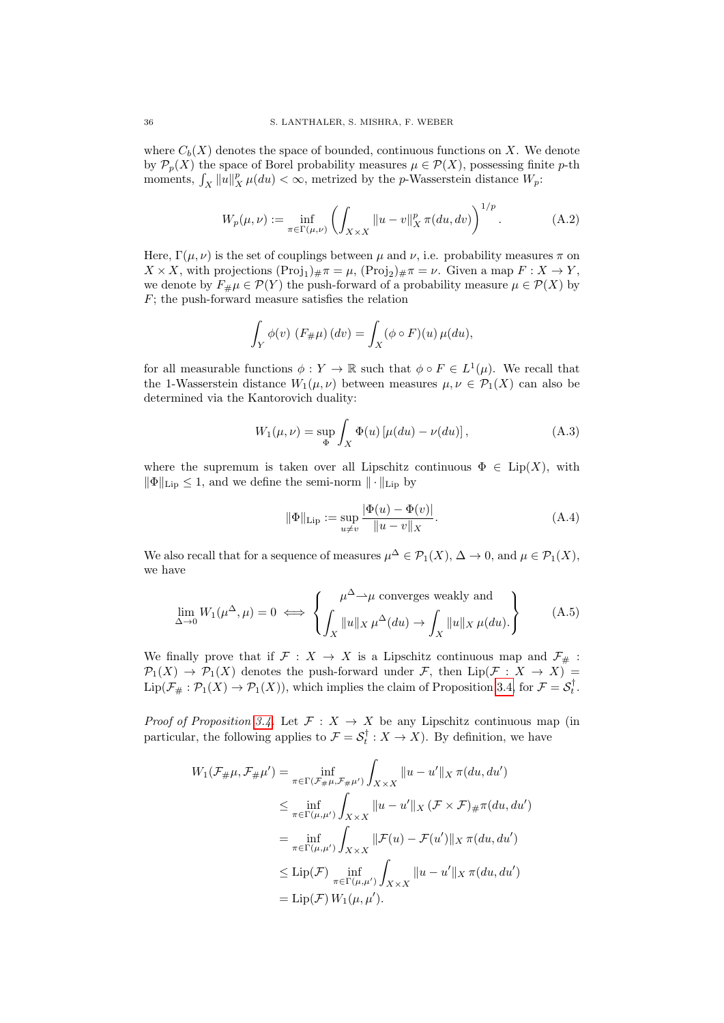where  $C_b(X)$  denotes the space of bounded, continuous functions on X. We denote by  $\mathcal{P}_p(X)$  the space of Borel probability measures  $\mu \in \mathcal{P}(X)$ , possessing finite p-th moments,  $\int_X ||u||_X^p \mu(du) < \infty$ , metrized by the *p*-Wasserstein distance  $W_p$ :

$$
W_p(\mu, \nu) := \inf_{\pi \in \Gamma(\mu, \nu)} \left( \int_{X \times X} ||u - v||_X^p \pi(du, dv) \right)^{1/p}.
$$
 (A.2)

Here,  $\Gamma(\mu, \nu)$  is the set of couplings between  $\mu$  and  $\nu$ , i.e. probability measures  $\pi$  on  $X \times X$ , with projections  $(Proj_1)_\# \pi = \mu$ ,  $(Proj_2)_\# \pi = \nu$ . Given a map  $F : X \to Y$ , we denote by  $F_{\#}\mu \in \mathcal{P}(Y)$  the push-forward of a probability measure  $\mu \in \mathcal{P}(X)$  by  $F$ ; the push-forward measure satisfies the relation

$$
\int_Y \phi(v) \ (F_{\#}\mu)(dv) = \int_X (\phi \circ F)(u) \, \mu(du),
$$

for all measurable functions  $\phi: Y \to \mathbb{R}$  such that  $\phi \circ F \in L^1(\mu)$ . We recall that the 1-Wasserstein distance  $W_1(\mu, \nu)$  between measures  $\mu, \nu \in \mathcal{P}_1(X)$  can also be determined via the Kantorovich duality:

$$
W_1(\mu, \nu) = \sup_{\Phi} \int_X \Phi(u) \left[ \mu(du) - \nu(du) \right], \tag{A.3}
$$

where the supremum is taken over all Lipschitz continuous  $\Phi \in \text{Lip}(X)$ , with  $\|\Phi\|_{\text{Lip}} \leq 1$ , and we define the semi-norm  $\|\cdot\|_{\text{Lip}}$  by

<span id="page-35-0"></span>
$$
\|\Phi\|_{\text{Lip}} := \sup_{u \neq v} \frac{|\Phi(u) - \Phi(v)|}{\|u - v\|_X}.
$$
 (A.4)

We also recall that for a sequence of measures  $\mu^{\Delta} \in \mathcal{P}_1(X)$ ,  $\Delta \to 0$ , and  $\mu \in \mathcal{P}_1(X)$ , we have

$$
\lim_{\Delta \to 0} W_1(\mu^{\Delta}, \mu) = 0 \iff \left\{ \int_X \|u\|_X \mu^{\Delta}(du) \to \int_X \|u\|_X \mu(du). \right\}
$$
 (A.5)

We finally prove that if  $\mathcal{F}: X \to X$  is a Lipschitz continuous map and  $\mathcal{F}_\#$ :  $\mathcal{P}_1(X) \to \mathcal{P}_1(X)$  denotes the push-forward under F, then  $\text{Lip}(\mathcal{F}: X \to X)$  $\text{Lip}(\mathcal{F}_\#:\mathcal{P}_1(X)\to\mathcal{P}_1(X)),$  which implies the claim of Proposition [3.4,](#page-12-0) for  $\mathcal{F}=\mathcal{S}_t^{\dagger}$ .

*Proof of Proposition [3.4.](#page-12-0)* Let  $\mathcal{F}: X \to X$  be any Lipschitz continuous map (in particular, the following applies to  $\mathcal{F} = \mathcal{S}_t^{\dagger} : X \to X$ ). By definition, we have

$$
W_1(\mathcal{F}_{\#}\mu, \mathcal{F}_{\#}\mu') = \inf_{\pi \in \Gamma(\mathcal{F}_{\#}\mu, \mathcal{F}_{\#}\mu')} \int_{X \times X} ||u - u'||_X \pi(du, du')
$$
  
\n
$$
\leq \inf_{\pi \in \Gamma(\mu, \mu')} \int_{X \times X} ||u - u'||_X (\mathcal{F} \times \mathcal{F})_{\#} \pi(du, du')
$$
  
\n
$$
= \inf_{\pi \in \Gamma(\mu, \mu')} \int_{X \times X} ||\mathcal{F}(u) - \mathcal{F}(u')||_X \pi(du, du')
$$
  
\n
$$
\leq \text{Lip}(\mathcal{F}) \inf_{\pi \in \Gamma(\mu, \mu')} \int_{X \times X} ||u - u'||_X \pi(du, du')
$$
  
\n
$$
= \text{Lip}(\mathcal{F}) W_1(\mu, \mu').
$$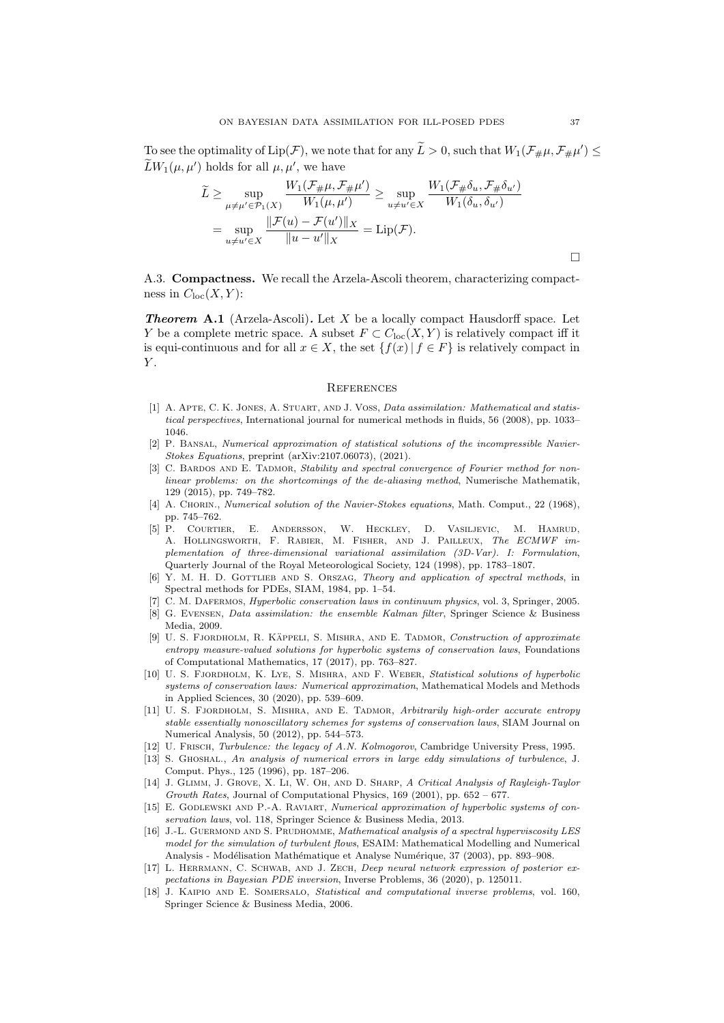To see the optimality of  $\text{Lip}(\mathcal{F})$ , we note that for any  $\tilde{L} > 0$ , such that  $W_1(\mathcal{F}_\# \mu, \mathcal{F}_\# \mu') \leq$  $\widetilde{L}W_1(\mu,\mu')$  holds for all  $\mu,\mu'$ , we have

$$
\widetilde{L} \ge \sup_{\mu \ne \mu' \in \mathcal{P}_1(X)} \frac{W_1(\mathcal{F}_{\#}\mu, \mathcal{F}_{\#}\mu')}{W_1(\mu, \mu')} \ge \sup_{u \ne u' \in X} \frac{W_1(\mathcal{F}_{\#}\delta_u, \mathcal{F}_{\#}\delta_{u'})}{W_1(\delta_u, \delta_{u'})}
$$
\n
$$
= \sup_{u \ne u' \in X} \frac{\|\mathcal{F}(u) - \mathcal{F}(u')\|_X}{\|u - u'\|_X} = \text{Lip}(\mathcal{F}).
$$

A.3. Compactness. We recall the Arzela-Ascoli theorem, characterizing compactness in  $C_{\text{loc}}(X, Y)$ :

<span id="page-36-14"></span>**Theorem A.1** (Arzela-Ascoli). Let X be a locally compact Hausdorff space. Let Y be a complete metric space. A subset  $F \subset C_{\text{loc}}(X, Y)$  is relatively compact iff it is equi-continuous and for all  $x \in X$ , the set  $\{f(x) | f \in F\}$  is relatively compact in  $\boldsymbol{Y}.$ 

#### **REFERENCES**

- <span id="page-36-1"></span>[1] A. APTE, C. K. JONES, A. STUART, AND J. VOSS, Data assimilation: Mathematical and statistical perspectives, International journal for numerical methods in fluids, 56 (2008), pp. 1033– 1046.
- <span id="page-36-6"></span>[2] P. Bansal, Numerical approximation of statistical solutions of the incompressible Navier-Stokes Equations, preprint (arXiv:2107.06073), (2021).
- <span id="page-36-12"></span>[3] C. BARDOS AND E. TADMOR, Stability and spectral convergence of Fourier method for nonlinear problems: on the shortcomings of the de-aliasing method, Numerische Mathematik, 129 (2015), pp. 749–782.
- <span id="page-36-8"></span>[4] A. CHORIN., Numerical solution of the Navier-Stokes equations, Math. Comput., 22 (1968). pp. 745–762.
- <span id="page-36-2"></span>[5] P. Courtier, E. Andersson, W. Heckley, D. Vasiljevic, M. Hamrud, A. Hollingsworth, F. Rabier, M. Fisher, and J. Pailleux, The ECMWF implementation of three-dimensional variational assimilation (3D-Var). I: Formulation, Quarterly Journal of the Royal Meteorological Society, 124 (1998), pp. 1783–1807.
- <span id="page-36-9"></span>[6] Y. M. H. D. GOTTLIEB AND S. ORSZAG, Theory and application of spectral methods, in Spectral methods for PDEs, SIAM, 1984, pp. 1–54.
- <span id="page-36-5"></span>[7] C. M. Dafermos, Hyperbolic conservation laws in continuum physics, vol. 3, Springer, 2005.
- <span id="page-36-3"></span>[8] G. EVENSEN, Data assimilation: the ensemble Kalman filter, Springer Science & Business Media, 2009.
- <span id="page-36-17"></span>[9] U. S. FJORDHOLM, R. KÄPPELI, S. MISHRA, AND E. TADMOR, Construction of approximate entropy measure-valued solutions for hyperbolic systems of conservation laws, Foundations of Computational Mathematics, 17 (2017), pp. 763–827.
- <span id="page-36-7"></span>[10] U. S. FJORDHOLM, K. LYE, S. MISHRA, AND F. WEBER, Statistical solutions of hyperbolic systems of conservation laws: Numerical approximation, Mathematical Models and Methods in Applied Sciences, 30 (2020), pp. 539–609.
- <span id="page-36-16"></span>[11] U. S. FJORDHOLM, S. MISHRA, AND E. TADMOR, Arbitrarily high-order accurate entropy stable essentially nonoscillatory schemes for systems of conservation laws, SIAM Journal on Numerical Analysis, 50 (2012), pp. 544–573.
- <span id="page-36-4"></span>[12] U. FRISCH, Turbulence: the legacy of A.N. Kolmogorov, Cambridge University Press, 1995.
- <span id="page-36-10"></span>[13] S. Ghoshal., An analysis of numerical errors in large eddy simulations of turbulence, J. Comput. Phys., 125 (1996), pp. 187–206.
- <span id="page-36-18"></span>[14] J. Glimm, J. Grove, X. Li, W. Oh, and D. Sharp, A Critical Analysis of Rayleigh-Taylor Growth Rates, Journal of Computational Physics, 169 (2001), pp.  $652 - 677$ .
- <span id="page-36-15"></span>[15] E. GODLEWSKI AND P.-A. RAVIART, Numerical approximation of hyperbolic systems of conservation laws, vol. 118, Springer Science & Business Media, 2013.
- <span id="page-36-11"></span>[16] J.-L. GUERMOND AND S. PRUDHOMME, Mathematical analysis of a spectral hyperviscosity LES model for the simulation of turbulent flows, ESAIM: Mathematical Modelling and Numerical Analysis - Modélisation Mathématique et Analyse Numérique, 37 (2003), pp. 893-908.
- <span id="page-36-13"></span>[17] L. HERRMANN, C. SCHWAB, AND J. ZECH, Deep neural network expression of posterior expectations in Bayesian PDE inversion, Inverse Problems, 36 (2020), p. 125011.
- <span id="page-36-0"></span>[18] J. KAIPIO AND E. SOMERSALO, Statistical and computational inverse problems, vol. 160, Springer Science & Business Media, 2006.